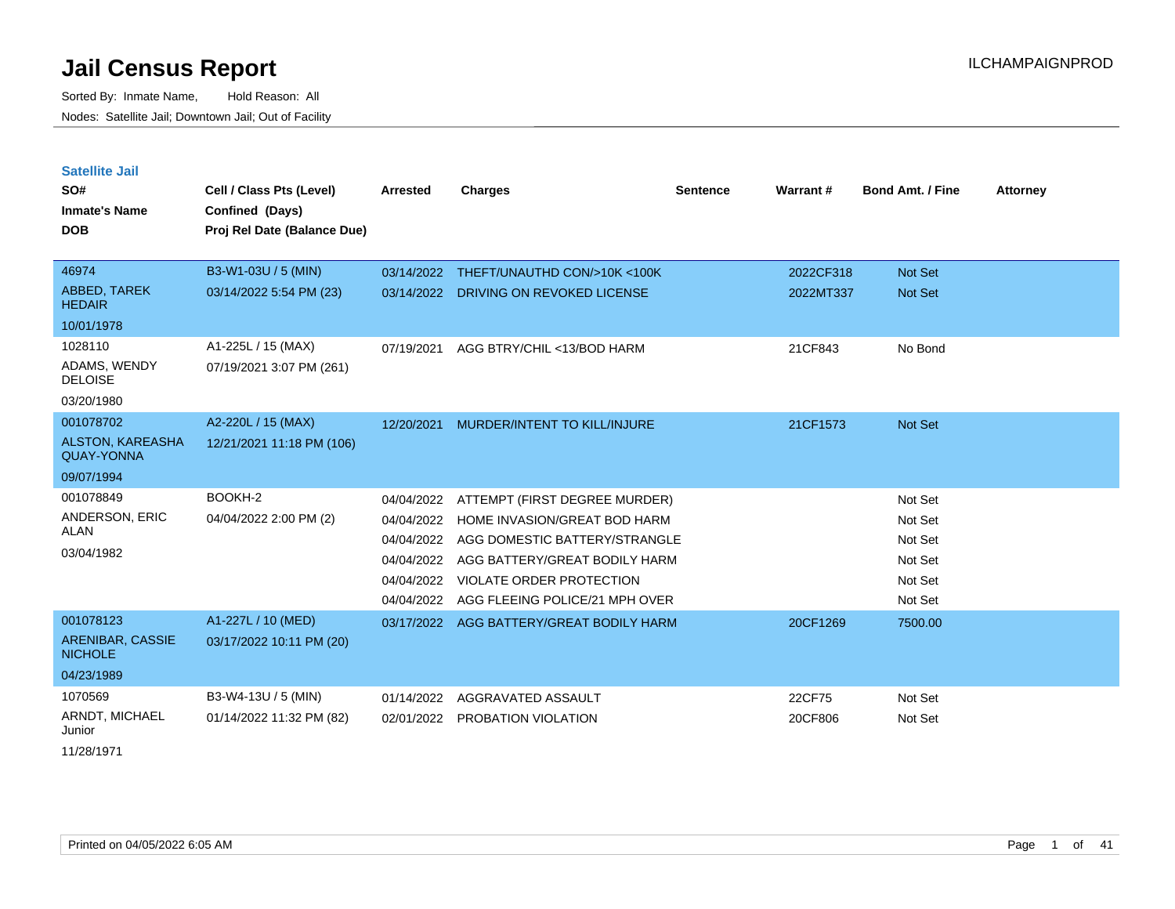Sorted By: Inmate Name, Hold Reason: All Nodes: Satellite Jail; Downtown Jail; Out of Facility

| <b>Satellite Jail</b>                        |                             |                 |                                |          |           |                         |                 |
|----------------------------------------------|-----------------------------|-----------------|--------------------------------|----------|-----------|-------------------------|-----------------|
| SO#                                          | Cell / Class Pts (Level)    | <b>Arrested</b> | <b>Charges</b>                 | Sentence | Warrant#  | <b>Bond Amt. / Fine</b> | <b>Attorney</b> |
| <b>Inmate's Name</b>                         | Confined (Days)             |                 |                                |          |           |                         |                 |
| <b>DOB</b>                                   | Proj Rel Date (Balance Due) |                 |                                |          |           |                         |                 |
|                                              |                             |                 |                                |          |           |                         |                 |
| 46974                                        | B3-W1-03U / 5 (MIN)         | 03/14/2022      | THEFT/UNAUTHD CON/>10K <100K   |          | 2022CF318 | Not Set                 |                 |
| <b>ABBED, TAREK</b><br><b>HEDAIR</b>         | 03/14/2022 5:54 PM (23)     | 03/14/2022      | DRIVING ON REVOKED LICENSE     |          | 2022MT337 | <b>Not Set</b>          |                 |
| 10/01/1978                                   |                             |                 |                                |          |           |                         |                 |
| 1028110                                      | A1-225L / 15 (MAX)          | 07/19/2021      | AGG BTRY/CHIL <13/BOD HARM     |          | 21CF843   | No Bond                 |                 |
| ADAMS, WENDY<br><b>DELOISE</b>               | 07/19/2021 3:07 PM (261)    |                 |                                |          |           |                         |                 |
| 03/20/1980                                   |                             |                 |                                |          |           |                         |                 |
| 001078702                                    | A2-220L / 15 (MAX)          | 12/20/2021      | MURDER/INTENT TO KILL/INJURE   |          | 21CF1573  | Not Set                 |                 |
| <b>ALSTON, KAREASHA</b><br><b>QUAY-YONNA</b> | 12/21/2021 11:18 PM (106)   |                 |                                |          |           |                         |                 |
| 09/07/1994                                   |                             |                 |                                |          |           |                         |                 |
| 001078849                                    | BOOKH-2                     | 04/04/2022      | ATTEMPT (FIRST DEGREE MURDER)  |          |           | Not Set                 |                 |
| ANDERSON, ERIC                               | 04/04/2022 2:00 PM (2)      | 04/04/2022      | HOME INVASION/GREAT BOD HARM   |          |           | Not Set                 |                 |
| ALAN                                         |                             | 04/04/2022      | AGG DOMESTIC BATTERY/STRANGLE  |          |           | Not Set                 |                 |
| 03/04/1982                                   |                             | 04/04/2022      | AGG BATTERY/GREAT BODILY HARM  |          |           | Not Set                 |                 |
|                                              |                             | 04/04/2022      | VIOLATE ORDER PROTECTION       |          |           | Not Set                 |                 |
|                                              |                             | 04/04/2022      | AGG FLEEING POLICE/21 MPH OVER |          |           | Not Set                 |                 |
| 001078123                                    | A1-227L / 10 (MED)          | 03/17/2022      | AGG BATTERY/GREAT BODILY HARM  |          | 20CF1269  | 7500.00                 |                 |
| ARENIBAR, CASSIE<br><b>NICHOLE</b>           | 03/17/2022 10:11 PM (20)    |                 |                                |          |           |                         |                 |
| 04/23/1989                                   |                             |                 |                                |          |           |                         |                 |
| 1070569                                      | B3-W4-13U / 5 (MIN)         | 01/14/2022      | AGGRAVATED ASSAULT             |          | 22CF75    | Not Set                 |                 |
| ARNDT, MICHAEL<br>Junior                     | 01/14/2022 11:32 PM (82)    | 02/01/2022      | PROBATION VIOLATION            |          | 20CF806   | Not Set                 |                 |

11/28/1971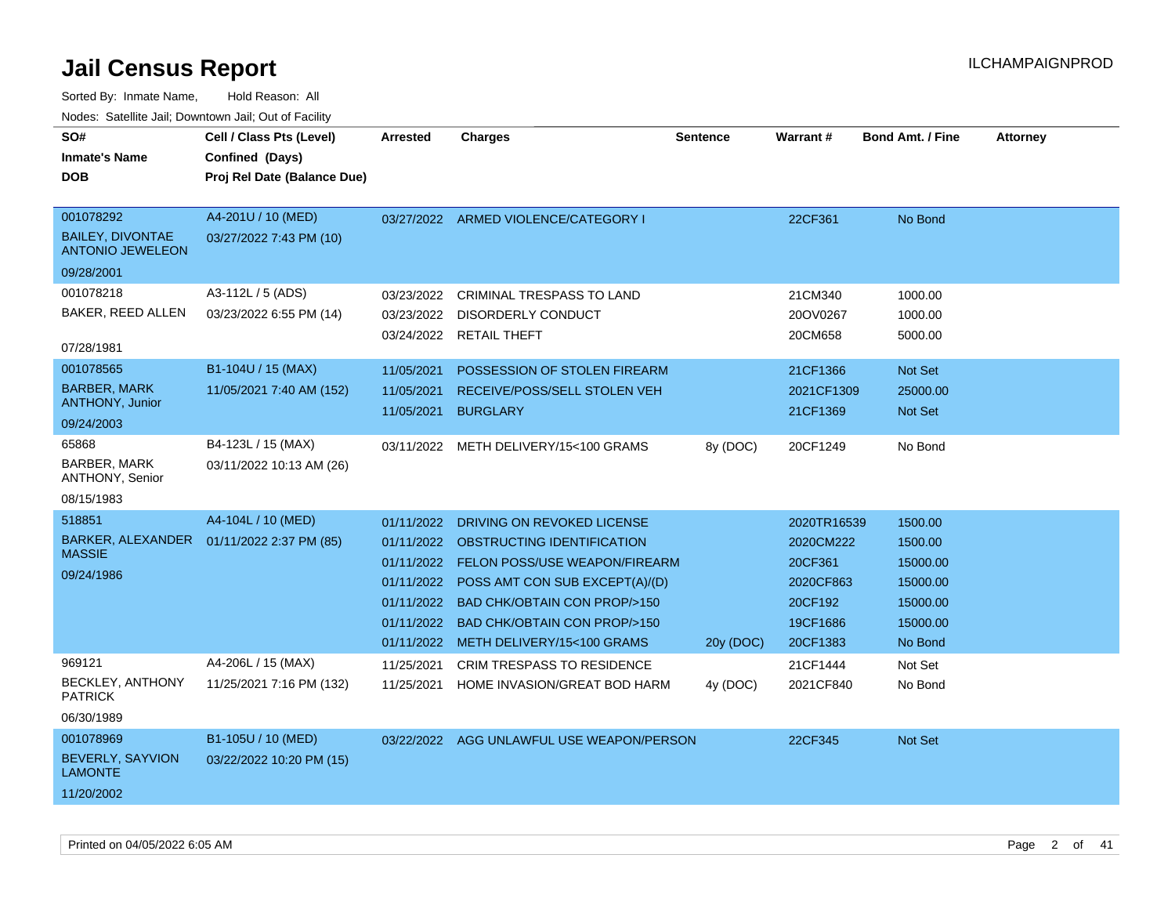| SO#<br><b>Inmate's Name</b><br><b>DOB</b>                                     | Cell / Class Pts (Level)<br>Confined (Days)<br>Proj Rel Date (Balance Due) | <b>Arrested</b>                                                                  | <b>Charges</b>                                                                                                                                                                                                                                           | <b>Sentence</b> | <b>Warrant#</b>                                                                     | <b>Bond Amt. / Fine</b>                                                       | <b>Attorney</b> |
|-------------------------------------------------------------------------------|----------------------------------------------------------------------------|----------------------------------------------------------------------------------|----------------------------------------------------------------------------------------------------------------------------------------------------------------------------------------------------------------------------------------------------------|-----------------|-------------------------------------------------------------------------------------|-------------------------------------------------------------------------------|-----------------|
| 001078292<br><b>BAILEY, DIVONTAE</b><br><b>ANTONIO JEWELEON</b><br>09/28/2001 | A4-201U / 10 (MED)<br>03/27/2022 7:43 PM (10)                              |                                                                                  | 03/27/2022 ARMED VIOLENCE/CATEGORY I                                                                                                                                                                                                                     |                 | 22CF361                                                                             | No Bond                                                                       |                 |
| 001078218<br>BAKER, REED ALLEN<br>07/28/1981                                  | A3-112L / 5 (ADS)<br>03/23/2022 6:55 PM (14)                               | 03/23/2022<br>03/23/2022                                                         | <b>CRIMINAL TRESPASS TO LAND</b><br>DISORDERLY CONDUCT<br>03/24/2022 RETAIL THEFT                                                                                                                                                                        |                 | 21CM340<br>20OV0267<br>20CM658                                                      | 1000.00<br>1000.00<br>5000.00                                                 |                 |
| 001078565<br><b>BARBER, MARK</b><br><b>ANTHONY, Junior</b><br>09/24/2003      | B1-104U / 15 (MAX)<br>11/05/2021 7:40 AM (152)                             | 11/05/2021<br>11/05/2021<br>11/05/2021                                           | POSSESSION OF STOLEN FIREARM<br>RECEIVE/POSS/SELL STOLEN VEH<br><b>BURGLARY</b>                                                                                                                                                                          |                 | 21CF1366<br>2021CF1309<br>21CF1369                                                  | Not Set<br>25000.00<br><b>Not Set</b>                                         |                 |
| 65868<br><b>BARBER, MARK</b><br>ANTHONY, Senior<br>08/15/1983                 | B4-123L / 15 (MAX)<br>03/11/2022 10:13 AM (26)                             |                                                                                  | 03/11/2022 METH DELIVERY/15<100 GRAMS                                                                                                                                                                                                                    | 8y (DOC)        | 20CF1249                                                                            | No Bond                                                                       |                 |
| 518851<br><b>BARKER, ALEXANDER</b><br><b>MASSIE</b><br>09/24/1986             | A4-104L / 10 (MED)<br>01/11/2022 2:37 PM (85)                              | 01/11/2022<br>01/11/2022<br>01/11/2022<br>01/11/2022<br>01/11/2022<br>01/11/2022 | DRIVING ON REVOKED LICENSE<br>OBSTRUCTING IDENTIFICATION<br>01/11/2022 FELON POSS/USE WEAPON/FIREARM<br>POSS AMT CON SUB EXCEPT(A)/(D)<br><b>BAD CHK/OBTAIN CON PROP/&gt;150</b><br><b>BAD CHK/OBTAIN CON PROP/&gt;150</b><br>METH DELIVERY/15<100 GRAMS | 20y (DOC)       | 2020TR16539<br>2020CM222<br>20CF361<br>2020CF863<br>20CF192<br>19CF1686<br>20CF1383 | 1500.00<br>1500.00<br>15000.00<br>15000.00<br>15000.00<br>15000.00<br>No Bond |                 |
| 969121<br>BECKLEY, ANTHONY<br><b>PATRICK</b><br>06/30/1989                    | A4-206L / 15 (MAX)<br>11/25/2021 7:16 PM (132)                             | 11/25/2021<br>11/25/2021                                                         | <b>CRIM TRESPASS TO RESIDENCE</b><br>HOME INVASION/GREAT BOD HARM                                                                                                                                                                                        | 4y (DOC)        | 21CF1444<br>2021CF840                                                               | Not Set<br>No Bond                                                            |                 |
| 001078969<br>BEVERLY, SAYVION<br><b>LAMONTE</b><br>11/20/2002                 | B1-105U / 10 (MED)<br>03/22/2022 10:20 PM (15)                             |                                                                                  | 03/22/2022 AGG UNLAWFUL USE WEAPON/PERSON                                                                                                                                                                                                                |                 | 22CF345                                                                             | Not Set                                                                       |                 |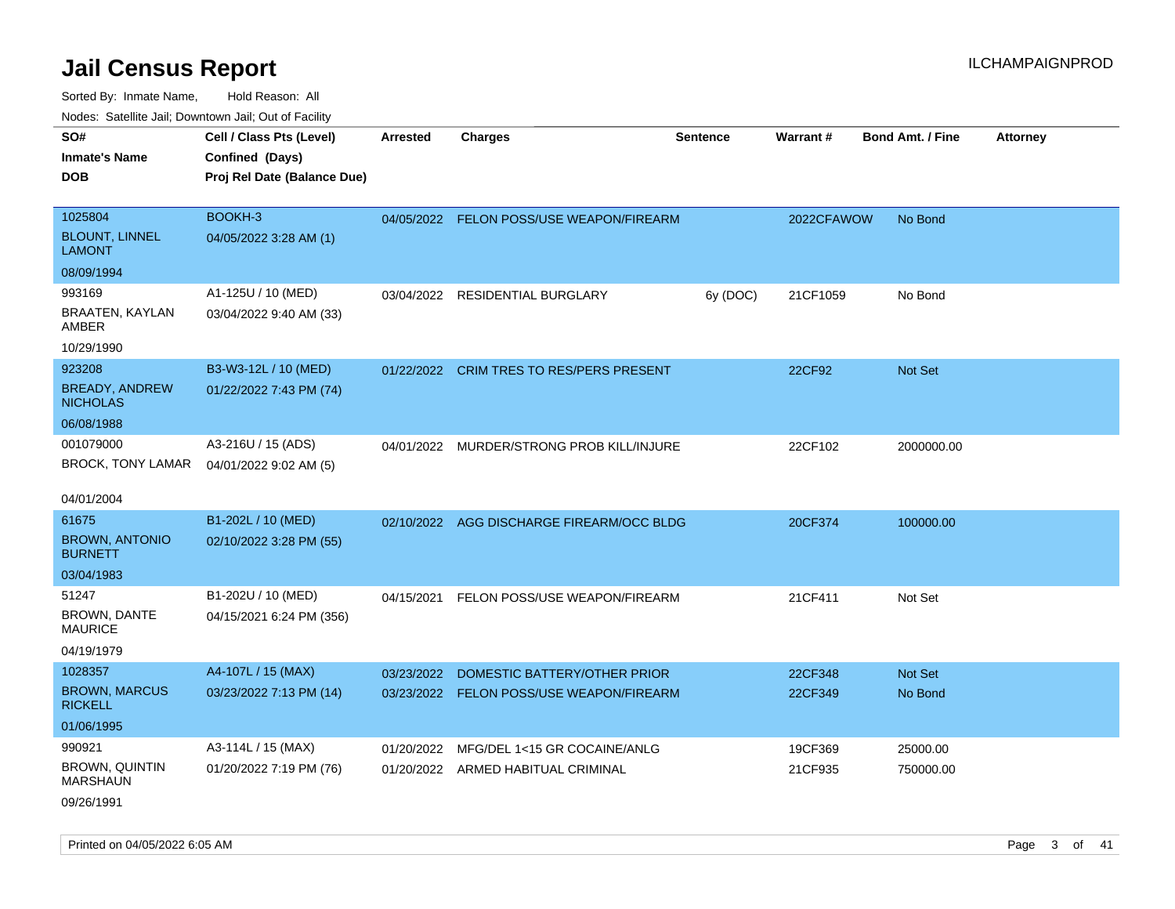Sorted By: Inmate Name, Hold Reason: All Nodes: Satellite Jail; Downtown Jail; Out of Facility

| SO#                                      | Cell / Class Pts (Level)    | Arrested   | <b>Charges</b>                            | <b>Sentence</b> | Warrant#   | <b>Bond Amt. / Fine</b> | <b>Attorney</b> |
|------------------------------------------|-----------------------------|------------|-------------------------------------------|-----------------|------------|-------------------------|-----------------|
| <b>Inmate's Name</b>                     | Confined (Days)             |            |                                           |                 |            |                         |                 |
| <b>DOB</b>                               | Proj Rel Date (Balance Due) |            |                                           |                 |            |                         |                 |
|                                          |                             |            |                                           |                 |            |                         |                 |
| 1025804                                  | BOOKH-3                     |            | 04/05/2022 FELON POSS/USE WEAPON/FIREARM  |                 | 2022CFAWOW | No Bond                 |                 |
| <b>BLOUNT, LINNEL</b><br><b>LAMONT</b>   | 04/05/2022 3:28 AM (1)      |            |                                           |                 |            |                         |                 |
| 08/09/1994                               |                             |            |                                           |                 |            |                         |                 |
| 993169                                   | A1-125U / 10 (MED)          |            | 03/04/2022 RESIDENTIAL BURGLARY           | 6y (DOC)        | 21CF1059   | No Bond                 |                 |
| BRAATEN, KAYLAN<br>AMBER                 | 03/04/2022 9:40 AM (33)     |            |                                           |                 |            |                         |                 |
| 10/29/1990                               |                             |            |                                           |                 |            |                         |                 |
| 923208                                   | B3-W3-12L / 10 (MED)        | 01/22/2022 | <b>CRIM TRES TO RES/PERS PRESENT</b>      |                 | 22CF92     | <b>Not Set</b>          |                 |
| <b>BREADY, ANDREW</b><br><b>NICHOLAS</b> | 01/22/2022 7:43 PM (74)     |            |                                           |                 |            |                         |                 |
| 06/08/1988                               |                             |            |                                           |                 |            |                         |                 |
| 001079000                                | A3-216U / 15 (ADS)          | 04/01/2022 | MURDER/STRONG PROB KILL/INJURE            |                 | 22CF102    | 2000000.00              |                 |
| BROCK, TONY LAMAR                        | 04/01/2022 9:02 AM (5)      |            |                                           |                 |            |                         |                 |
|                                          |                             |            |                                           |                 |            |                         |                 |
| 04/01/2004                               |                             |            |                                           |                 |            |                         |                 |
| 61675                                    | B1-202L / 10 (MED)          |            | 02/10/2022 AGG DISCHARGE FIREARM/OCC BLDG |                 | 20CF374    | 100000.00               |                 |
| <b>BROWN, ANTONIO</b><br><b>BURNETT</b>  | 02/10/2022 3:28 PM (55)     |            |                                           |                 |            |                         |                 |
| 03/04/1983                               |                             |            |                                           |                 |            |                         |                 |
| 51247                                    | B1-202U / 10 (MED)          | 04/15/2021 | FELON POSS/USE WEAPON/FIREARM             |                 | 21CF411    | Not Set                 |                 |
| <b>BROWN, DANTE</b><br><b>MAURICE</b>    | 04/15/2021 6:24 PM (356)    |            |                                           |                 |            |                         |                 |
| 04/19/1979                               |                             |            |                                           |                 |            |                         |                 |
| 1028357                                  | A4-107L / 15 (MAX)          | 03/23/2022 | DOMESTIC BATTERY/OTHER PRIOR              |                 | 22CF348    | Not Set                 |                 |
| <b>BROWN, MARCUS</b><br><b>RICKELL</b>   | 03/23/2022 7:13 PM (14)     |            | 03/23/2022 FELON POSS/USE WEAPON/FIREARM  |                 | 22CF349    | No Bond                 |                 |
| 01/06/1995                               |                             |            |                                           |                 |            |                         |                 |
| 990921                                   | A3-114L / 15 (MAX)          | 01/20/2022 | MFG/DEL 1<15 GR COCAINE/ANLG              |                 | 19CF369    | 25000.00                |                 |
| <b>BROWN, QUINTIN</b><br><b>MARSHAUN</b> | 01/20/2022 7:19 PM (76)     |            | 01/20/2022 ARMED HABITUAL CRIMINAL        |                 | 21CF935    | 750000.00               |                 |
| 09/26/1991                               |                             |            |                                           |                 |            |                         |                 |

Printed on 04/05/2022 6:05 AM Page 3 of 41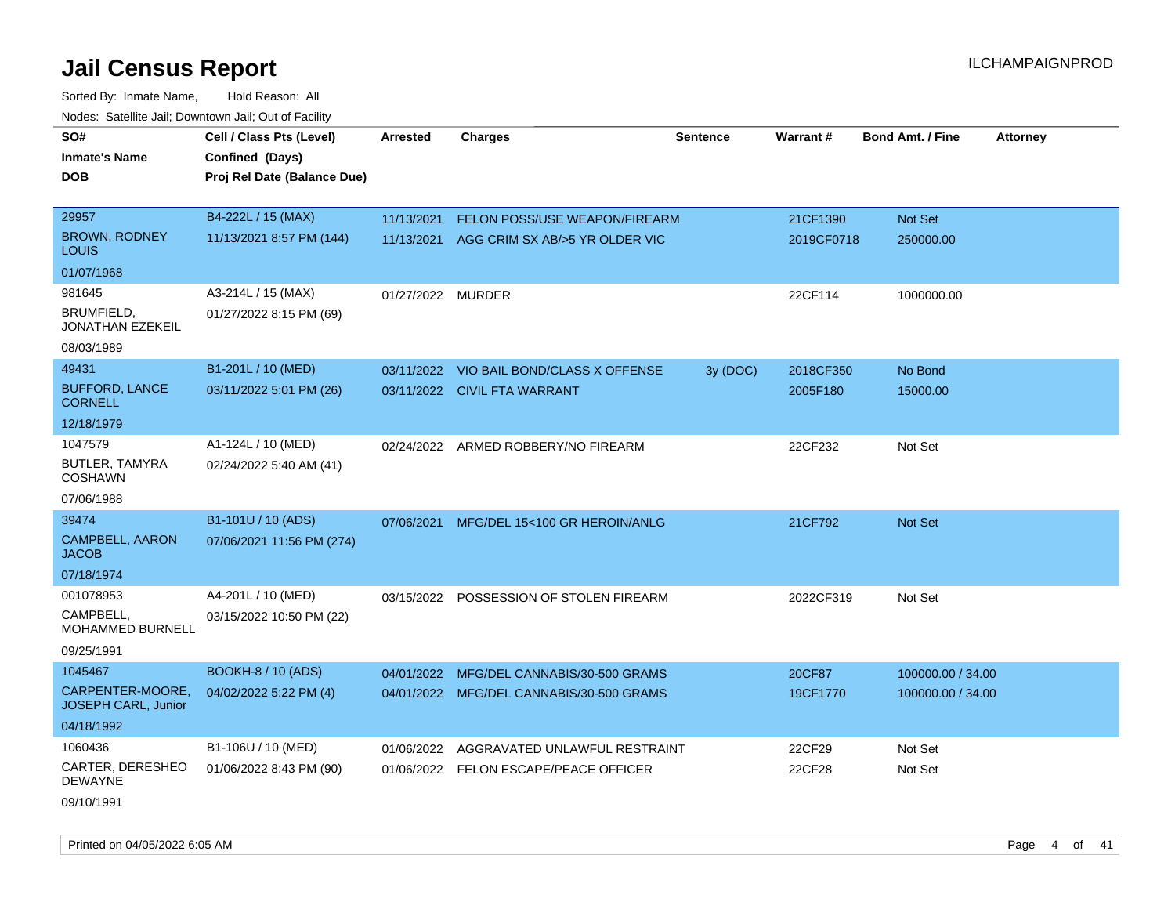Sorted By: Inmate Name, Hold Reason: All Nodes: Satellite Jail; Downtown Jail; Out of Facility

| SO#                                            | Cell / Class Pts (Level)    | <b>Arrested</b>   | <b>Charges</b>                            | <b>Sentence</b> | Warrant#   | <b>Bond Amt. / Fine</b> | <b>Attorney</b> |
|------------------------------------------------|-----------------------------|-------------------|-------------------------------------------|-----------------|------------|-------------------------|-----------------|
| <b>Inmate's Name</b>                           | Confined (Days)             |                   |                                           |                 |            |                         |                 |
| <b>DOB</b>                                     | Proj Rel Date (Balance Due) |                   |                                           |                 |            |                         |                 |
|                                                |                             |                   |                                           |                 |            |                         |                 |
| 29957                                          | B4-222L / 15 (MAX)          | 11/13/2021        | <b>FELON POSS/USE WEAPON/FIREARM</b>      |                 | 21CF1390   | Not Set                 |                 |
| <b>BROWN, RODNEY</b><br><b>LOUIS</b>           | 11/13/2021 8:57 PM (144)    |                   | 11/13/2021 AGG CRIM SX AB/>5 YR OLDER VIC |                 | 2019CF0718 | 250000.00               |                 |
| 01/07/1968                                     |                             |                   |                                           |                 |            |                         |                 |
| 981645                                         | A3-214L / 15 (MAX)          | 01/27/2022 MURDER |                                           |                 | 22CF114    | 1000000.00              |                 |
| <b>BRUMFIELD.</b><br><b>JONATHAN EZEKEIL</b>   | 01/27/2022 8:15 PM (69)     |                   |                                           |                 |            |                         |                 |
| 08/03/1989                                     |                             |                   |                                           |                 |            |                         |                 |
| 49431                                          | B1-201L / 10 (MED)          |                   | 03/11/2022 VIO BAIL BOND/CLASS X OFFENSE  | 3y (DOC)        | 2018CF350  | No Bond                 |                 |
| <b>BUFFORD, LANCE</b><br><b>CORNELL</b>        | 03/11/2022 5:01 PM (26)     |                   | 03/11/2022 CIVIL FTA WARRANT              |                 | 2005F180   | 15000.00                |                 |
| 12/18/1979                                     |                             |                   |                                           |                 |            |                         |                 |
| 1047579                                        | A1-124L / 10 (MED)          |                   | 02/24/2022 ARMED ROBBERY/NO FIREARM       |                 | 22CF232    | Not Set                 |                 |
| BUTLER, TAMYRA<br><b>COSHAWN</b>               | 02/24/2022 5:40 AM (41)     |                   |                                           |                 |            |                         |                 |
| 07/06/1988                                     |                             |                   |                                           |                 |            |                         |                 |
| 39474                                          | B1-101U / 10 (ADS)          | 07/06/2021        | MFG/DEL 15<100 GR HEROIN/ANLG             |                 | 21CF792    | <b>Not Set</b>          |                 |
| <b>CAMPBELL, AARON</b><br><b>JACOB</b>         | 07/06/2021 11:56 PM (274)   |                   |                                           |                 |            |                         |                 |
| 07/18/1974                                     |                             |                   |                                           |                 |            |                         |                 |
| 001078953                                      | A4-201L / 10 (MED)          |                   | 03/15/2022 POSSESSION OF STOLEN FIREARM   |                 | 2022CF319  | Not Set                 |                 |
| CAMPBELL,<br>MOHAMMED BURNELL                  | 03/15/2022 10:50 PM (22)    |                   |                                           |                 |            |                         |                 |
| 09/25/1991                                     |                             |                   |                                           |                 |            |                         |                 |
| 1045467                                        | <b>BOOKH-8 / 10 (ADS)</b>   | 04/01/2022        | MFG/DEL CANNABIS/30-500 GRAMS             |                 | 20CF87     | 100000.00 / 34.00       |                 |
| CARPENTER-MOORE,<br><b>JOSEPH CARL, Junior</b> | 04/02/2022 5:22 PM (4)      |                   | 04/01/2022 MFG/DEL CANNABIS/30-500 GRAMS  |                 | 19CF1770   | 100000.00 / 34.00       |                 |
| 04/18/1992                                     |                             |                   |                                           |                 |            |                         |                 |
| 1060436                                        | B1-106U / 10 (MED)          | 01/06/2022        | AGGRAVATED UNLAWFUL RESTRAINT             |                 | 22CF29     | Not Set                 |                 |
| CARTER, DERESHEO<br><b>DEWAYNE</b>             | 01/06/2022 8:43 PM (90)     |                   | 01/06/2022 FELON ESCAPE/PEACE OFFICER     |                 | 22CF28     | Not Set                 |                 |
| 09/10/1991                                     |                             |                   |                                           |                 |            |                         |                 |

Printed on 04/05/2022 6:05 AM Page 4 of 41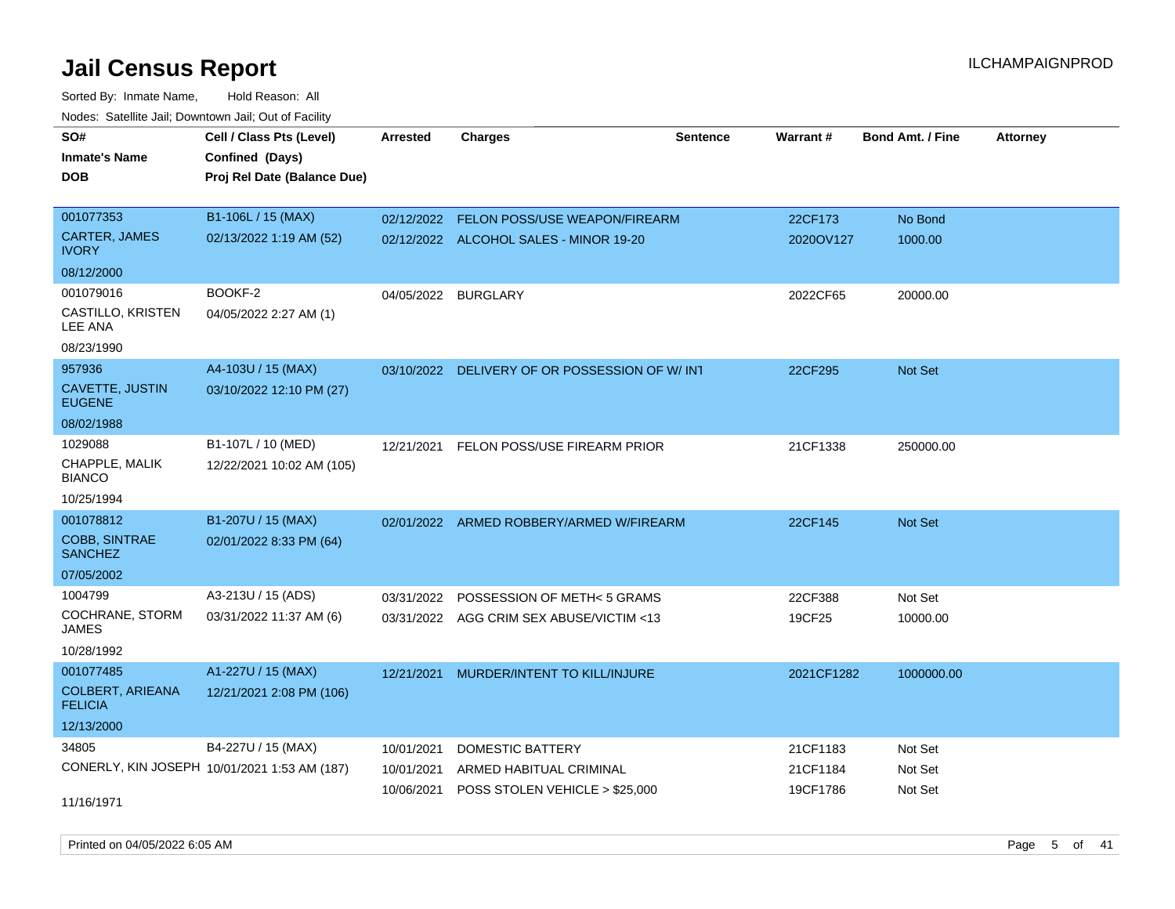Sorted By: Inmate Name, Hold Reason: All Nodes: Satellite Jail; Downtown Jail; Out of Facility

| roaco. Catolino cali, Downtown cali, Out of Facility |                                              |                 |                                               |                 |            |                         |                 |
|------------------------------------------------------|----------------------------------------------|-----------------|-----------------------------------------------|-----------------|------------|-------------------------|-----------------|
| SO#                                                  | Cell / Class Pts (Level)                     | <b>Arrested</b> | <b>Charges</b>                                | <b>Sentence</b> | Warrant#   | <b>Bond Amt. / Fine</b> | <b>Attorney</b> |
| Inmate's Name                                        | Confined (Days)                              |                 |                                               |                 |            |                         |                 |
| DOB                                                  | Proj Rel Date (Balance Due)                  |                 |                                               |                 |            |                         |                 |
|                                                      |                                              |                 |                                               |                 |            |                         |                 |
| 001077353                                            | B1-106L / 15 (MAX)                           |                 | 02/12/2022 FELON POSS/USE WEAPON/FIREARM      |                 | 22CF173    | No Bond                 |                 |
| <b>CARTER, JAMES</b><br><b>IVORY</b>                 | 02/13/2022 1:19 AM (52)                      |                 | 02/12/2022 ALCOHOL SALES - MINOR 19-20        |                 | 2020OV127  | 1000.00                 |                 |
| 08/12/2000                                           |                                              |                 |                                               |                 |            |                         |                 |
| 001079016                                            | BOOKF-2                                      |                 | 04/05/2022 BURGLARY                           |                 | 2022CF65   | 20000.00                |                 |
| CASTILLO, KRISTEN<br><b>LEE ANA</b>                  | 04/05/2022 2:27 AM (1)                       |                 |                                               |                 |            |                         |                 |
| 08/23/1990                                           |                                              |                 |                                               |                 |            |                         |                 |
| 957936                                               | A4-103U / 15 (MAX)                           |                 | 03/10/2022 DELIVERY OF OR POSSESSION OF W/INT |                 | 22CF295    | Not Set                 |                 |
| CAVETTE, JUSTIN<br><b>EUGENE</b>                     | 03/10/2022 12:10 PM (27)                     |                 |                                               |                 |            |                         |                 |
| 08/02/1988                                           |                                              |                 |                                               |                 |            |                         |                 |
| 1029088                                              | B1-107L / 10 (MED)                           | 12/21/2021      | FELON POSS/USE FIREARM PRIOR                  |                 | 21CF1338   | 250000.00               |                 |
| CHAPPLE, MALIK<br><b>BIANCO</b>                      | 12/22/2021 10:02 AM (105)                    |                 |                                               |                 |            |                         |                 |
| 10/25/1994                                           |                                              |                 |                                               |                 |            |                         |                 |
| 001078812                                            | B1-207U / 15 (MAX)                           |                 | 02/01/2022 ARMED ROBBERY/ARMED W/FIREARM      |                 | 22CF145    | Not Set                 |                 |
| <b>COBB, SINTRAE</b><br><b>SANCHEZ</b>               | 02/01/2022 8:33 PM (64)                      |                 |                                               |                 |            |                         |                 |
| 07/05/2002                                           |                                              |                 |                                               |                 |            |                         |                 |
| 1004799                                              | A3-213U / 15 (ADS)                           | 03/31/2022      | POSSESSION OF METH< 5 GRAMS                   |                 | 22CF388    | Not Set                 |                 |
| COCHRANE, STORM<br><b>JAMES</b>                      | 03/31/2022 11:37 AM (6)                      |                 | 03/31/2022 AGG CRIM SEX ABUSE/VICTIM <13      |                 | 19CF25     | 10000.00                |                 |
| 10/28/1992                                           |                                              |                 |                                               |                 |            |                         |                 |
| 001077485                                            | A1-227U / 15 (MAX)                           | 12/21/2021      | MURDER/INTENT TO KILL/INJURE                  |                 | 2021CF1282 | 1000000.00              |                 |
| <b>COLBERT, ARIEANA</b><br><b>FELICIA</b>            | 12/21/2021 2:08 PM (106)                     |                 |                                               |                 |            |                         |                 |
| 12/13/2000                                           |                                              |                 |                                               |                 |            |                         |                 |
| 34805                                                | B4-227U / 15 (MAX)                           | 10/01/2021      | DOMESTIC BATTERY                              |                 | 21CF1183   | Not Set                 |                 |
|                                                      | CONERLY, KIN JOSEPH 10/01/2021 1:53 AM (187) | 10/01/2021      | ARMED HABITUAL CRIMINAL                       |                 | 21CF1184   | Not Set                 |                 |
|                                                      |                                              | 10/06/2021      | POSS STOLEN VEHICLE > \$25,000                |                 | 19CF1786   | Not Set                 |                 |
| 11/16/1971                                           |                                              |                 |                                               |                 |            |                         |                 |

Printed on 04/05/2022 6:05 AM Page 5 of 41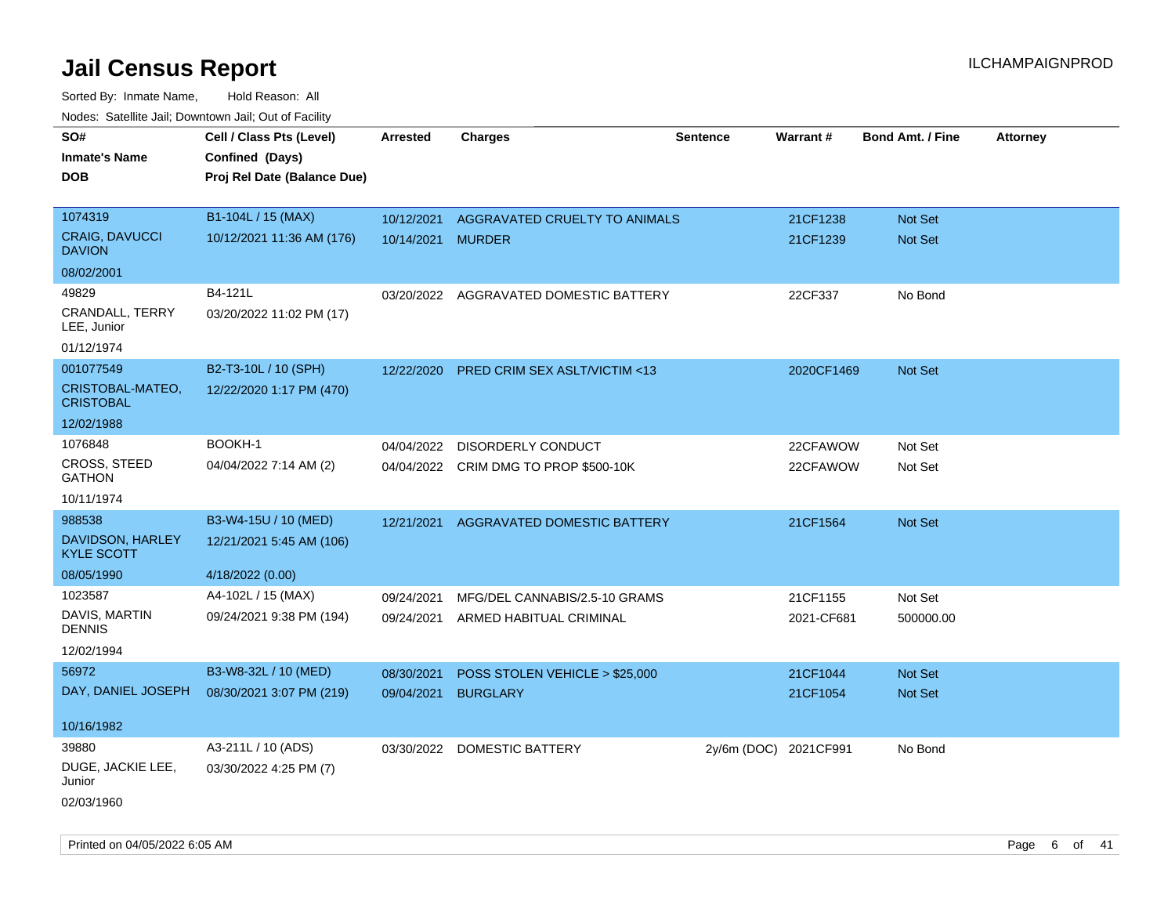Sorted By: Inmate Name, Hold Reason: All Nodes: Satellite Jail; Downtown Jail; Out of Facility

| SO#                                   | Cell / Class Pts (Level)    | <b>Arrested</b>   | <b>Charges</b>                          | <b>Sentence</b>       | Warrant#   | <b>Bond Amt. / Fine</b> | <b>Attorney</b> |
|---------------------------------------|-----------------------------|-------------------|-----------------------------------------|-----------------------|------------|-------------------------|-----------------|
| Inmate's Name                         | Confined (Days)             |                   |                                         |                       |            |                         |                 |
| <b>DOB</b>                            | Proj Rel Date (Balance Due) |                   |                                         |                       |            |                         |                 |
|                                       |                             |                   |                                         |                       |            |                         |                 |
| 1074319                               | B1-104L / 15 (MAX)          | 10/12/2021        | AGGRAVATED CRUELTY TO ANIMALS           |                       | 21CF1238   | <b>Not Set</b>          |                 |
| CRAIG, DAVUCCI<br><b>DAVION</b>       | 10/12/2021 11:36 AM (176)   | 10/14/2021 MURDER |                                         |                       | 21CF1239   | Not Set                 |                 |
| 08/02/2001                            |                             |                   |                                         |                       |            |                         |                 |
| 49829                                 | B4-121L                     |                   | 03/20/2022 AGGRAVATED DOMESTIC BATTERY  |                       | 22CF337    | No Bond                 |                 |
| CRANDALL, TERRY<br>LEE, Junior        | 03/20/2022 11:02 PM (17)    |                   |                                         |                       |            |                         |                 |
| 01/12/1974                            |                             |                   |                                         |                       |            |                         |                 |
| 001077549                             | B2-T3-10L / 10 (SPH)        | 12/22/2020        | <b>PRED CRIM SEX ASLT/VICTIM &lt;13</b> |                       | 2020CF1469 | <b>Not Set</b>          |                 |
| CRISTOBAL-MATEO,<br><b>CRISTOBAL</b>  | 12/22/2020 1:17 PM (470)    |                   |                                         |                       |            |                         |                 |
| 12/02/1988                            |                             |                   |                                         |                       |            |                         |                 |
| 1076848                               | BOOKH-1                     | 04/04/2022        | DISORDERLY CONDUCT                      |                       | 22CFAWOW   | Not Set                 |                 |
| <b>CROSS, STEED</b><br><b>GATHON</b>  | 04/04/2022 7:14 AM (2)      |                   | 04/04/2022 CRIM DMG TO PROP \$500-10K   |                       | 22CFAWOW   | Not Set                 |                 |
| 10/11/1974                            |                             |                   |                                         |                       |            |                         |                 |
| 988538                                | B3-W4-15U / 10 (MED)        | 12/21/2021        | AGGRAVATED DOMESTIC BATTERY             |                       | 21CF1564   | Not Set                 |                 |
| DAVIDSON, HARLEY<br><b>KYLE SCOTT</b> | 12/21/2021 5:45 AM (106)    |                   |                                         |                       |            |                         |                 |
| 08/05/1990                            | 4/18/2022 (0.00)            |                   |                                         |                       |            |                         |                 |
| 1023587                               | A4-102L / 15 (MAX)          | 09/24/2021        | MFG/DEL CANNABIS/2.5-10 GRAMS           |                       | 21CF1155   | Not Set                 |                 |
| DAVIS, MARTIN<br>DENNIS               | 09/24/2021 9:38 PM (194)    | 09/24/2021        | ARMED HABITUAL CRIMINAL                 |                       | 2021-CF681 | 500000.00               |                 |
| 12/02/1994                            |                             |                   |                                         |                       |            |                         |                 |
| 56972                                 | B3-W8-32L / 10 (MED)        | 08/30/2021        | POSS STOLEN VEHICLE > \$25,000          |                       | 21CF1044   | Not Set                 |                 |
| DAY, DANIEL JOSEPH                    | 08/30/2021 3:07 PM (219)    | 09/04/2021        | <b>BURGLARY</b>                         |                       | 21CF1054   | <b>Not Set</b>          |                 |
|                                       |                             |                   |                                         |                       |            |                         |                 |
| 10/16/1982                            |                             |                   |                                         |                       |            |                         |                 |
| 39880                                 | A3-211L / 10 (ADS)          |                   | 03/30/2022 DOMESTIC BATTERY             | 2y/6m (DOC) 2021CF991 |            | No Bond                 |                 |
| DUGE, JACKIE LEE,<br>Junior           | 03/30/2022 4:25 PM (7)      |                   |                                         |                       |            |                         |                 |
| $\frac{1}{2}$                         |                             |                   |                                         |                       |            |                         |                 |

02/03/1960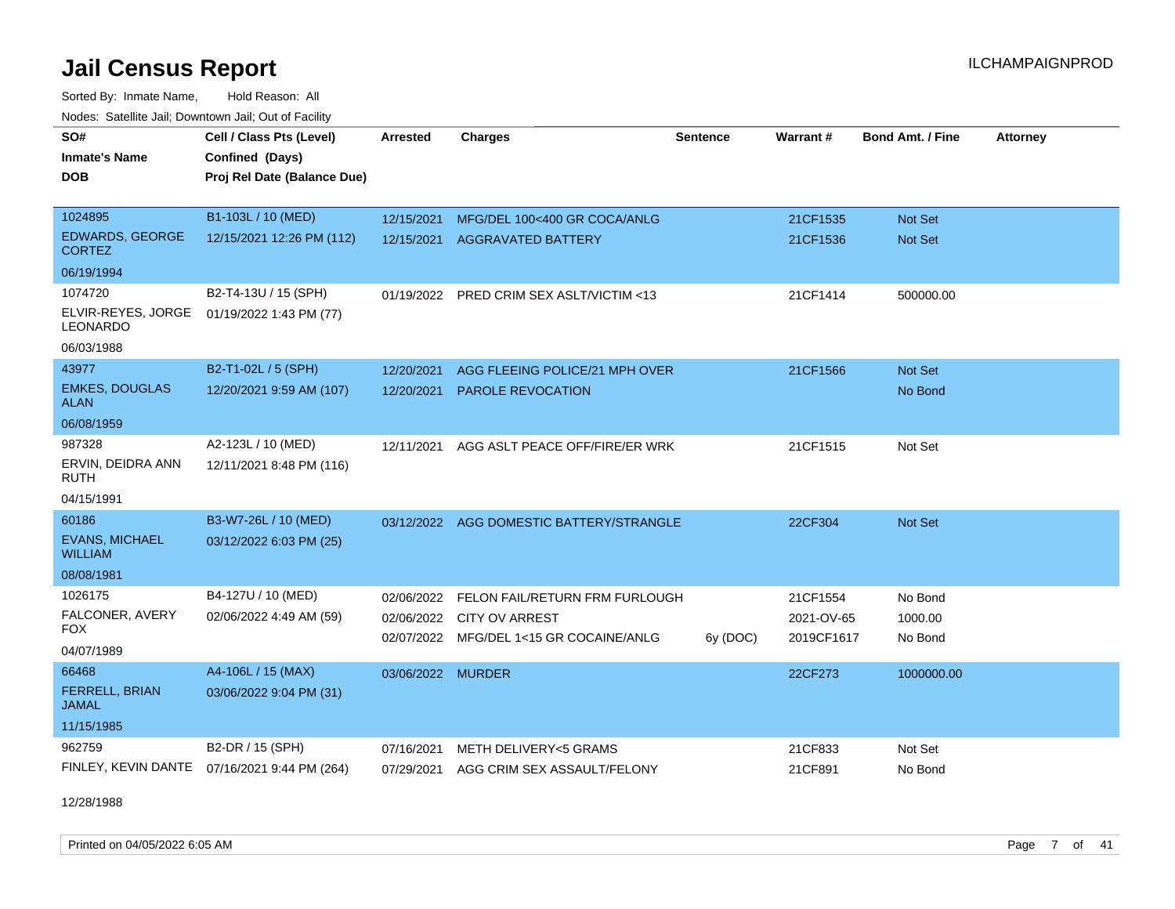Sorted By: Inmate Name, Hold Reason: All Nodes: Satellite Jail; Downtown Jail; Out of Facility

| SO#<br><b>Inmate's Name</b><br><b>DOB</b>                      | Cell / Class Pts (Level)<br>Confined (Days)<br>Proj Rel Date (Balance Due) | <b>Arrested</b>          | <b>Charges</b>                                                                                     | Sentence | Warrant#                             | <b>Bond Amt. / Fine</b>          | <b>Attorney</b> |
|----------------------------------------------------------------|----------------------------------------------------------------------------|--------------------------|----------------------------------------------------------------------------------------------------|----------|--------------------------------------|----------------------------------|-----------------|
| 1024895<br><b>EDWARDS, GEORGE</b><br><b>CORTEZ</b>             | B1-103L / 10 (MED)<br>12/15/2021 12:26 PM (112)                            | 12/15/2021<br>12/15/2021 | MFG/DEL 100<400 GR COCA/ANLG<br><b>AGGRAVATED BATTERY</b>                                          |          | 21CF1535<br>21CF1536                 | <b>Not Set</b><br><b>Not Set</b> |                 |
| 06/19/1994                                                     |                                                                            |                          |                                                                                                    |          |                                      |                                  |                 |
| 1074720<br>ELVIR-REYES, JORGE<br><b>LEONARDO</b>               | B2-T4-13U / 15 (SPH)<br>01/19/2022 1:43 PM (77)                            |                          | 01/19/2022 PRED CRIM SEX ASLT/VICTIM <13                                                           |          | 21CF1414                             | 500000.00                        |                 |
| 06/03/1988                                                     |                                                                            |                          |                                                                                                    |          |                                      |                                  |                 |
| 43977<br><b>EMKES, DOUGLAS</b><br><b>ALAN</b>                  | B2-T1-02L / 5 (SPH)<br>12/20/2021 9:59 AM (107)                            | 12/20/2021<br>12/20/2021 | AGG FLEEING POLICE/21 MPH OVER<br><b>PAROLE REVOCATION</b>                                         |          | 21CF1566                             | Not Set<br>No Bond               |                 |
| 06/08/1959                                                     |                                                                            |                          |                                                                                                    |          |                                      |                                  |                 |
| 987328<br>ERVIN, DEIDRA ANN<br>RUTH<br>04/15/1991              | A2-123L / 10 (MED)<br>12/11/2021 8:48 PM (116)                             | 12/11/2021               | AGG ASLT PEACE OFF/FIRE/ER WRK                                                                     |          | 21CF1515                             | Not Set                          |                 |
| 60186<br><b>EVANS, MICHAEL</b><br><b>WILLIAM</b><br>08/08/1981 | B3-W7-26L / 10 (MED)<br>03/12/2022 6:03 PM (25)                            |                          | 03/12/2022 AGG DOMESTIC BATTERY/STRANGLE                                                           |          | 22CF304                              | <b>Not Set</b>                   |                 |
| 1026175<br>FALCONER, AVERY<br><b>FOX</b><br>04/07/1989         | B4-127U / 10 (MED)<br>02/06/2022 4:49 AM (59)                              | 02/06/2022<br>02/06/2022 | FELON FAIL/RETURN FRM FURLOUGH<br><b>CITY OV ARREST</b><br>02/07/2022 MFG/DEL 1<15 GR COCAINE/ANLG | 6y (DOC) | 21CF1554<br>2021-OV-65<br>2019CF1617 | No Bond<br>1000.00<br>No Bond    |                 |
| 66468<br><b>FERRELL, BRIAN</b><br><b>JAMAL</b><br>11/15/1985   | A4-106L / 15 (MAX)<br>03/06/2022 9:04 PM (31)                              | 03/06/2022 MURDER        |                                                                                                    |          | 22CF273                              | 1000000.00                       |                 |
| 962759                                                         | B2-DR / 15 (SPH)<br>FINLEY, KEVIN DANTE 07/16/2021 9:44 PM (264)           | 07/16/2021<br>07/29/2021 | METH DELIVERY<5 GRAMS<br>AGG CRIM SEX ASSAULT/FELONY                                               |          | 21CF833<br>21CF891                   | Not Set<br>No Bond               |                 |

12/28/1988

Printed on 04/05/2022 6:05 AM Page 7 of 41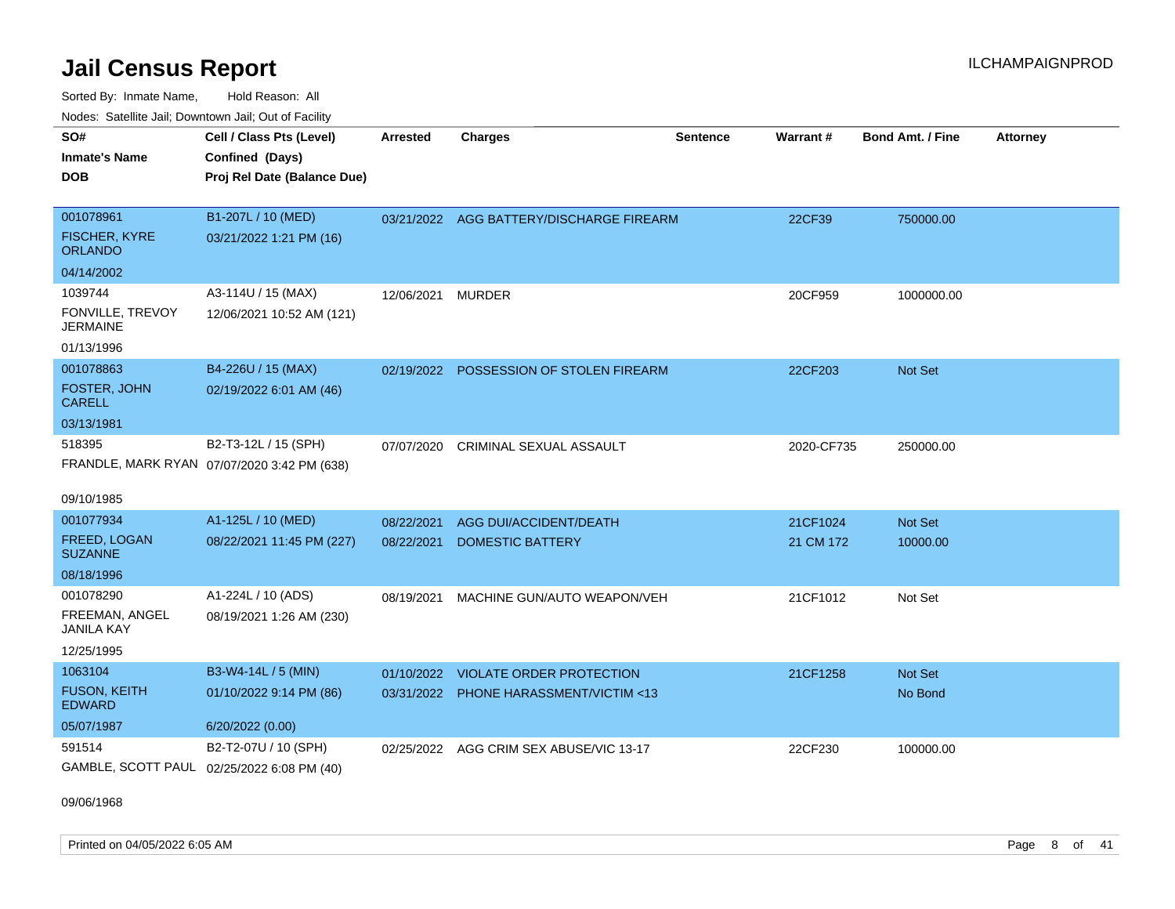Sorted By: Inmate Name, Hold Reason: All Nodes: Satellite Jail; Downtown Jail; Out of Facility

| SO#                                        | Cell / Class Pts (Level)                    | <b>Arrested</b>   | <b>Charges</b>                           | <b>Sentence</b> | <b>Warrant#</b> | <b>Bond Amt. / Fine</b> | <b>Attorney</b> |
|--------------------------------------------|---------------------------------------------|-------------------|------------------------------------------|-----------------|-----------------|-------------------------|-----------------|
| <b>Inmate's Name</b>                       | Confined (Days)                             |                   |                                          |                 |                 |                         |                 |
| <b>DOB</b>                                 | Proj Rel Date (Balance Due)                 |                   |                                          |                 |                 |                         |                 |
|                                            |                                             |                   |                                          |                 |                 |                         |                 |
| 001078961                                  | B1-207L / 10 (MED)                          |                   | 03/21/2022 AGG BATTERY/DISCHARGE FIREARM |                 | 22CF39          | 750000.00               |                 |
| <b>FISCHER, KYRE</b><br><b>ORLANDO</b>     | 03/21/2022 1:21 PM (16)                     |                   |                                          |                 |                 |                         |                 |
| 04/14/2002                                 |                                             |                   |                                          |                 |                 |                         |                 |
| 1039744                                    | A3-114U / 15 (MAX)                          | 12/06/2021 MURDER |                                          |                 | 20CF959         | 1000000.00              |                 |
| FONVILLE, TREVOY<br><b>JERMAINE</b>        | 12/06/2021 10:52 AM (121)                   |                   |                                          |                 |                 |                         |                 |
| 01/13/1996                                 |                                             |                   |                                          |                 |                 |                         |                 |
| 001078863                                  | B4-226U / 15 (MAX)                          | 02/19/2022        | POSSESSION OF STOLEN FIREARM             |                 | 22CF203         | <b>Not Set</b>          |                 |
| <b>FOSTER, JOHN</b><br><b>CARELL</b>       | 02/19/2022 6:01 AM (46)                     |                   |                                          |                 |                 |                         |                 |
| 03/13/1981                                 |                                             |                   |                                          |                 |                 |                         |                 |
| 518395                                     | B2-T3-12L / 15 (SPH)                        | 07/07/2020        | <b>CRIMINAL SEXUAL ASSAULT</b>           |                 | 2020-CF735      | 250000.00               |                 |
|                                            | FRANDLE, MARK RYAN 07/07/2020 3:42 PM (638) |                   |                                          |                 |                 |                         |                 |
|                                            |                                             |                   |                                          |                 |                 |                         |                 |
| 09/10/1985                                 |                                             |                   |                                          |                 |                 |                         |                 |
| 001077934                                  | A1-125L / 10 (MED)                          | 08/22/2021        | AGG DUI/ACCIDENT/DEATH                   |                 | 21CF1024        | Not Set                 |                 |
| FREED, LOGAN<br><b>SUZANNE</b>             | 08/22/2021 11:45 PM (227)                   | 08/22/2021        | <b>DOMESTIC BATTERY</b>                  |                 | 21 CM 172       | 10000.00                |                 |
| 08/18/1996                                 |                                             |                   |                                          |                 |                 |                         |                 |
| 001078290                                  | A1-224L / 10 (ADS)                          | 08/19/2021        | MACHINE GUN/AUTO WEAPON/VEH              |                 | 21CF1012        | Not Set                 |                 |
| FREEMAN, ANGEL<br><b>JANILA KAY</b>        | 08/19/2021 1:26 AM (230)                    |                   |                                          |                 |                 |                         |                 |
| 12/25/1995                                 |                                             |                   |                                          |                 |                 |                         |                 |
| 1063104                                    | B3-W4-14L / 5 (MIN)                         | 01/10/2022        | <b>VIOLATE ORDER PROTECTION</b>          |                 | 21CF1258        | Not Set                 |                 |
| <b>FUSON, KEITH</b><br><b>EDWARD</b>       | 01/10/2022 9:14 PM (86)                     |                   | 03/31/2022 PHONE HARASSMENT/VICTIM <13   |                 |                 | No Bond                 |                 |
| 05/07/1987                                 | 6/20/2022 (0.00)                            |                   |                                          |                 |                 |                         |                 |
| 591514                                     | B2-T2-07U / 10 (SPH)                        | 02/25/2022        | AGG CRIM SEX ABUSE/VIC 13-17             |                 | 22CF230         | 100000.00               |                 |
| GAMBLE, SCOTT PAUL 02/25/2022 6:08 PM (40) |                                             |                   |                                          |                 |                 |                         |                 |

09/06/1968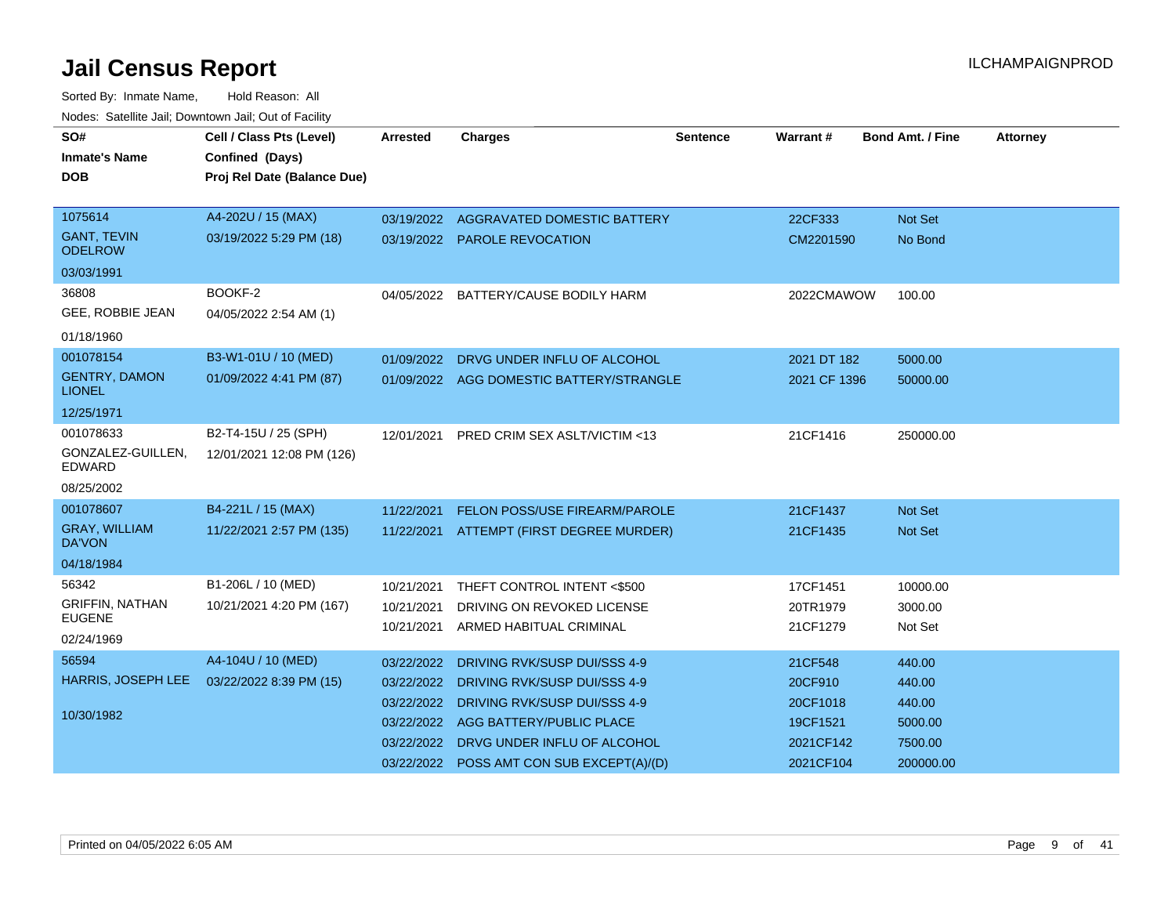| SO#<br><b>Inmate's Name</b>           | Cell / Class Pts (Level)<br>Confined (Days) | <b>Arrested</b> | <b>Charges</b>                           | Sentence | Warrant#     | <b>Bond Amt. / Fine</b> | <b>Attorney</b> |
|---------------------------------------|---------------------------------------------|-----------------|------------------------------------------|----------|--------------|-------------------------|-----------------|
| <b>DOB</b>                            | Proj Rel Date (Balance Due)                 |                 |                                          |          |              |                         |                 |
|                                       |                                             |                 |                                          |          |              |                         |                 |
| 1075614                               | A4-202U / 15 (MAX)                          |                 | 03/19/2022 AGGRAVATED DOMESTIC BATTERY   |          | 22CF333      | Not Set                 |                 |
| <b>GANT, TEVIN</b><br><b>ODELROW</b>  | 03/19/2022 5:29 PM (18)                     |                 | 03/19/2022 PAROLE REVOCATION             |          | CM2201590    | No Bond                 |                 |
| 03/03/1991                            |                                             |                 |                                          |          |              |                         |                 |
| 36808                                 | BOOKF-2                                     | 04/05/2022      | BATTERY/CAUSE BODILY HARM                |          | 2022CMAWOW   | 100.00                  |                 |
| GEE, ROBBIE JEAN                      | 04/05/2022 2:54 AM (1)                      |                 |                                          |          |              |                         |                 |
| 01/18/1960                            |                                             |                 |                                          |          |              |                         |                 |
| 001078154                             | B3-W1-01U / 10 (MED)                        | 01/09/2022      | DRVG UNDER INFLU OF ALCOHOL              |          | 2021 DT 182  | 5000.00                 |                 |
| <b>GENTRY, DAMON</b><br><b>LIONEL</b> | 01/09/2022 4:41 PM (87)                     |                 | 01/09/2022 AGG DOMESTIC BATTERY/STRANGLE |          | 2021 CF 1396 | 50000.00                |                 |
| 12/25/1971                            |                                             |                 |                                          |          |              |                         |                 |
| 001078633                             | B2-T4-15U / 25 (SPH)                        | 12/01/2021      | PRED CRIM SEX ASLT/VICTIM <13            |          | 21CF1416     | 250000.00               |                 |
| GONZALEZ-GUILLEN.<br>EDWARD           | 12/01/2021 12:08 PM (126)                   |                 |                                          |          |              |                         |                 |
| 08/25/2002                            |                                             |                 |                                          |          |              |                         |                 |
| 001078607                             | B4-221L / 15 (MAX)                          | 11/22/2021      | <b>FELON POSS/USE FIREARM/PAROLE</b>     |          | 21CF1437     | Not Set                 |                 |
| <b>GRAY, WILLIAM</b><br><b>DA'VON</b> | 11/22/2021 2:57 PM (135)                    | 11/22/2021      | ATTEMPT (FIRST DEGREE MURDER)            |          | 21CF1435     | Not Set                 |                 |
| 04/18/1984                            |                                             |                 |                                          |          |              |                         |                 |
| 56342                                 | B1-206L / 10 (MED)                          | 10/21/2021      | THEFT CONTROL INTENT <\$500              |          | 17CF1451     | 10000.00                |                 |
| <b>GRIFFIN, NATHAN</b>                | 10/21/2021 4:20 PM (167)                    | 10/21/2021      | DRIVING ON REVOKED LICENSE               |          | 20TR1979     | 3000.00                 |                 |
| <b>EUGENE</b>                         |                                             | 10/21/2021      | ARMED HABITUAL CRIMINAL                  |          | 21CF1279     | Not Set                 |                 |
| 02/24/1969                            |                                             |                 |                                          |          |              |                         |                 |
| 56594                                 | A4-104U / 10 (MED)                          | 03/22/2022      | DRIVING RVK/SUSP DUI/SSS 4-9             |          | 21CF548      | 440.00                  |                 |
| HARRIS, JOSEPH LEE                    | 03/22/2022 8:39 PM (15)                     | 03/22/2022      | DRIVING RVK/SUSP DUI/SSS 4-9             |          | 20CF910      | 440.00                  |                 |
| 10/30/1982                            |                                             | 03/22/2022      | DRIVING RVK/SUSP DUI/SSS 4-9             |          | 20CF1018     | 440.00                  |                 |
|                                       |                                             | 03/22/2022      | AGG BATTERY/PUBLIC PLACE                 |          | 19CF1521     | 5000.00                 |                 |
|                                       |                                             | 03/22/2022      | DRVG UNDER INFLU OF ALCOHOL              |          | 2021CF142    | 7500.00                 |                 |
|                                       |                                             | 03/22/2022      | POSS AMT CON SUB EXCEPT(A)/(D)           |          | 2021CF104    | 200000.00               |                 |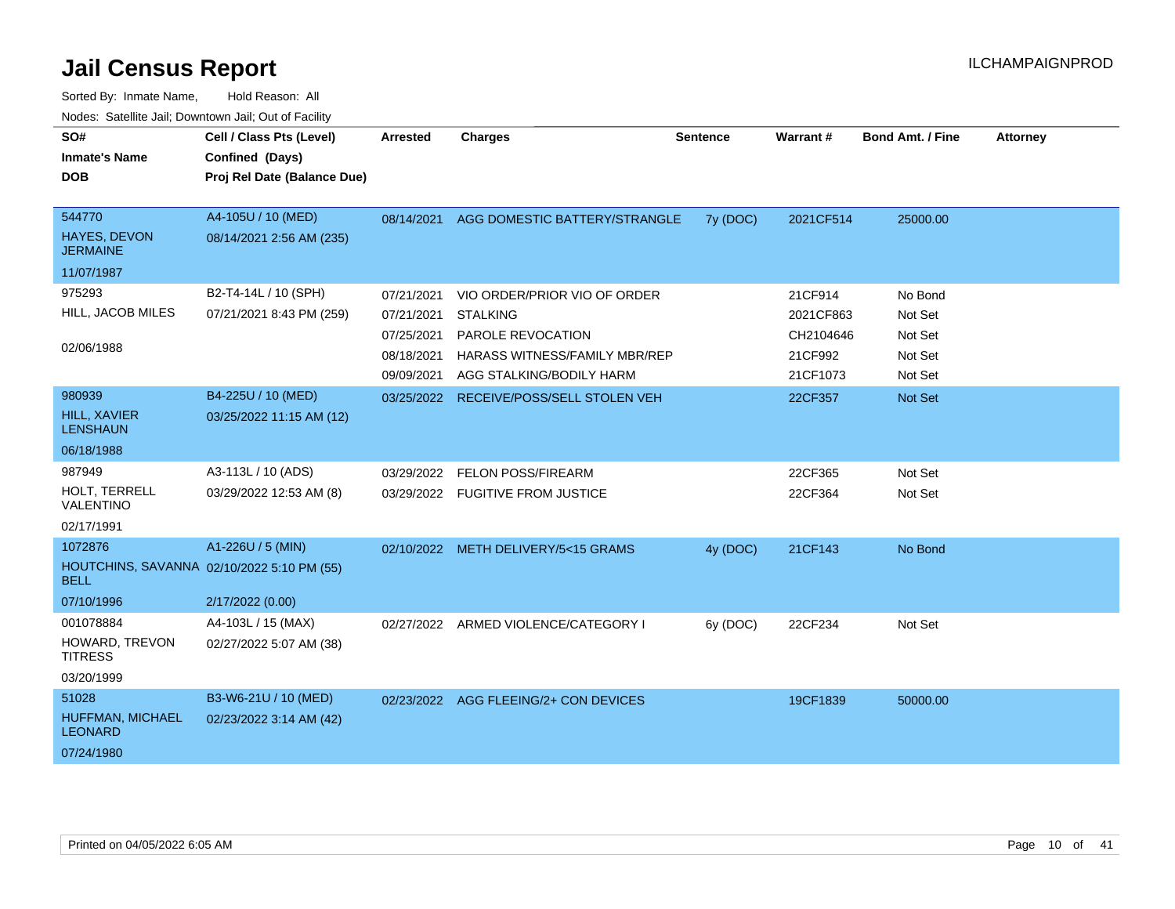| SO#<br><b>Inmate's Name</b><br><b>DOB</b>                 | Cell / Class Pts (Level)<br>Confined (Days)<br>Proj Rel Date (Balance Due) | <b>Arrested</b> | <b>Charges</b>                        | <b>Sentence</b> | Warrant#  | <b>Bond Amt. / Fine</b> | <b>Attorney</b> |
|-----------------------------------------------------------|----------------------------------------------------------------------------|-----------------|---------------------------------------|-----------------|-----------|-------------------------|-----------------|
| 544770<br><b>HAYES, DEVON</b><br><b>JERMAINE</b>          | A4-105U / 10 (MED)<br>08/14/2021 2:56 AM (235)                             | 08/14/2021      | AGG DOMESTIC BATTERY/STRANGLE         | 7y (DOC)        | 2021CF514 | 25000.00                |                 |
| 11/07/1987                                                |                                                                            |                 |                                       |                 |           |                         |                 |
| 975293                                                    | B2-T4-14L / 10 (SPH)                                                       | 07/21/2021      | VIO ORDER/PRIOR VIO OF ORDER          |                 | 21CF914   | No Bond                 |                 |
| HILL, JACOB MILES                                         | 07/21/2021 8:43 PM (259)                                                   | 07/21/2021      | <b>STALKING</b>                       |                 | 2021CF863 | Not Set                 |                 |
|                                                           |                                                                            | 07/25/2021      | PAROLE REVOCATION                     |                 | CH2104646 | Not Set                 |                 |
| 02/06/1988                                                |                                                                            | 08/18/2021      | HARASS WITNESS/FAMILY MBR/REP         |                 | 21CF992   | Not Set                 |                 |
|                                                           |                                                                            | 09/09/2021      | AGG STALKING/BODILY HARM              |                 | 21CF1073  | Not Set                 |                 |
| 980939                                                    | B4-225U / 10 (MED)                                                         | 03/25/2022      | RECEIVE/POSS/SELL STOLEN VEH          |                 | 22CF357   | Not Set                 |                 |
| HILL, XAVIER<br><b>LENSHAUN</b>                           | 03/25/2022 11:15 AM (12)                                                   |                 |                                       |                 |           |                         |                 |
| 06/18/1988                                                |                                                                            |                 |                                       |                 |           |                         |                 |
| 987949                                                    | A3-113L / 10 (ADS)                                                         | 03/29/2022      | FELON POSS/FIREARM                    |                 | 22CF365   | Not Set                 |                 |
| HOLT, TERRELL<br>VALENTINO                                | 03/29/2022 12:53 AM (8)                                                    |                 | 03/29/2022 FUGITIVE FROM JUSTICE      |                 | 22CF364   | Not Set                 |                 |
| 02/17/1991                                                |                                                                            |                 |                                       |                 |           |                         |                 |
| 1072876                                                   | A1-226U / 5 (MIN)                                                          |                 | 02/10/2022 METH DELIVERY/5<15 GRAMS   | 4y (DOC)        | 21CF143   | No Bond                 |                 |
| HOUTCHINS, SAVANNA 02/10/2022 5:10 PM (55)<br><b>BELL</b> |                                                                            |                 |                                       |                 |           |                         |                 |
| 07/10/1996                                                | 2/17/2022 (0.00)                                                           |                 |                                       |                 |           |                         |                 |
| 001078884                                                 | A4-103L / 15 (MAX)                                                         |                 | 02/27/2022 ARMED VIOLENCE/CATEGORY I  | 6y (DOC)        | 22CF234   | Not Set                 |                 |
| HOWARD, TREVON<br><b>TITRESS</b>                          | 02/27/2022 5:07 AM (38)                                                    |                 |                                       |                 |           |                         |                 |
| 03/20/1999                                                |                                                                            |                 |                                       |                 |           |                         |                 |
| 51028                                                     | B3-W6-21U / 10 (MED)                                                       |                 | 02/23/2022 AGG FLEEING/2+ CON DEVICES |                 | 19CF1839  | 50000.00                |                 |
| HUFFMAN, MICHAEL<br><b>LEONARD</b>                        | 02/23/2022 3:14 AM (42)                                                    |                 |                                       |                 |           |                         |                 |
| 07/24/1980                                                |                                                                            |                 |                                       |                 |           |                         |                 |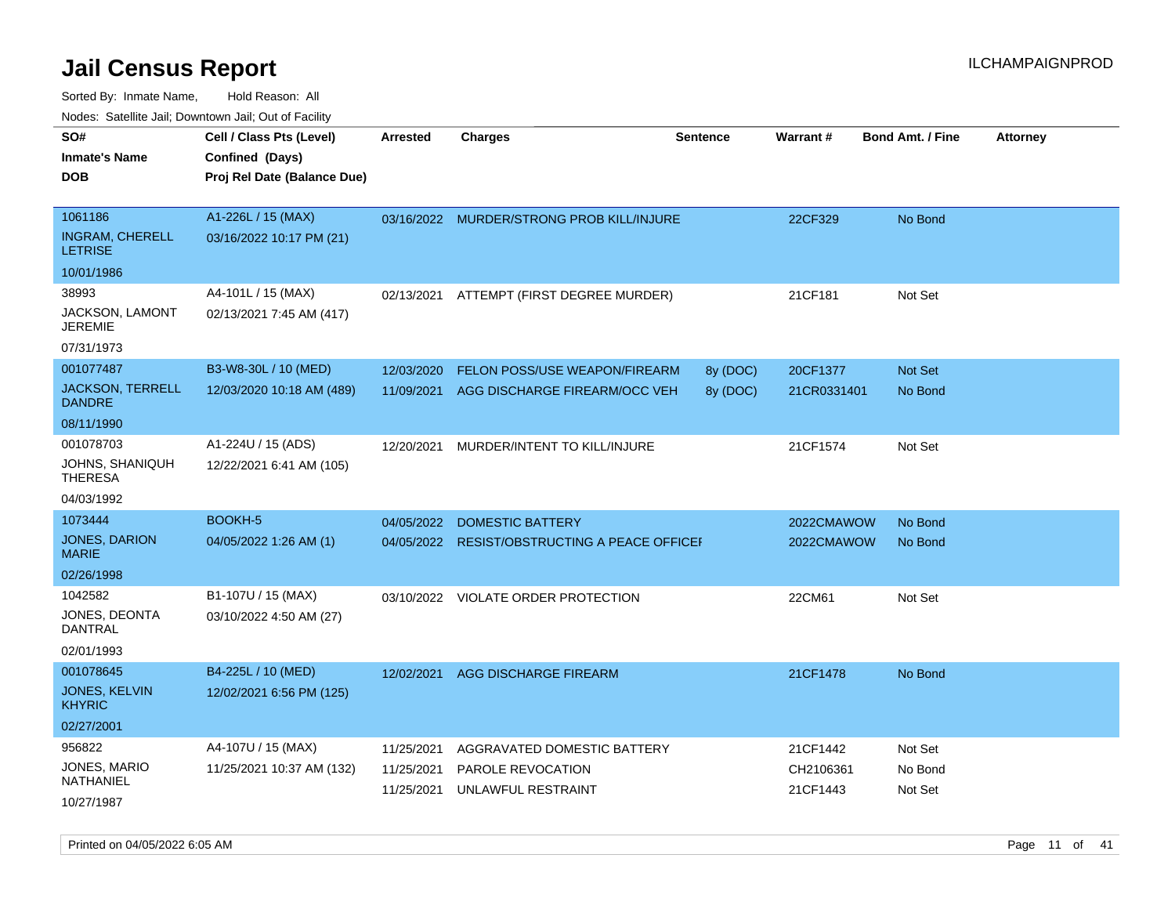| noaco. Catolino cali, Domntonni cali, Cat on I acilit<br>SO# | Cell / Class Pts (Level)    | <b>Arrested</b> | Charges                                   | <b>Sentence</b> | <b>Warrant#</b> | <b>Bond Amt. / Fine</b> | <b>Attorney</b> |
|--------------------------------------------------------------|-----------------------------|-----------------|-------------------------------------------|-----------------|-----------------|-------------------------|-----------------|
| Inmate's Name                                                | Confined (Days)             |                 |                                           |                 |                 |                         |                 |
| DOB                                                          | Proj Rel Date (Balance Due) |                 |                                           |                 |                 |                         |                 |
|                                                              |                             |                 |                                           |                 |                 |                         |                 |
| 1061186                                                      | A1-226L / 15 (MAX)          |                 | 03/16/2022 MURDER/STRONG PROB KILL/INJURE |                 | 22CF329         | No Bond                 |                 |
| <b>INGRAM, CHERELL</b><br><b>LETRISE</b>                     | 03/16/2022 10:17 PM (21)    |                 |                                           |                 |                 |                         |                 |
| 10/01/1986                                                   |                             |                 |                                           |                 |                 |                         |                 |
| 38993                                                        | A4-101L / 15 (MAX)          | 02/13/2021      | ATTEMPT (FIRST DEGREE MURDER)             |                 | 21CF181         | Not Set                 |                 |
| JACKSON, LAMONT<br>JEREMIE                                   | 02/13/2021 7:45 AM (417)    |                 |                                           |                 |                 |                         |                 |
| 07/31/1973                                                   |                             |                 |                                           |                 |                 |                         |                 |
| 001077487                                                    | B3-W8-30L / 10 (MED)        | 12/03/2020      | FELON POSS/USE WEAPON/FIREARM             | 8y (DOC)        | 20CF1377        | Not Set                 |                 |
| JACKSON, TERRELL<br>DANDRE                                   | 12/03/2020 10:18 AM (489)   | 11/09/2021      | AGG DISCHARGE FIREARM/OCC VEH             | 8y (DOC)        | 21CR0331401     | No Bond                 |                 |
| 08/11/1990                                                   |                             |                 |                                           |                 |                 |                         |                 |
| 001078703                                                    | A1-224U / 15 (ADS)          | 12/20/2021      | MURDER/INTENT TO KILL/INJURE              |                 | 21CF1574        | Not Set                 |                 |
| JOHNS, SHANIQUH<br>THERESA                                   | 12/22/2021 6:41 AM (105)    |                 |                                           |                 |                 |                         |                 |
| 04/03/1992                                                   |                             |                 |                                           |                 |                 |                         |                 |
| 1073444                                                      | <b>BOOKH-5</b>              | 04/05/2022      | DOMESTIC BATTERY                          |                 | 2022CMAWOW      | No Bond                 |                 |
| JONES, DARION<br>MARIE                                       | 04/05/2022 1:26 AM (1)      | 04/05/2022      | RESIST/OBSTRUCTING A PEACE OFFICER        |                 | 2022CMAWOW      | No Bond                 |                 |
| 02/26/1998                                                   |                             |                 |                                           |                 |                 |                         |                 |
| 1042582                                                      | B1-107U / 15 (MAX)          |                 | 03/10/2022 VIOLATE ORDER PROTECTION       |                 | 22CM61          | Not Set                 |                 |
| JONES, DEONTA<br>DANTRAL                                     | 03/10/2022 4:50 AM (27)     |                 |                                           |                 |                 |                         |                 |
| 02/01/1993                                                   |                             |                 |                                           |                 |                 |                         |                 |
| 001078645                                                    | B4-225L / 10 (MED)          | 12/02/2021      | AGG DISCHARGE FIREARM                     |                 | 21CF1478        | No Bond                 |                 |
| JONES, KELVIN<br><b>KHYRIC</b>                               | 12/02/2021 6:56 PM (125)    |                 |                                           |                 |                 |                         |                 |
| 02/27/2001                                                   |                             |                 |                                           |                 |                 |                         |                 |
| 956822                                                       | A4-107U / 15 (MAX)          | 11/25/2021      | AGGRAVATED DOMESTIC BATTERY               |                 | 21CF1442        | Not Set                 |                 |
| JONES, MARIO                                                 | 11/25/2021 10:37 AM (132)   | 11/25/2021      | PAROLE REVOCATION                         |                 | CH2106361       | No Bond                 |                 |
| NATHANIEL                                                    |                             | 11/25/2021      | UNLAWFUL RESTRAINT                        |                 | 21CF1443        | Not Set                 |                 |
| 10/27/1987                                                   |                             |                 |                                           |                 |                 |                         |                 |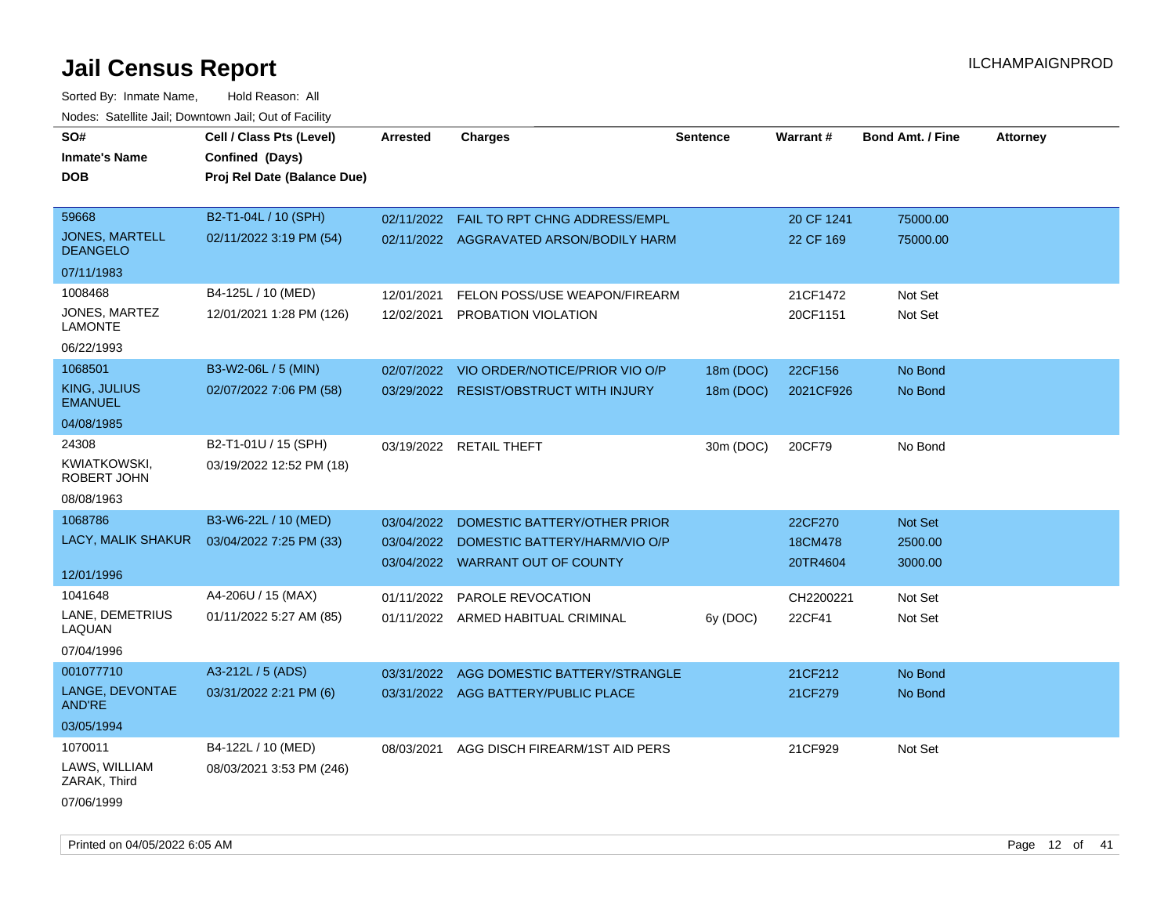| SO#<br><b>Inmate's Name</b><br><b>DOB</b> | Cell / Class Pts (Level)<br>Confined (Days)<br>Proj Rel Date (Balance Due) | <b>Arrested</b> | <b>Charges</b>                          | <b>Sentence</b> | Warrant#   | <b>Bond Amt. / Fine</b> | <b>Attorney</b> |
|-------------------------------------------|----------------------------------------------------------------------------|-----------------|-----------------------------------------|-----------------|------------|-------------------------|-----------------|
| 59668                                     | B2-T1-04L / 10 (SPH)                                                       | 02/11/2022      | FAIL TO RPT CHNG ADDRESS/EMPL           |                 | 20 CF 1241 | 75000.00                |                 |
| <b>JONES, MARTELL</b><br><b>DEANGELO</b>  | 02/11/2022 3:19 PM (54)                                                    |                 | 02/11/2022 AGGRAVATED ARSON/BODILY HARM |                 | 22 CF 169  | 75000.00                |                 |
| 07/11/1983                                |                                                                            |                 |                                         |                 |            |                         |                 |
| 1008468                                   | B4-125L / 10 (MED)                                                         | 12/01/2021      | FELON POSS/USE WEAPON/FIREARM           |                 | 21CF1472   | Not Set                 |                 |
| JONES, MARTEZ<br><b>LAMONTE</b>           | 12/01/2021 1:28 PM (126)                                                   | 12/02/2021      | PROBATION VIOLATION                     |                 | 20CF1151   | Not Set                 |                 |
| 06/22/1993                                |                                                                            |                 |                                         |                 |            |                         |                 |
| 1068501                                   | B3-W2-06L / 5 (MIN)                                                        | 02/07/2022      | VIO ORDER/NOTICE/PRIOR VIO O/P          | 18m (DOC)       | 22CF156    | No Bond                 |                 |
| KING, JULIUS<br><b>EMANUEL</b>            | 02/07/2022 7:06 PM (58)                                                    |                 | 03/29/2022 RESIST/OBSTRUCT WITH INJURY  | 18m (DOC)       | 2021CF926  | No Bond                 |                 |
| 04/08/1985                                |                                                                            |                 |                                         |                 |            |                         |                 |
| 24308<br>KWIATKOWSKI,                     | B2-T1-01U / 15 (SPH)<br>03/19/2022 12:52 PM (18)                           |                 | 03/19/2022 RETAIL THEFT                 | 30m (DOC)       | 20CF79     | No Bond                 |                 |
| ROBERT JOHN                               |                                                                            |                 |                                         |                 |            |                         |                 |
| 08/08/1963                                |                                                                            |                 |                                         |                 |            |                         |                 |
| 1068786                                   | B3-W6-22L / 10 (MED)                                                       | 03/04/2022      | DOMESTIC BATTERY/OTHER PRIOR            |                 | 22CF270    | Not Set                 |                 |
| LACY, MALIK SHAKUR                        | 03/04/2022 7:25 PM (33)                                                    | 03/04/2022      | DOMESTIC BATTERY/HARM/VIO O/P           |                 | 18CM478    | 2500.00                 |                 |
|                                           |                                                                            |                 | 03/04/2022 WARRANT OUT OF COUNTY        |                 | 20TR4604   | 3000.00                 |                 |
| 12/01/1996                                |                                                                            |                 |                                         |                 |            |                         |                 |
| 1041648                                   | A4-206U / 15 (MAX)                                                         | 01/11/2022      | PAROLE REVOCATION                       |                 | CH2200221  | Not Set                 |                 |
| LANE, DEMETRIUS<br>LAQUAN                 | 01/11/2022 5:27 AM (85)                                                    |                 | 01/11/2022 ARMED HABITUAL CRIMINAL      | 6y (DOC)        | 22CF41     | Not Set                 |                 |
| 07/04/1996                                |                                                                            |                 |                                         |                 |            |                         |                 |
| 001077710                                 | A3-212L / 5 (ADS)                                                          | 03/31/2022      | AGG DOMESTIC BATTERY/STRANGLE           |                 | 21CF212    | No Bond                 |                 |
| LANGE, DEVONTAE<br><b>AND'RE</b>          | 03/31/2022 2:21 PM (6)                                                     |                 | 03/31/2022 AGG BATTERY/PUBLIC PLACE     |                 | 21CF279    | No Bond                 |                 |
| 03/05/1994                                |                                                                            |                 |                                         |                 |            |                         |                 |
| 1070011                                   | B4-122L / 10 (MED)                                                         | 08/03/2021      | AGG DISCH FIREARM/1ST AID PERS          |                 | 21CF929    | Not Set                 |                 |
| LAWS, WILLIAM<br>ZARAK, Third             | 08/03/2021 3:53 PM (246)                                                   |                 |                                         |                 |            |                         |                 |
| 07/06/1999                                |                                                                            |                 |                                         |                 |            |                         |                 |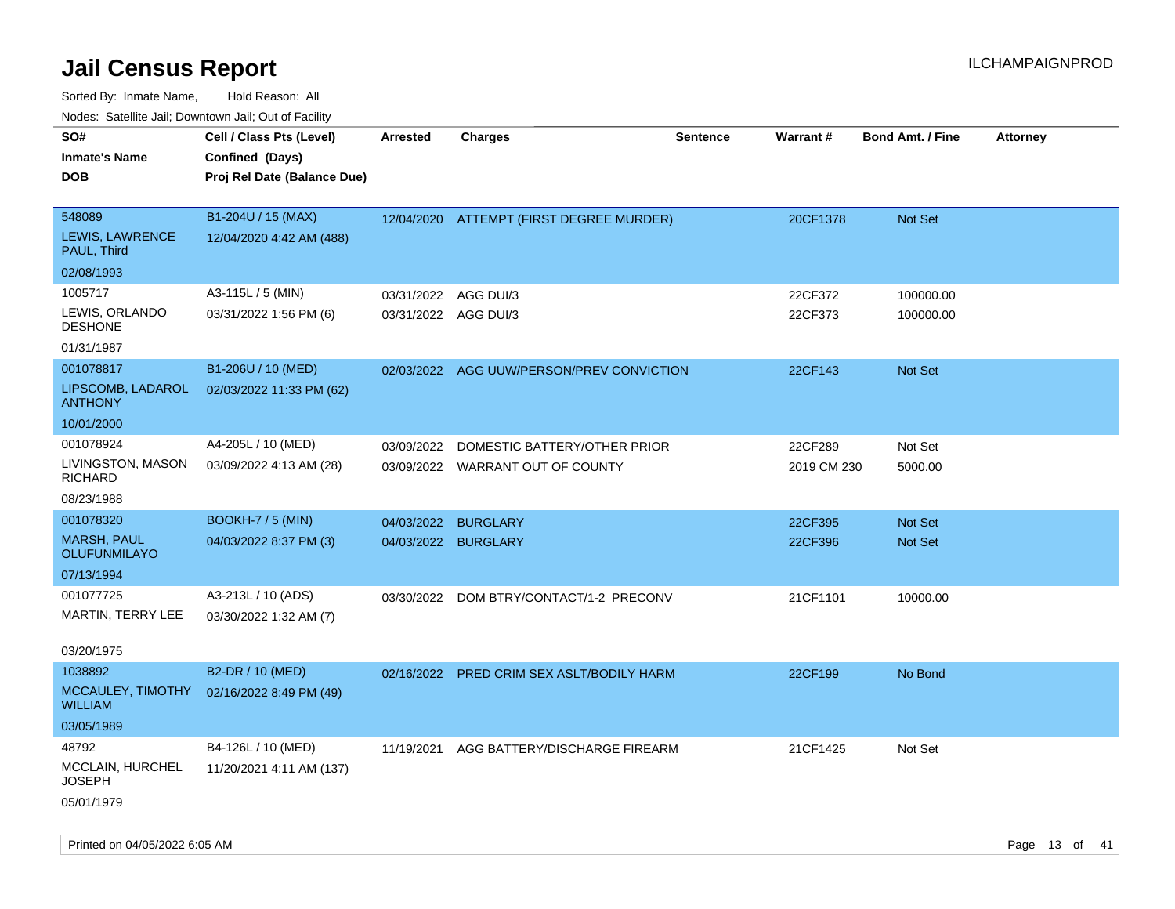Sorted By: Inmate Name, Hold Reason: All

| Nodes: Satellite Jail; Downtown Jail; Out of Facility |  |
|-------------------------------------------------------|--|
|                                                       |  |

| SO#<br><b>Inmate's Name</b><br><b>DOB</b>       | Cell / Class Pts (Level)<br>Confined (Days)<br>Proj Rel Date (Balance Due) | <b>Arrested</b>      | <b>Charges</b>                            | <b>Sentence</b> | Warrant#    | <b>Bond Amt. / Fine</b> | <b>Attorney</b> |
|-------------------------------------------------|----------------------------------------------------------------------------|----------------------|-------------------------------------------|-----------------|-------------|-------------------------|-----------------|
| 548089<br><b>LEWIS, LAWRENCE</b><br>PAUL, Third | B1-204U / 15 (MAX)<br>12/04/2020 4:42 AM (488)                             |                      | 12/04/2020 ATTEMPT (FIRST DEGREE MURDER)  |                 | 20CF1378    | <b>Not Set</b>          |                 |
| 02/08/1993                                      |                                                                            |                      |                                           |                 |             |                         |                 |
| 1005717                                         | A3-115L / 5 (MIN)                                                          | 03/31/2022           | AGG DUI/3                                 |                 | 22CF372     | 100000.00               |                 |
| LEWIS, ORLANDO<br><b>DESHONE</b>                | 03/31/2022 1:56 PM (6)                                                     | 03/31/2022 AGG DUI/3 |                                           |                 | 22CF373     | 100000.00               |                 |
| 01/31/1987                                      |                                                                            |                      |                                           |                 |             |                         |                 |
| 001078817                                       | B1-206U / 10 (MED)                                                         |                      | 02/03/2022 AGG UUW/PERSON/PREV CONVICTION |                 | 22CF143     | Not Set                 |                 |
| LIPSCOMB, LADAROL<br><b>ANTHONY</b>             | 02/03/2022 11:33 PM (62)                                                   |                      |                                           |                 |             |                         |                 |
| 10/01/2000                                      |                                                                            |                      |                                           |                 |             |                         |                 |
| 001078924                                       | A4-205L / 10 (MED)                                                         | 03/09/2022           | DOMESTIC BATTERY/OTHER PRIOR              |                 | 22CF289     | Not Set                 |                 |
| LIVINGSTON, MASON<br><b>RICHARD</b>             | 03/09/2022 4:13 AM (28)                                                    |                      | 03/09/2022 WARRANT OUT OF COUNTY          |                 | 2019 CM 230 | 5000.00                 |                 |
| 08/23/1988                                      |                                                                            |                      |                                           |                 |             |                         |                 |
| 001078320                                       | <b>BOOKH-7 / 5 (MIN)</b>                                                   | 04/03/2022           | <b>BURGLARY</b>                           |                 | 22CF395     | Not Set                 |                 |
| <b>MARSH, PAUL</b><br><b>OLUFUNMILAYO</b>       | 04/03/2022 8:37 PM (3)                                                     | 04/03/2022 BURGLARY  |                                           |                 | 22CF396     | Not Set                 |                 |
| 07/13/1994                                      |                                                                            |                      |                                           |                 |             |                         |                 |
| 001077725                                       | A3-213L / 10 (ADS)                                                         | 03/30/2022           | DOM BTRY/CONTACT/1-2 PRECONV              |                 | 21CF1101    | 10000.00                |                 |
| MARTIN, TERRY LEE                               | 03/30/2022 1:32 AM (7)                                                     |                      |                                           |                 |             |                         |                 |
| 03/20/1975                                      |                                                                            |                      |                                           |                 |             |                         |                 |
| 1038892                                         | B2-DR / 10 (MED)                                                           | 02/16/2022           | PRED CRIM SEX ASLT/BODILY HARM            |                 | 22CF199     | No Bond                 |                 |
| MCCAULEY, TIMOTHY<br><b>WILLIAM</b>             | 02/16/2022 8:49 PM (49)                                                    |                      |                                           |                 |             |                         |                 |
| 03/05/1989                                      |                                                                            |                      |                                           |                 |             |                         |                 |
| 48792                                           | B4-126L / 10 (MED)                                                         | 11/19/2021           | AGG BATTERY/DISCHARGE FIREARM             |                 | 21CF1425    | Not Set                 |                 |
| MCCLAIN, HURCHEL<br>JOSEPH                      | 11/20/2021 4:11 AM (137)                                                   |                      |                                           |                 |             |                         |                 |
| 05/01/1979                                      |                                                                            |                      |                                           |                 |             |                         |                 |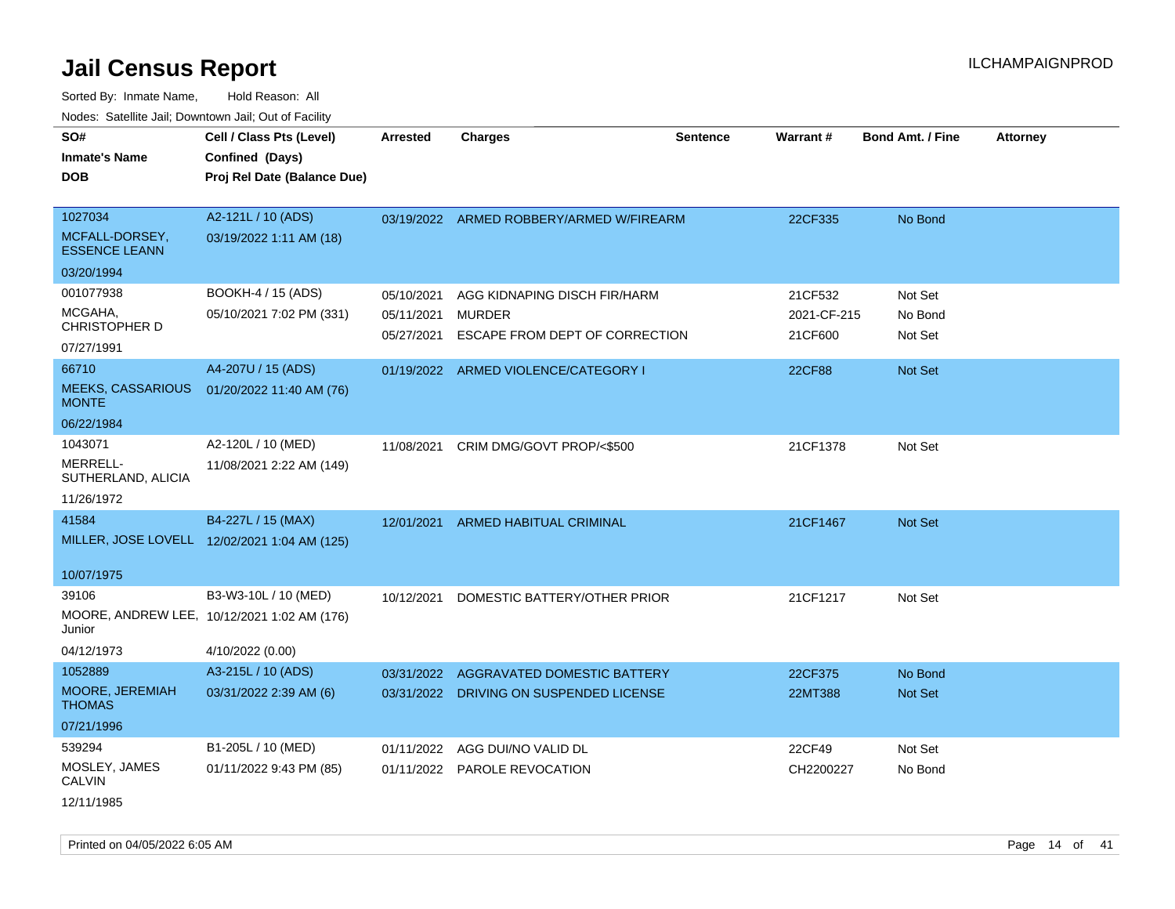Sorted By: Inmate Name, Hold Reason: All Nodes: Satellite Jail; Downtown Jail; Out of Facility

| SO#<br><b>Inmate's Name</b><br>DOB                              | Cell / Class Pts (Level)<br>Confined (Days)<br>Proj Rel Date (Balance Due)              | <b>Arrested</b>                        | <b>Charges</b>                                                                  | <b>Sentence</b> | Warrant#                          | <b>Bond Amt. / Fine</b>       | <b>Attorney</b> |
|-----------------------------------------------------------------|-----------------------------------------------------------------------------------------|----------------------------------------|---------------------------------------------------------------------------------|-----------------|-----------------------------------|-------------------------------|-----------------|
| 1027034<br>MCFALL-DORSEY,<br><b>ESSENCE LEANN</b>               | A2-121L / 10 (ADS)<br>03/19/2022 1:11 AM (18)                                           |                                        | 03/19/2022 ARMED ROBBERY/ARMED W/FIREARM                                        |                 | 22CF335                           | No Bond                       |                 |
| 03/20/1994                                                      |                                                                                         |                                        |                                                                                 |                 |                                   |                               |                 |
| 001077938<br>MCGAHA,<br>CHRISTOPHER D<br>07/27/1991             | BOOKH-4 / 15 (ADS)<br>05/10/2021 7:02 PM (331)                                          | 05/10/2021<br>05/11/2021<br>05/27/2021 | AGG KIDNAPING DISCH FIR/HARM<br><b>MURDER</b><br>ESCAPE FROM DEPT OF CORRECTION |                 | 21CF532<br>2021-CF-215<br>21CF600 | Not Set<br>No Bond<br>Not Set |                 |
| 66710<br><b>MEEKS, CASSARIOUS</b><br><b>MONTE</b><br>06/22/1984 | A4-207U / 15 (ADS)<br>01/20/2022 11:40 AM (76)                                          |                                        | 01/19/2022 ARMED VIOLENCE/CATEGORY I                                            |                 | <b>22CF88</b>                     | <b>Not Set</b>                |                 |
| 1043071<br><b>MERRELL-</b><br>SUTHERLAND, ALICIA<br>11/26/1972  | A2-120L / 10 (MED)<br>11/08/2021 2:22 AM (149)                                          | 11/08/2021                             | CRIM DMG/GOVT PROP/<\$500                                                       |                 | 21CF1378                          | Not Set                       |                 |
| 41584<br>10/07/1975                                             | B4-227L / 15 (MAX)<br>MILLER, JOSE LOVELL 12/02/2021 1:04 AM (125)                      | 12/01/2021                             | <b>ARMED HABITUAL CRIMINAL</b>                                                  |                 | 21CF1467                          | <b>Not Set</b>                |                 |
| 39106<br>Junior<br>04/12/1973                                   | B3-W3-10L / 10 (MED)<br>MOORE, ANDREW LEE, 10/12/2021 1:02 AM (176)<br>4/10/2022 (0.00) | 10/12/2021                             | DOMESTIC BATTERY/OTHER PRIOR                                                    |                 | 21CF1217                          | Not Set                       |                 |
| 1052889                                                         | A3-215L / 10 (ADS)                                                                      | 03/31/2022                             | <b>AGGRAVATED DOMESTIC BATTERY</b>                                              |                 | 22CF375                           | No Bond                       |                 |
| MOORE, JEREMIAH<br><b>THOMAS</b>                                | 03/31/2022 2:39 AM (6)                                                                  | 03/31/2022                             | DRIVING ON SUSPENDED LICENSE                                                    |                 | 22MT388                           | Not Set                       |                 |
| 07/21/1996                                                      |                                                                                         |                                        |                                                                                 |                 |                                   |                               |                 |
| 539294<br>MOSLEY, JAMES<br>CALVIN                               | B1-205L / 10 (MED)<br>01/11/2022 9:43 PM (85)                                           | 01/11/2022<br>01/11/2022               | AGG DUI/NO VALID DL<br>PAROLE REVOCATION                                        |                 | 22CF49<br>CH2200227               | Not Set<br>No Bond            |                 |
|                                                                 |                                                                                         |                                        |                                                                                 |                 |                                   |                               |                 |

12/11/1985

Printed on 04/05/2022 6:05 AM **Page 14** of 41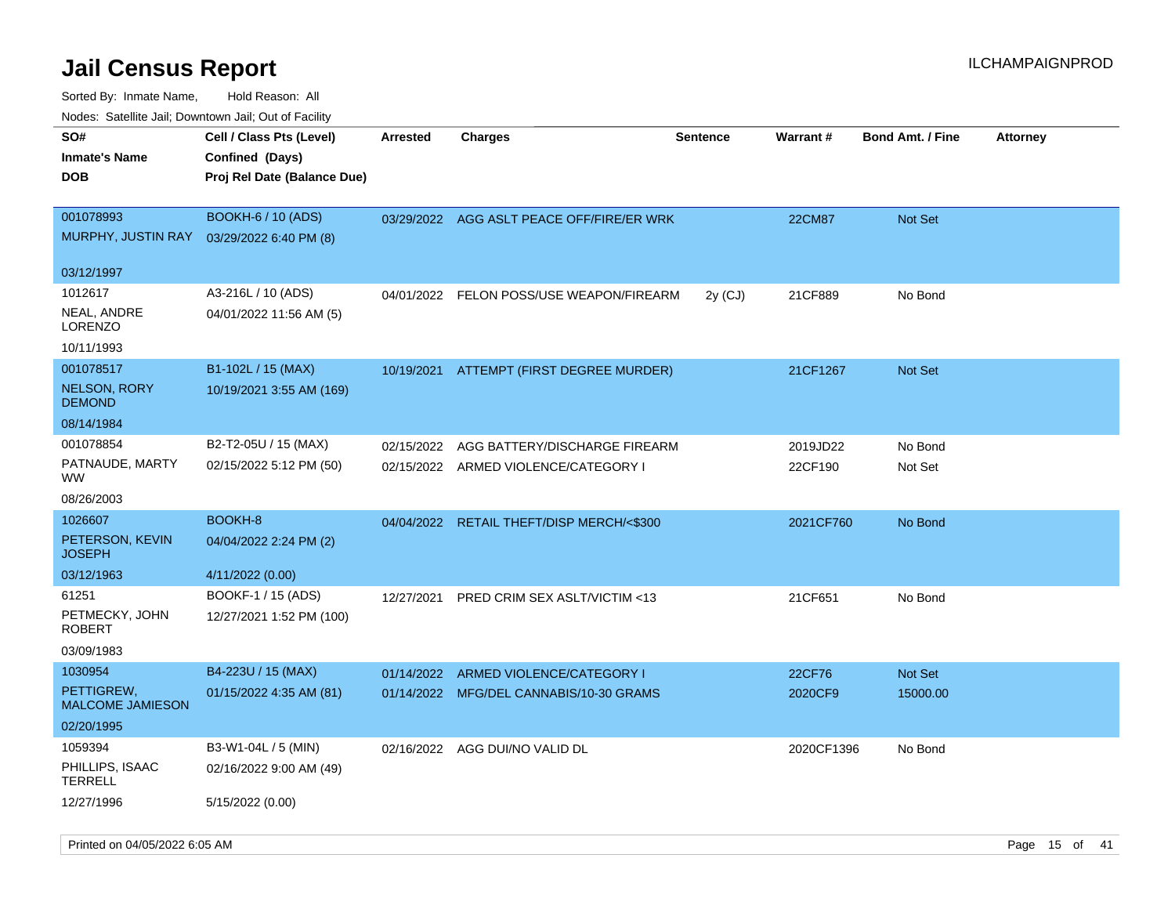| roaco. Calcinio dan, Downtown dan, Cal or Fability                   |                                                                            |                 |                                          |                 |               |                         |                 |
|----------------------------------------------------------------------|----------------------------------------------------------------------------|-----------------|------------------------------------------|-----------------|---------------|-------------------------|-----------------|
| SO#<br>Inmate's Name<br><b>DOB</b>                                   | Cell / Class Pts (Level)<br>Confined (Days)<br>Proj Rel Date (Balance Due) | <b>Arrested</b> | Charges                                  | <b>Sentence</b> | Warrant#      | <b>Bond Amt. / Fine</b> | <b>Attorney</b> |
| 001078993<br>MURPHY, JUSTIN RAY 03/29/2022 6:40 PM (8)<br>03/12/1997 | <b>BOOKH-6 / 10 (ADS)</b>                                                  | 03/29/2022      | AGG ASLT PEACE OFF/FIRE/ER WRK           |                 | <b>22CM87</b> | <b>Not Set</b>          |                 |
|                                                                      |                                                                            |                 |                                          |                 |               |                         |                 |
| 1012617<br>NEAL, ANDRE<br>LORENZO                                    | A3-216L / 10 (ADS)<br>04/01/2022 11:56 AM (5)                              | 04/01/2022      | FELON POSS/USE WEAPON/FIREARM            | 2y (CJ)         | 21CF889       | No Bond                 |                 |
| 10/11/1993                                                           |                                                                            |                 |                                          |                 |               |                         |                 |
| 001078517                                                            | B1-102L / 15 (MAX)                                                         | 10/19/2021      | ATTEMPT (FIRST DEGREE MURDER)            |                 | 21CF1267      | <b>Not Set</b>          |                 |
| <b>NELSON, RORY</b><br><b>DEMOND</b>                                 | 10/19/2021 3:55 AM (169)                                                   |                 |                                          |                 |               |                         |                 |
| 08/14/1984                                                           |                                                                            |                 |                                          |                 |               |                         |                 |
| 001078854                                                            | B2-T2-05U / 15 (MAX)                                                       | 02/15/2022      | AGG BATTERY/DISCHARGE FIREARM            |                 | 2019JD22      | No Bond                 |                 |
| PATNAUDE, MARTY<br>WW.                                               | 02/15/2022 5:12 PM (50)                                                    |                 | 02/15/2022 ARMED VIOLENCE/CATEGORY I     |                 | 22CF190       | Not Set                 |                 |
| 08/26/2003                                                           |                                                                            |                 |                                          |                 |               |                         |                 |
| 1026607                                                              | BOOKH-8                                                                    | 04/04/2022      | <b>RETAIL THEFT/DISP MERCH/&lt;\$300</b> |                 | 2021CF760     | No Bond                 |                 |
| PETERSON, KEVIN<br>JOSEPH                                            | 04/04/2022 2:24 PM (2)                                                     |                 |                                          |                 |               |                         |                 |
| 03/12/1963                                                           | 4/11/2022 (0.00)                                                           |                 |                                          |                 |               |                         |                 |
| 61251                                                                | BOOKF-1 / 15 (ADS)                                                         | 12/27/2021      | <b>PRED CRIM SEX ASLT/VICTIM &lt;13</b>  |                 | 21CF651       | No Bond                 |                 |
| PETMECKY, JOHN<br>ROBERT                                             | 12/27/2021 1:52 PM (100)                                                   |                 |                                          |                 |               |                         |                 |
| 03/09/1983                                                           |                                                                            |                 |                                          |                 |               |                         |                 |
| 1030954                                                              | B4-223U / 15 (MAX)                                                         | 01/14/2022      | ARMED VIOLENCE/CATEGORY I                |                 | 22CF76        | Not Set                 |                 |
| PETTIGREW,<br><b>MALCOME JAMIESON</b>                                | 01/15/2022 4:35 AM (81)                                                    |                 | 01/14/2022 MFG/DEL CANNABIS/10-30 GRAMS  |                 | 2020CF9       | 15000.00                |                 |
| 02/20/1995                                                           |                                                                            |                 |                                          |                 |               |                         |                 |
| 1059394                                                              | B3-W1-04L / 5 (MIN)                                                        |                 | 02/16/2022 AGG DUI/NO VALID DL           |                 | 2020CF1396    | No Bond                 |                 |
| PHILLIPS, ISAAC<br>TERRELL                                           | 02/16/2022 9:00 AM (49)                                                    |                 |                                          |                 |               |                         |                 |
| 12/27/1996                                                           | 5/15/2022 (0.00)                                                           |                 |                                          |                 |               |                         |                 |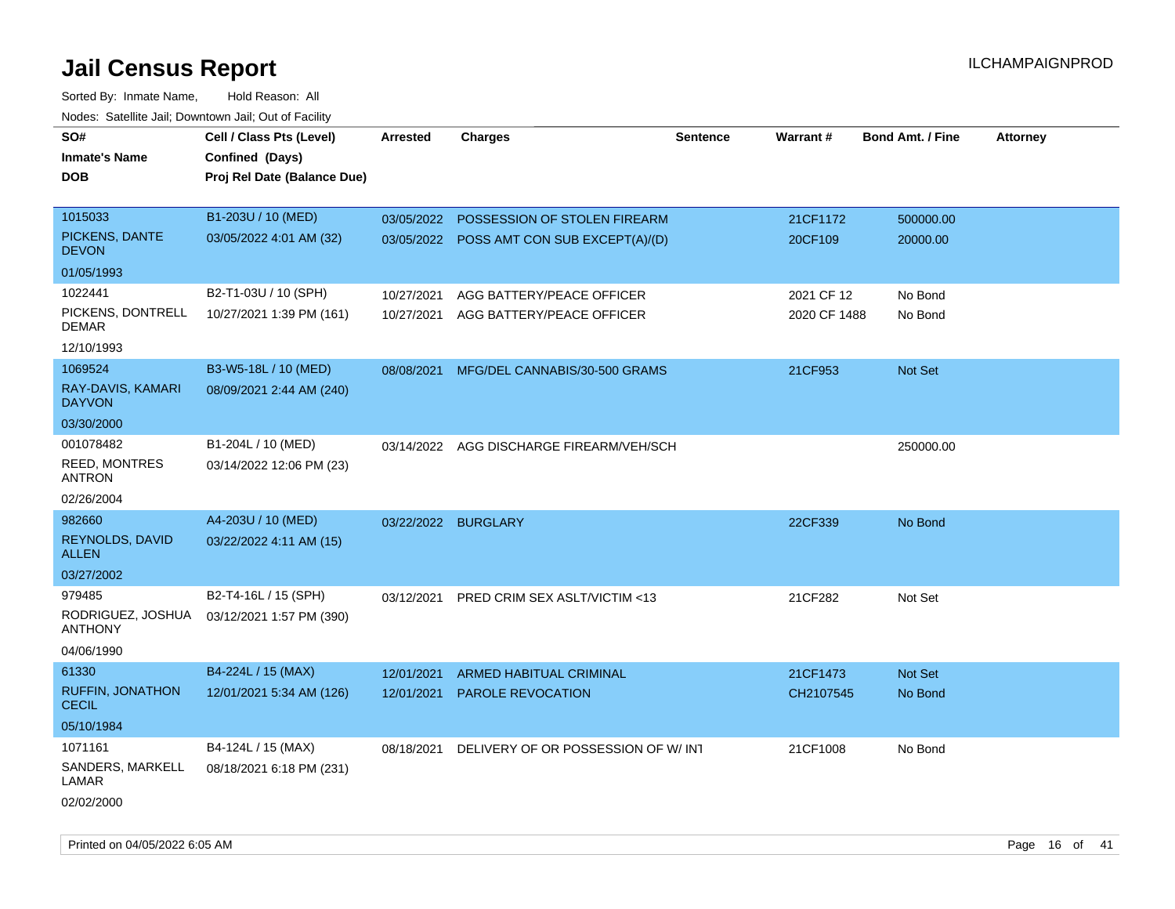| SO#<br><b>Inmate's Name</b><br><b>DOB</b>                   | Cell / Class Pts (Level)<br>Confined (Days)<br>Proj Rel Date (Balance Due) | <b>Arrested</b>          | <b>Charges</b>                                                            | <b>Sentence</b> | Warrant#                   | <b>Bond Amt. / Fine</b> | <b>Attorney</b> |
|-------------------------------------------------------------|----------------------------------------------------------------------------|--------------------------|---------------------------------------------------------------------------|-----------------|----------------------------|-------------------------|-----------------|
| 1015033<br>PICKENS, DANTE<br><b>DEVON</b>                   | B1-203U / 10 (MED)<br>03/05/2022 4:01 AM (32)                              | 03/05/2022               | POSSESSION OF STOLEN FIREARM<br>03/05/2022 POSS AMT CON SUB EXCEPT(A)/(D) |                 | 21CF1172<br>20CF109        | 500000.00<br>20000.00   |                 |
| 01/05/1993                                                  |                                                                            |                          |                                                                           |                 |                            |                         |                 |
| 1022441<br>PICKENS, DONTRELL<br>DEMAR<br>12/10/1993         | B2-T1-03U / 10 (SPH)<br>10/27/2021 1:39 PM (161)                           | 10/27/2021<br>10/27/2021 | AGG BATTERY/PEACE OFFICER<br>AGG BATTERY/PEACE OFFICER                    |                 | 2021 CF 12<br>2020 CF 1488 | No Bond<br>No Bond      |                 |
| 1069524<br>RAY-DAVIS, KAMARI<br><b>DAYVON</b><br>03/30/2000 | B3-W5-18L / 10 (MED)<br>08/09/2021 2:44 AM (240)                           | 08/08/2021               | MFG/DEL CANNABIS/30-500 GRAMS                                             |                 | 21CF953                    | Not Set                 |                 |
| 001078482<br>REED, MONTRES<br>ANTRON<br>02/26/2004          | B1-204L / 10 (MED)<br>03/14/2022 12:06 PM (23)                             |                          | 03/14/2022 AGG DISCHARGE FIREARM/VEH/SCH                                  |                 |                            | 250000.00               |                 |
| 982660<br><b>REYNOLDS, DAVID</b><br>ALLEN<br>03/27/2002     | A4-203U / 10 (MED)<br>03/22/2022 4:11 AM (15)                              | 03/22/2022               | <b>BURGLARY</b>                                                           |                 | 22CF339                    | No Bond                 |                 |
| 979485<br>RODRIGUEZ, JOSHUA<br><b>ANTHONY</b><br>04/06/1990 | B2-T4-16L / 15 (SPH)<br>03/12/2021 1:57 PM (390)                           | 03/12/2021               | PRED CRIM SEX ASLT/VICTIM <13                                             |                 | 21CF282                    | Not Set                 |                 |
| 61330<br>RUFFIN, JONATHON<br><b>CECIL</b><br>05/10/1984     | B4-224L / 15 (MAX)<br>12/01/2021 5:34 AM (126)                             | 12/01/2021<br>12/01/2021 | ARMED HABITUAL CRIMINAL<br><b>PAROLE REVOCATION</b>                       |                 | 21CF1473<br>CH2107545      | Not Set<br>No Bond      |                 |
| 1071161<br>SANDERS, MARKELL<br>LAMAR<br>02/02/2000          | B4-124L / 15 (MAX)<br>08/18/2021 6:18 PM (231)                             | 08/18/2021               | DELIVERY OF OR POSSESSION OF W/INT                                        |                 | 21CF1008                   | No Bond                 |                 |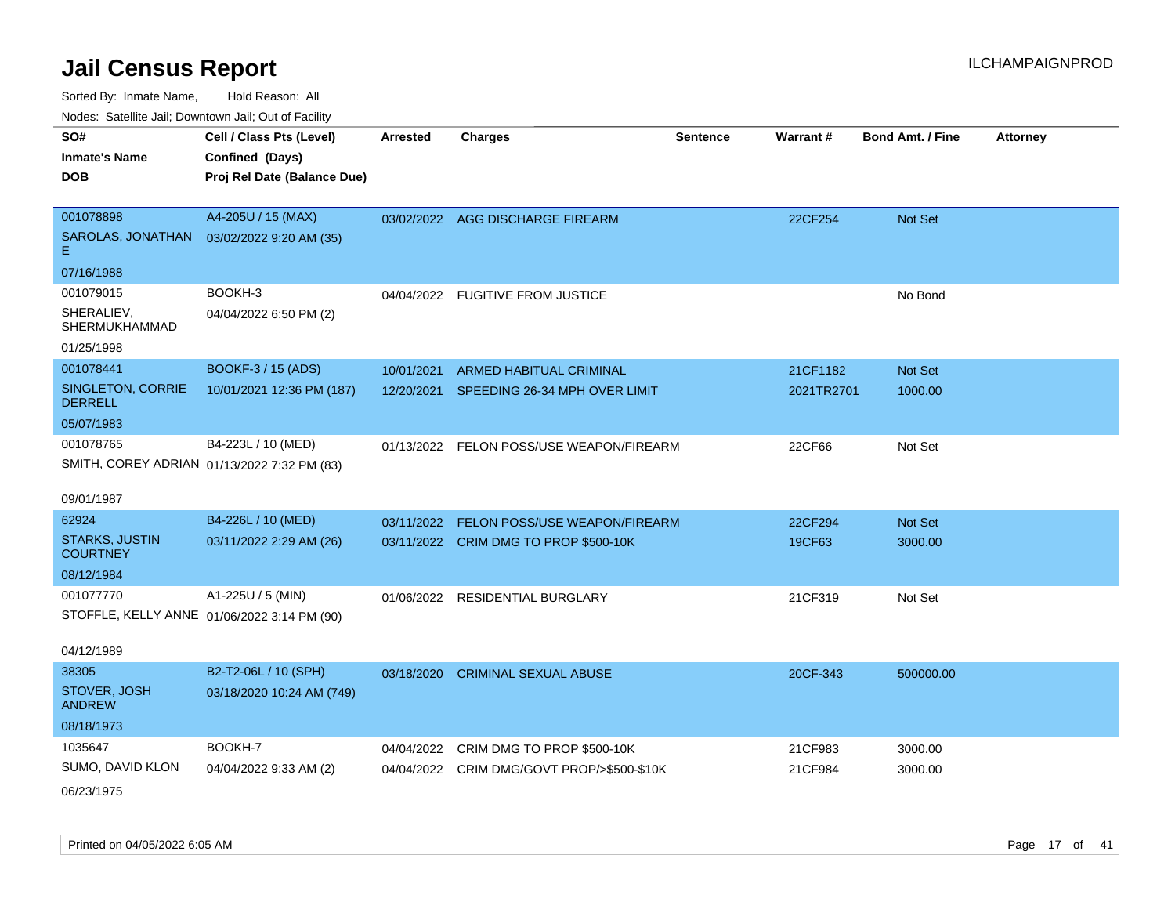| SO#                                      | Cell / Class Pts (Level)                    | <b>Arrested</b> | <b>Charges</b>                             | <b>Sentence</b> | Warrant#   | <b>Bond Amt. / Fine</b> | <b>Attorney</b> |
|------------------------------------------|---------------------------------------------|-----------------|--------------------------------------------|-----------------|------------|-------------------------|-----------------|
| <b>Inmate's Name</b>                     | Confined (Days)                             |                 |                                            |                 |            |                         |                 |
| <b>DOB</b>                               | Proj Rel Date (Balance Due)                 |                 |                                            |                 |            |                         |                 |
|                                          |                                             |                 |                                            |                 |            |                         |                 |
| 001078898                                | A4-205U / 15 (MAX)                          |                 | 03/02/2022 AGG DISCHARGE FIREARM           |                 | 22CF254    | Not Set                 |                 |
| SAROLAS, JONATHAN<br>Е.                  | 03/02/2022 9:20 AM (35)                     |                 |                                            |                 |            |                         |                 |
| 07/16/1988                               |                                             |                 |                                            |                 |            |                         |                 |
| 001079015                                | BOOKH-3                                     |                 | 04/04/2022 FUGITIVE FROM JUSTICE           |                 |            | No Bond                 |                 |
| SHERALIEV,<br><b>SHERMUKHAMMAD</b>       | 04/04/2022 6:50 PM (2)                      |                 |                                            |                 |            |                         |                 |
| 01/25/1998                               |                                             |                 |                                            |                 |            |                         |                 |
| 001078441                                | BOOKF-3 / 15 (ADS)                          | 10/01/2021      | ARMED HABITUAL CRIMINAL                    |                 | 21CF1182   | Not Set                 |                 |
| SINGLETON, CORRIE<br><b>DERRELL</b>      | 10/01/2021 12:36 PM (187)                   |                 | 12/20/2021 SPEEDING 26-34 MPH OVER LIMIT   |                 | 2021TR2701 | 1000.00                 |                 |
| 05/07/1983                               |                                             |                 |                                            |                 |            |                         |                 |
| 001078765                                | B4-223L / 10 (MED)                          |                 | 01/13/2022 FELON POSS/USE WEAPON/FIREARM   |                 | 22CF66     | Not Set                 |                 |
|                                          | SMITH, COREY ADRIAN 01/13/2022 7:32 PM (83) |                 |                                            |                 |            |                         |                 |
|                                          |                                             |                 |                                            |                 |            |                         |                 |
| 09/01/1987                               |                                             |                 |                                            |                 |            |                         |                 |
| 62924                                    | B4-226L / 10 (MED)                          | 03/11/2022      | <b>FELON POSS/USE WEAPON/FIREARM</b>       |                 | 22CF294    | Not Set                 |                 |
| <b>STARKS, JUSTIN</b><br><b>COURTNEY</b> | 03/11/2022 2:29 AM (26)                     |                 | 03/11/2022 CRIM DMG TO PROP \$500-10K      |                 | 19CF63     | 3000.00                 |                 |
| 08/12/1984                               |                                             |                 |                                            |                 |            |                         |                 |
| 001077770                                | A1-225U / 5 (MIN)                           | 01/06/2022      | <b>RESIDENTIAL BURGLARY</b>                |                 | 21CF319    | Not Set                 |                 |
|                                          | STOFFLE, KELLY ANNE 01/06/2022 3:14 PM (90) |                 |                                            |                 |            |                         |                 |
|                                          |                                             |                 |                                            |                 |            |                         |                 |
| 04/12/1989                               |                                             |                 |                                            |                 |            |                         |                 |
| 38305                                    | B2-T2-06L / 10 (SPH)                        | 03/18/2020      | <b>CRIMINAL SEXUAL ABUSE</b>               |                 | 20CF-343   | 500000.00               |                 |
| STOVER, JOSH<br><b>ANDREW</b>            | 03/18/2020 10:24 AM (749)                   |                 |                                            |                 |            |                         |                 |
| 08/18/1973                               |                                             |                 |                                            |                 |            |                         |                 |
| 1035647                                  | BOOKH-7                                     | 04/04/2022      | CRIM DMG TO PROP \$500-10K                 |                 | 21CF983    | 3000.00                 |                 |
| SUMO, DAVID KLON                         | 04/04/2022 9:33 AM (2)                      |                 | 04/04/2022 CRIM DMG/GOVT PROP/>\$500-\$10K |                 | 21CF984    | 3000.00                 |                 |
| 06/23/1975                               |                                             |                 |                                            |                 |            |                         |                 |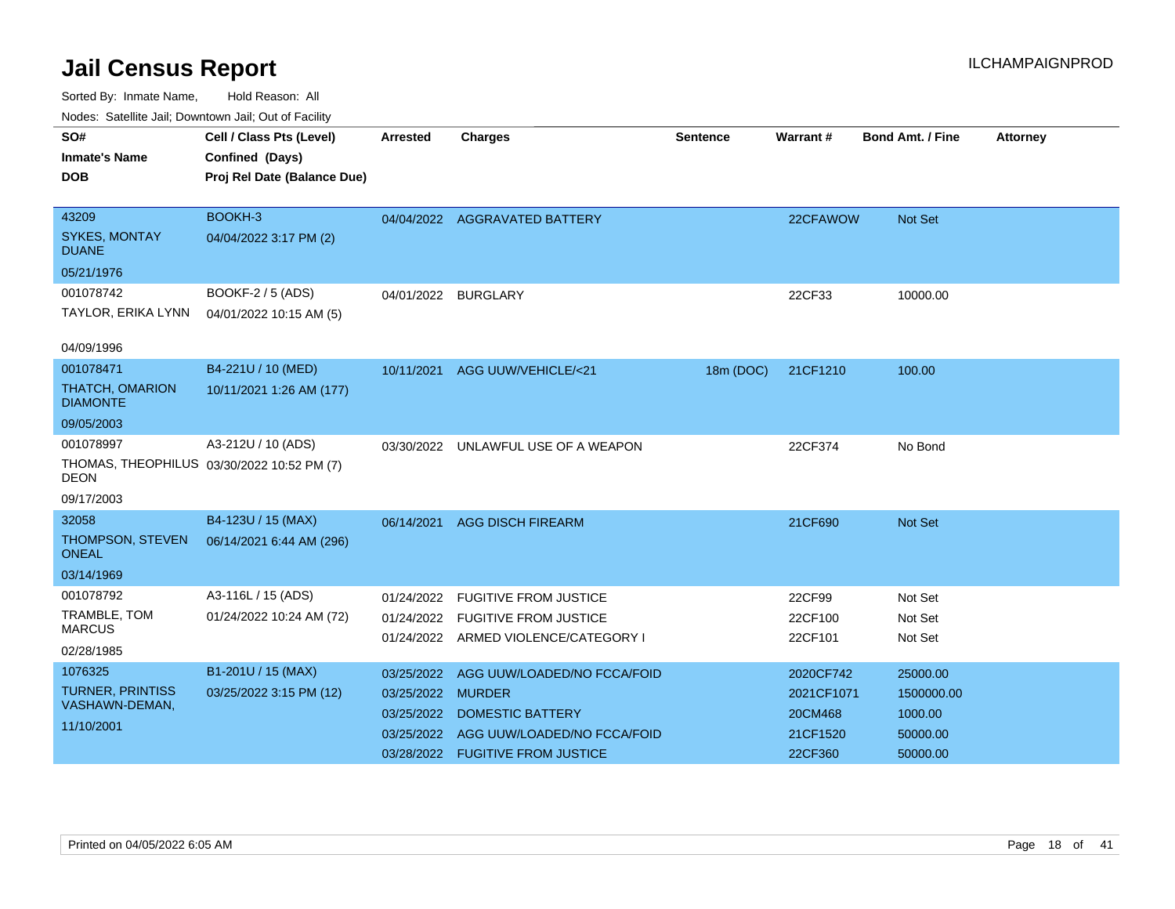| ivuutis. Galtiillit Jall, Duwilluwii Jall, Oul of Facility |                             |                 |                                      |                 |            |                  |                 |
|------------------------------------------------------------|-----------------------------|-----------------|--------------------------------------|-----------------|------------|------------------|-----------------|
| SO#                                                        | Cell / Class Pts (Level)    | <b>Arrested</b> | <b>Charges</b>                       | <b>Sentence</b> | Warrant#   | Bond Amt. / Fine | <b>Attorney</b> |
| <b>Inmate's Name</b>                                       | Confined (Days)             |                 |                                      |                 |            |                  |                 |
| <b>DOB</b>                                                 | Proj Rel Date (Balance Due) |                 |                                      |                 |            |                  |                 |
|                                                            |                             |                 |                                      |                 |            |                  |                 |
| 43209                                                      | BOOKH-3                     |                 | 04/04/2022 AGGRAVATED BATTERY        |                 | 22CFAWOW   | Not Set          |                 |
| <b>SYKES, MONTAY</b><br><b>DUANE</b>                       | 04/04/2022 3:17 PM (2)      |                 |                                      |                 |            |                  |                 |
| 05/21/1976                                                 |                             |                 |                                      |                 |            |                  |                 |
| 001078742                                                  | BOOKF-2 / 5 (ADS)           | 04/01/2022      | <b>BURGLARY</b>                      |                 | 22CF33     | 10000.00         |                 |
| TAYLOR, ERIKA LYNN                                         | 04/01/2022 10:15 AM (5)     |                 |                                      |                 |            |                  |                 |
|                                                            |                             |                 |                                      |                 |            |                  |                 |
| 04/09/1996                                                 |                             |                 |                                      |                 |            |                  |                 |
| 001078471                                                  | B4-221U / 10 (MED)          | 10/11/2021      | AGG UUW/VEHICLE/<21                  | 18m (DOC)       | 21CF1210   | 100.00           |                 |
| <b>THATCH, OMARION</b><br><b>DIAMONTE</b>                  | 10/11/2021 1:26 AM (177)    |                 |                                      |                 |            |                  |                 |
| 09/05/2003                                                 |                             |                 |                                      |                 |            |                  |                 |
| 001078997                                                  | A3-212U / 10 (ADS)          |                 | 03/30/2022 UNLAWFUL USE OF A WEAPON  |                 | 22CF374    | No Bond          |                 |
| THOMAS, THEOPHILUS 03/30/2022 10:52 PM (7)<br><b>DEON</b>  |                             |                 |                                      |                 |            |                  |                 |
| 09/17/2003                                                 |                             |                 |                                      |                 |            |                  |                 |
| 32058                                                      | B4-123U / 15 (MAX)          | 06/14/2021      | <b>AGG DISCH FIREARM</b>             |                 | 21CF690    | <b>Not Set</b>   |                 |
| THOMPSON, STEVEN<br>ONEAL                                  | 06/14/2021 6:44 AM (296)    |                 |                                      |                 |            |                  |                 |
| 03/14/1969                                                 |                             |                 |                                      |                 |            |                  |                 |
| 001078792                                                  | A3-116L / 15 (ADS)          | 01/24/2022      | <b>FUGITIVE FROM JUSTICE</b>         |                 | 22CF99     | Not Set          |                 |
| TRAMBLE, TOM                                               | 01/24/2022 10:24 AM (72)    | 01/24/2022      | <b>FUGITIVE FROM JUSTICE</b>         |                 | 22CF100    | Not Set          |                 |
| <b>MARCUS</b>                                              |                             |                 | 01/24/2022 ARMED VIOLENCE/CATEGORY I |                 | 22CF101    | Not Set          |                 |
| 02/28/1985                                                 |                             |                 |                                      |                 |            |                  |                 |
| 1076325                                                    | B1-201U / 15 (MAX)          | 03/25/2022      | AGG UUW/LOADED/NO FCCA/FOID          |                 | 2020CF742  | 25000.00         |                 |
| <b>TURNER, PRINTISS</b><br>VASHAWN-DEMAN,                  | 03/25/2022 3:15 PM (12)     | 03/25/2022      | <b>MURDER</b>                        |                 | 2021CF1071 | 1500000.00       |                 |
| 11/10/2001                                                 |                             | 03/25/2022      | <b>DOMESTIC BATTERY</b>              |                 | 20CM468    | 1000.00          |                 |
|                                                            |                             | 03/25/2022      | AGG UUW/LOADED/NO FCCA/FOID          |                 | 21CF1520   | 50000.00         |                 |
|                                                            |                             | 03/28/2022      | <b>FUGITIVE FROM JUSTICE</b>         |                 | 22CF360    | 50000.00         |                 |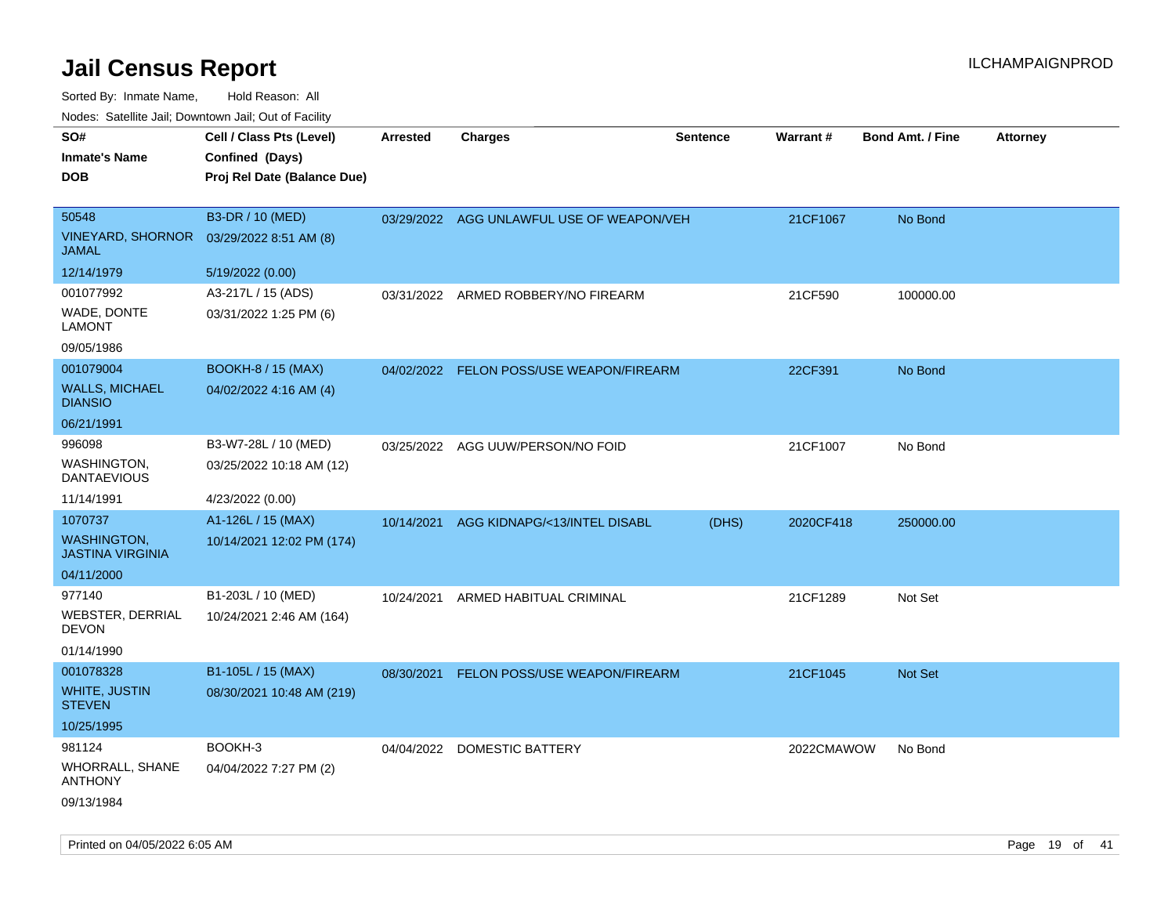| SO#<br><b>Inmate's Name</b><br><b>DOB</b>                 | Cell / Class Pts (Level)<br>Confined (Days)<br>Proj Rel Date (Balance Due) | Arrested   | <b>Charges</b>                            | <b>Sentence</b> | <b>Warrant#</b> | <b>Bond Amt. / Fine</b> | <b>Attorney</b> |
|-----------------------------------------------------------|----------------------------------------------------------------------------|------------|-------------------------------------------|-----------------|-----------------|-------------------------|-----------------|
| 50548<br><b>VINEYARD, SHORNOR</b><br><b>JAMAL</b>         | B3-DR / 10 (MED)<br>03/29/2022 8:51 AM (8)                                 |            | 03/29/2022 AGG UNLAWFUL USE OF WEAPON/VEH |                 | 21CF1067        | No Bond                 |                 |
| 12/14/1979                                                | 5/19/2022 (0.00)                                                           |            |                                           |                 |                 |                         |                 |
| 001077992<br>WADE, DONTE<br><b>LAMONT</b>                 | A3-217L / 15 (ADS)<br>03/31/2022 1:25 PM (6)                               | 03/31/2022 | ARMED ROBBERY/NO FIREARM                  |                 | 21CF590         | 100000.00               |                 |
| 09/05/1986                                                |                                                                            |            |                                           |                 |                 |                         |                 |
| 001079004<br><b>WALLS, MICHAEL</b><br><b>DIANSIO</b>      | <b>BOOKH-8 / 15 (MAX)</b><br>04/02/2022 4:16 AM (4)                        |            | 04/02/2022 FELON POSS/USE WEAPON/FIREARM  |                 | 22CF391         | No Bond                 |                 |
| 06/21/1991                                                |                                                                            |            |                                           |                 |                 |                         |                 |
| 996098<br>WASHINGTON,<br><b>DANTAEVIOUS</b>               | B3-W7-28L / 10 (MED)<br>03/25/2022 10:18 AM (12)                           | 03/25/2022 | AGG UUW/PERSON/NO FOID                    |                 | 21CF1007        | No Bond                 |                 |
| 11/14/1991                                                | 4/23/2022 (0.00)                                                           |            |                                           |                 |                 |                         |                 |
| 1070737                                                   | A1-126L / 15 (MAX)                                                         | 10/14/2021 | AGG KIDNAPG/<13/INTEL DISABL              | (DHS)           | 2020CF418       | 250000.00               |                 |
| <b>WASHINGTON,</b><br><b>JASTINA VIRGINIA</b>             | 10/14/2021 12:02 PM (174)                                                  |            |                                           |                 |                 |                         |                 |
| 04/11/2000                                                |                                                                            |            |                                           |                 |                 |                         |                 |
| 977140<br>WEBSTER, DERRIAL<br><b>DEVON</b><br>01/14/1990  | B1-203L / 10 (MED)<br>10/24/2021 2:46 AM (164)                             | 10/24/2021 | ARMED HABITUAL CRIMINAL                   |                 | 21CF1289        | Not Set                 |                 |
| 001078328                                                 | B1-105L / 15 (MAX)                                                         | 08/30/2021 | FELON POSS/USE WEAPON/FIREARM             |                 | 21CF1045        | Not Set                 |                 |
| <b>WHITE, JUSTIN</b><br><b>STEVEN</b>                     | 08/30/2021 10:48 AM (219)                                                  |            |                                           |                 |                 |                         |                 |
| 10/25/1995                                                |                                                                            |            |                                           |                 |                 |                         |                 |
| 981124<br>WHORRALL, SHANE<br><b>ANTHONY</b><br>09/13/1984 | BOOKH-3<br>04/04/2022 7:27 PM (2)                                          |            | 04/04/2022 DOMESTIC BATTERY               |                 | 2022CMAWOW      | No Bond                 |                 |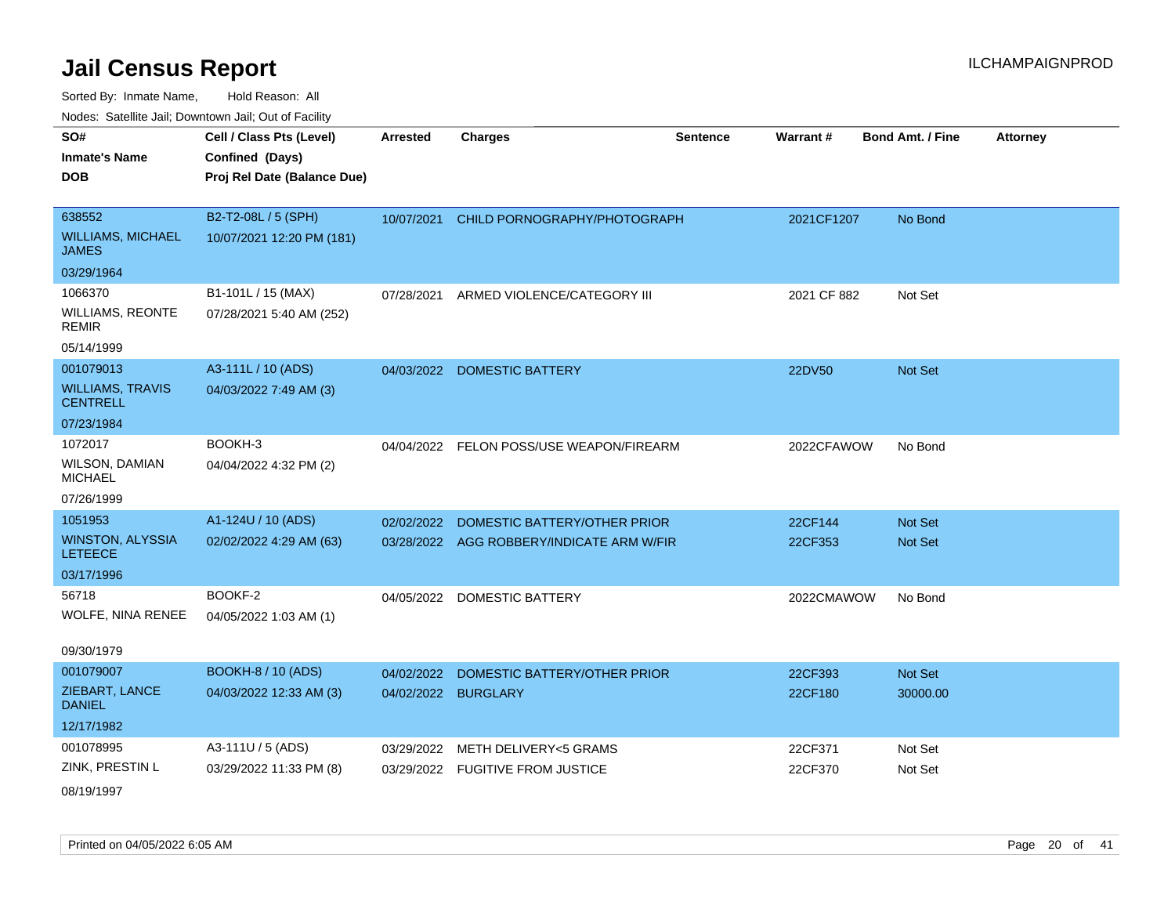| SO#                                        | Cell / Class Pts (Level)    | <b>Arrested</b> | <b>Charges</b>                            | <b>Sentence</b> | Warrant#    | <b>Bond Amt. / Fine</b> | <b>Attorney</b> |
|--------------------------------------------|-----------------------------|-----------------|-------------------------------------------|-----------------|-------------|-------------------------|-----------------|
|                                            |                             |                 |                                           |                 |             |                         |                 |
| <b>Inmate's Name</b>                       | Confined (Days)             |                 |                                           |                 |             |                         |                 |
| <b>DOB</b>                                 | Proj Rel Date (Balance Due) |                 |                                           |                 |             |                         |                 |
|                                            |                             |                 |                                           |                 |             |                         |                 |
| 638552                                     | B2-T2-08L / 5 (SPH)         | 10/07/2021      | CHILD PORNOGRAPHY/PHOTOGRAPH              |                 | 2021CF1207  | No Bond                 |                 |
| <b>WILLIAMS, MICHAEL</b><br><b>JAMES</b>   | 10/07/2021 12:20 PM (181)   |                 |                                           |                 |             |                         |                 |
| 03/29/1964                                 |                             |                 |                                           |                 |             |                         |                 |
| 1066370                                    | B1-101L / 15 (MAX)          | 07/28/2021      | ARMED VIOLENCE/CATEGORY III               |                 | 2021 CF 882 | Not Set                 |                 |
| <b>WILLIAMS, REONTE</b><br><b>REMIR</b>    | 07/28/2021 5:40 AM (252)    |                 |                                           |                 |             |                         |                 |
| 05/14/1999                                 |                             |                 |                                           |                 |             |                         |                 |
| 001079013                                  | A3-111L / 10 (ADS)          | 04/03/2022      | <b>DOMESTIC BATTERY</b>                   |                 | 22DV50      | Not Set                 |                 |
| <b>WILLIAMS, TRAVIS</b><br><b>CENTRELL</b> | 04/03/2022 7:49 AM (3)      |                 |                                           |                 |             |                         |                 |
| 07/23/1984                                 |                             |                 |                                           |                 |             |                         |                 |
| 1072017                                    | BOOKH-3                     |                 | 04/04/2022 FELON POSS/USE WEAPON/FIREARM  |                 | 2022CFAWOW  | No Bond                 |                 |
| <b>WILSON, DAMIAN</b><br><b>MICHAEL</b>    | 04/04/2022 4:32 PM (2)      |                 |                                           |                 |             |                         |                 |
| 07/26/1999                                 |                             |                 |                                           |                 |             |                         |                 |
| 1051953                                    | A1-124U / 10 (ADS)          | 02/02/2022      | DOMESTIC BATTERY/OTHER PRIOR              |                 | 22CF144     | Not Set                 |                 |
| <b>WINSTON, ALYSSIA</b><br><b>LETEECE</b>  | 02/02/2022 4:29 AM (63)     |                 | 03/28/2022 AGG ROBBERY/INDICATE ARM W/FIR |                 | 22CF353     | Not Set                 |                 |
| 03/17/1996                                 |                             |                 |                                           |                 |             |                         |                 |
| 56718                                      | BOOKF-2                     | 04/05/2022      | <b>DOMESTIC BATTERY</b>                   |                 | 2022CMAWOW  | No Bond                 |                 |
| WOLFE, NINA RENEE                          | 04/05/2022 1:03 AM (1)      |                 |                                           |                 |             |                         |                 |
| 09/30/1979                                 |                             |                 |                                           |                 |             |                         |                 |
| 001079007                                  | <b>BOOKH-8 / 10 (ADS)</b>   | 04/02/2022      | DOMESTIC BATTERY/OTHER PRIOR              |                 | 22CF393     | Not Set                 |                 |
| ZIEBART, LANCE<br><b>DANIEL</b>            | 04/03/2022 12:33 AM (3)     |                 | 04/02/2022 BURGLARY                       |                 | 22CF180     | 30000.00                |                 |
| 12/17/1982                                 |                             |                 |                                           |                 |             |                         |                 |
| 001078995                                  | A3-111U / 5 (ADS)           | 03/29/2022      | METH DELIVERY<5 GRAMS                     |                 | 22CF371     | Not Set                 |                 |
| ZINK, PRESTIN L                            | 03/29/2022 11:33 PM (8)     |                 | 03/29/2022 FUGITIVE FROM JUSTICE          |                 | 22CF370     | Not Set                 |                 |
| 08/19/1997                                 |                             |                 |                                           |                 |             |                         |                 |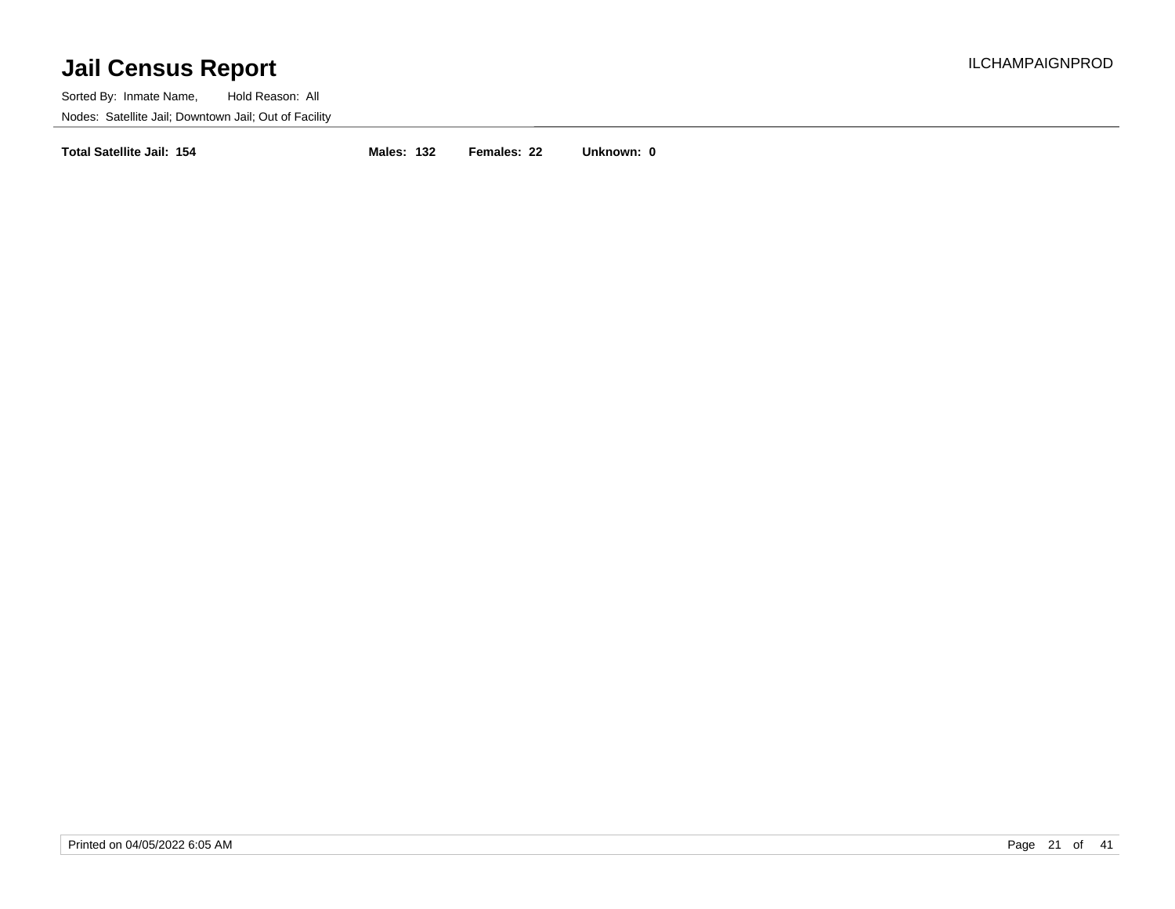Sorted By: Inmate Name, Hold Reason: All Nodes: Satellite Jail; Downtown Jail; Out of Facility

**Total Satellite Jail: 154 Males: 132 Females: 22 Unknown: 0**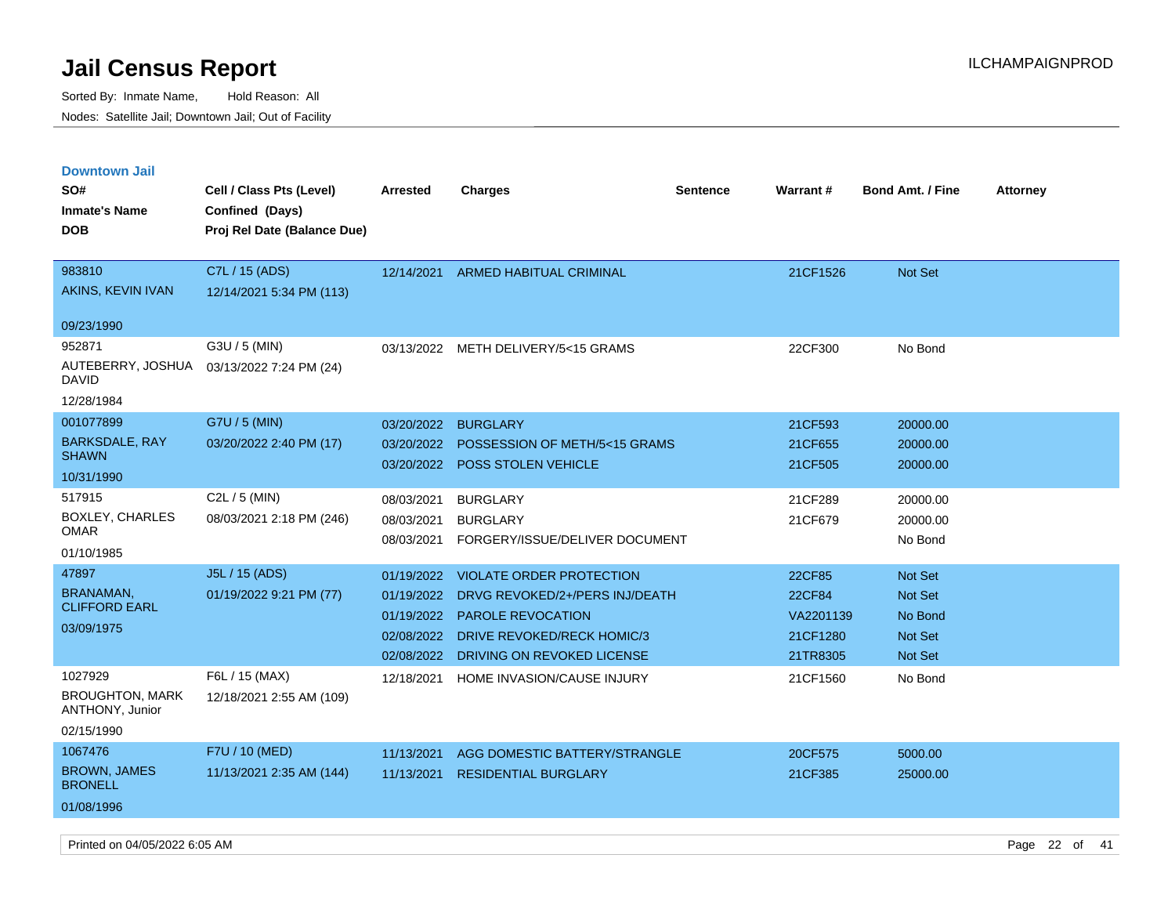Sorted By: Inmate Name, Hold Reason: All Nodes: Satellite Jail; Downtown Jail; Out of Facility

| <b>Downtown Jail</b><br>SO#<br><b>Inmate's Name</b><br><b>DOB</b> | Cell / Class Pts (Level)<br>Confined (Days)<br>Proj Rel Date (Balance Due) | <b>Arrested</b> | <b>Charges</b>                        | <b>Sentence</b> | Warrant#  | <b>Bond Amt. / Fine</b> | <b>Attorney</b> |
|-------------------------------------------------------------------|----------------------------------------------------------------------------|-----------------|---------------------------------------|-----------------|-----------|-------------------------|-----------------|
| 983810                                                            | C7L / 15 (ADS)                                                             | 12/14/2021      | <b>ARMED HABITUAL CRIMINAL</b>        |                 | 21CF1526  | Not Set                 |                 |
| AKINS, KEVIN IVAN                                                 | 12/14/2021 5:34 PM (113)                                                   |                 |                                       |                 |           |                         |                 |
| 09/23/1990                                                        |                                                                            |                 |                                       |                 |           |                         |                 |
| 952871                                                            | G3U / 5 (MIN)                                                              |                 | 03/13/2022 METH DELIVERY/5<15 GRAMS   |                 | 22CF300   | No Bond                 |                 |
| AUTEBERRY, JOSHUA<br><b>DAVID</b>                                 | 03/13/2022 7:24 PM (24)                                                    |                 |                                       |                 |           |                         |                 |
| 12/28/1984                                                        |                                                                            |                 |                                       |                 |           |                         |                 |
| 001077899                                                         | G7U / 5 (MIN)                                                              | 03/20/2022      | <b>BURGLARY</b>                       |                 | 21CF593   | 20000.00                |                 |
| <b>BARKSDALE, RAY</b><br><b>SHAWN</b>                             | 03/20/2022 2:40 PM (17)                                                    | 03/20/2022      | POSSESSION OF METH/5<15 GRAMS         |                 | 21CF655   | 20000.00                |                 |
| 10/31/1990                                                        |                                                                            | 03/20/2022      | POSS STOLEN VEHICLE                   |                 | 21CF505   | 20000.00                |                 |
| 517915                                                            | C <sub>2</sub> L $/$ 5 (MIN)                                               | 08/03/2021      | <b>BURGLARY</b>                       |                 | 21CF289   | 20000.00                |                 |
| BOXLEY, CHARLES                                                   | 08/03/2021 2:18 PM (246)                                                   | 08/03/2021      | <b>BURGLARY</b>                       |                 | 21CF679   | 20000.00                |                 |
| <b>OMAR</b>                                                       |                                                                            | 08/03/2021      | FORGERY/ISSUE/DELIVER DOCUMENT        |                 |           | No Bond                 |                 |
| 01/10/1985                                                        |                                                                            |                 |                                       |                 |           |                         |                 |
| 47897                                                             | J5L / 15 (ADS)                                                             | 01/19/2022      | <b>VIOLATE ORDER PROTECTION</b>       |                 | 22CF85    | Not Set                 |                 |
| <b>BRANAMAN</b><br><b>CLIFFORD EARL</b>                           | 01/19/2022 9:21 PM (77)                                                    | 01/19/2022      | DRVG REVOKED/2+/PERS INJ/DEATH        |                 | 22CF84    | Not Set                 |                 |
| 03/09/1975                                                        |                                                                            | 01/19/2022      | PAROLE REVOCATION                     |                 | VA2201139 | No Bond                 |                 |
|                                                                   |                                                                            |                 | 02/08/2022 DRIVE REVOKED/RECK HOMIC/3 |                 | 21CF1280  | <b>Not Set</b>          |                 |
|                                                                   |                                                                            | 02/08/2022      | DRIVING ON REVOKED LICENSE            |                 | 21TR8305  | Not Set                 |                 |
| 1027929                                                           | F6L / 15 (MAX)                                                             | 12/18/2021      | HOME INVASION/CAUSE INJURY            |                 | 21CF1560  | No Bond                 |                 |
| <b>BROUGHTON, MARK</b><br>ANTHONY, Junior                         | 12/18/2021 2:55 AM (109)                                                   |                 |                                       |                 |           |                         |                 |
| 02/15/1990                                                        |                                                                            |                 |                                       |                 |           |                         |                 |
| 1067476                                                           | F7U / 10 (MED)                                                             | 11/13/2021      | AGG DOMESTIC BATTERY/STRANGLE         |                 | 20CF575   | 5000.00                 |                 |
| <b>BROWN, JAMES</b><br><b>BRONELL</b>                             | 11/13/2021 2:35 AM (144)                                                   | 11/13/2021      | <b>RESIDENTIAL BURGLARY</b>           |                 | 21CF385   | 25000.00                |                 |
| 01/08/1996                                                        |                                                                            |                 |                                       |                 |           |                         |                 |

Printed on 04/05/2022 6:05 AM Page 22 of 41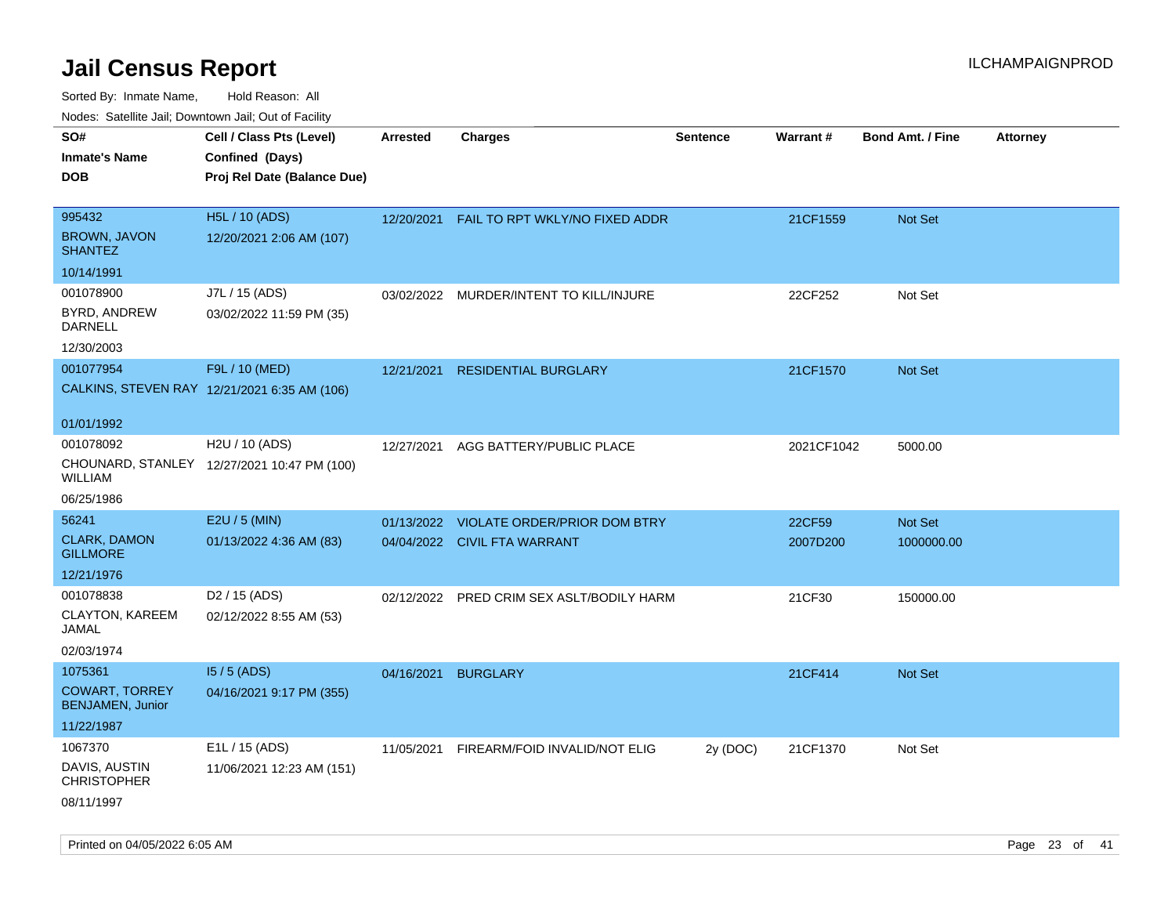| ivouss. Saleline Jali, Downtown Jali, Out of Facility |                                              |                 |                                         |                 |            |                         |                 |
|-------------------------------------------------------|----------------------------------------------|-----------------|-----------------------------------------|-----------------|------------|-------------------------|-----------------|
| SO#                                                   | Cell / Class Pts (Level)                     | <b>Arrested</b> | <b>Charges</b>                          | <b>Sentence</b> | Warrant#   | <b>Bond Amt. / Fine</b> | <b>Attorney</b> |
| Inmate's Name                                         | Confined (Days)                              |                 |                                         |                 |            |                         |                 |
| <b>DOB</b>                                            | Proj Rel Date (Balance Due)                  |                 |                                         |                 |            |                         |                 |
|                                                       |                                              |                 |                                         |                 |            |                         |                 |
| 995432                                                | <b>H5L / 10 (ADS)</b>                        | 12/20/2021      | FAIL TO RPT WKLY/NO FIXED ADDR          |                 | 21CF1559   | Not Set                 |                 |
| <b>BROWN, JAVON</b><br><b>SHANTEZ</b>                 | 12/20/2021 2:06 AM (107)                     |                 |                                         |                 |            |                         |                 |
| 10/14/1991                                            |                                              |                 |                                         |                 |            |                         |                 |
| 001078900                                             | J7L / 15 (ADS)                               |                 | 03/02/2022 MURDER/INTENT TO KILL/INJURE |                 | 22CF252    | Not Set                 |                 |
| BYRD, ANDREW<br>DARNELL                               | 03/02/2022 11:59 PM (35)                     |                 |                                         |                 |            |                         |                 |
| 12/30/2003                                            |                                              |                 |                                         |                 |            |                         |                 |
| 001077954                                             | F9L / 10 (MED)                               | 12/21/2021      | <b>RESIDENTIAL BURGLARY</b>             |                 | 21CF1570   | <b>Not Set</b>          |                 |
|                                                       | CALKINS, STEVEN RAY 12/21/2021 6:35 AM (106) |                 |                                         |                 |            |                         |                 |
|                                                       |                                              |                 |                                         |                 |            |                         |                 |
| 01/01/1992                                            |                                              |                 |                                         |                 |            |                         |                 |
| 001078092                                             | H <sub>2</sub> U / 10 (ADS)                  | 12/27/2021      | AGG BATTERY/PUBLIC PLACE                |                 | 2021CF1042 | 5000.00                 |                 |
| WILLIAM                                               | CHOUNARD, STANLEY 12/27/2021 10:47 PM (100)  |                 |                                         |                 |            |                         |                 |
| 06/25/1986                                            |                                              |                 |                                         |                 |            |                         |                 |
| 56241                                                 | E2U / 5 (MIN)                                | 01/13/2022      | <b>VIOLATE ORDER/PRIOR DOM BTRY</b>     |                 | 22CF59     | Not Set                 |                 |
| CLARK, DAMON<br><b>GILLMORE</b>                       | 01/13/2022 4:36 AM (83)                      |                 | 04/04/2022 CIVIL FTA WARRANT            |                 | 2007D200   | 1000000.00              |                 |
| 12/21/1976                                            |                                              |                 |                                         |                 |            |                         |                 |
| 001078838                                             | D <sub>2</sub> / 15 (ADS)                    | 02/12/2022      | PRED CRIM SEX ASLT/BODILY HARM          |                 | 21CF30     | 150000.00               |                 |
| CLAYTON, KAREEM<br>JAMAL                              | 02/12/2022 8:55 AM (53)                      |                 |                                         |                 |            |                         |                 |
| 02/03/1974                                            |                                              |                 |                                         |                 |            |                         |                 |
| 1075361                                               | $15/5$ (ADS)                                 | 04/16/2021      | <b>BURGLARY</b>                         |                 | 21CF414    | Not Set                 |                 |
| COWART, TORREY<br><b>BENJAMEN, Junior</b>             | 04/16/2021 9:17 PM (355)                     |                 |                                         |                 |            |                         |                 |
| 11/22/1987                                            |                                              |                 |                                         |                 |            |                         |                 |
| 1067370                                               | E1L / 15 (ADS)                               | 11/05/2021      | FIREARM/FOID INVALID/NOT ELIG           | 2y (DOC)        | 21CF1370   | Not Set                 |                 |
| DAVIS, AUSTIN<br>CHRISTOPHER                          | 11/06/2021 12:23 AM (151)                    |                 |                                         |                 |            |                         |                 |
| 08/11/1997                                            |                                              |                 |                                         |                 |            |                         |                 |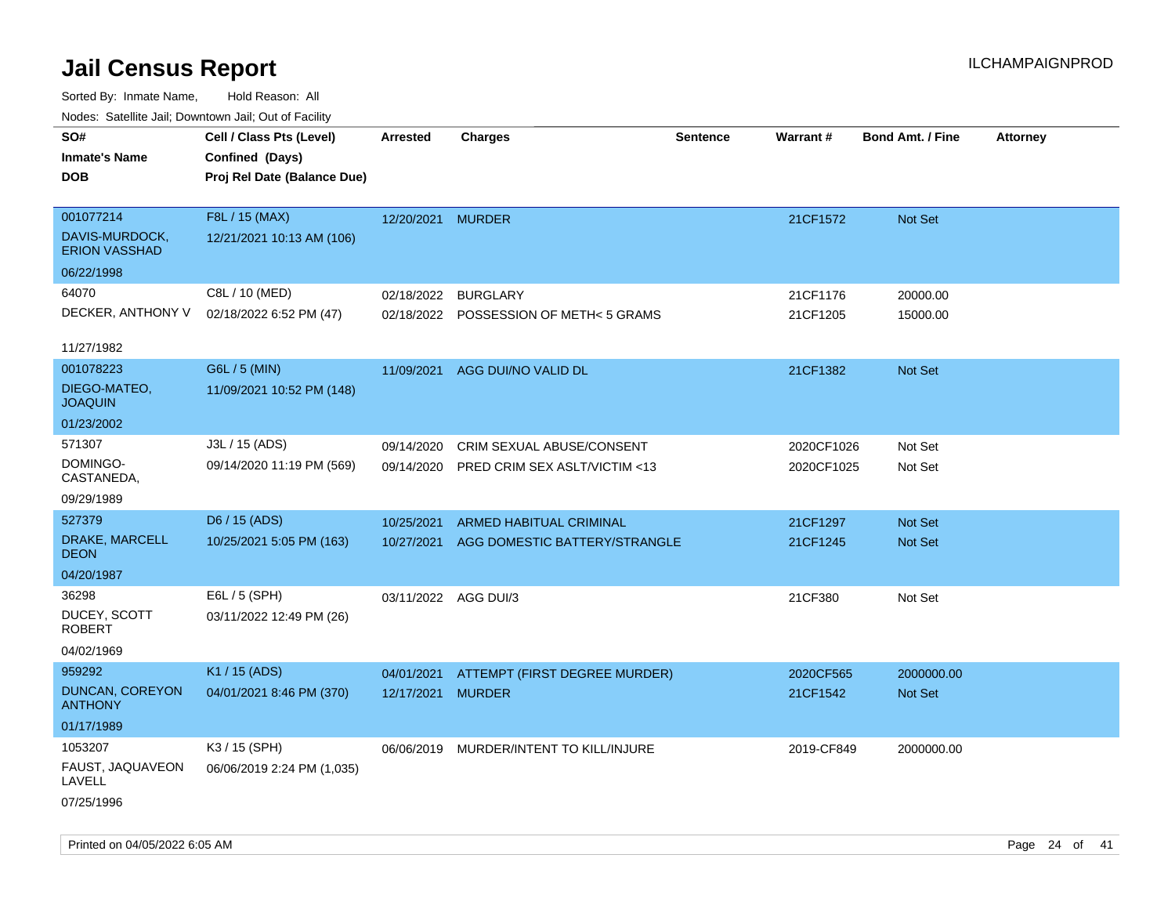| Nudes. Satellite Jali, Downtown Jali, Out of Facility |                             |                      |                               |                 |                 |                         |                 |
|-------------------------------------------------------|-----------------------------|----------------------|-------------------------------|-----------------|-----------------|-------------------------|-----------------|
| SO#                                                   | Cell / Class Pts (Level)    | Arrested             | <b>Charges</b>                | <b>Sentence</b> | <b>Warrant#</b> | <b>Bond Amt. / Fine</b> | <b>Attorney</b> |
| <b>Inmate's Name</b>                                  | Confined (Days)             |                      |                               |                 |                 |                         |                 |
| <b>DOB</b>                                            | Proj Rel Date (Balance Due) |                      |                               |                 |                 |                         |                 |
|                                                       |                             |                      |                               |                 |                 |                         |                 |
| 001077214                                             | F8L / 15 (MAX)              | 12/20/2021           | <b>MURDER</b>                 |                 | 21CF1572        | Not Set                 |                 |
| DAVIS-MURDOCK,<br><b>ERION VASSHAD</b>                | 12/21/2021 10:13 AM (106)   |                      |                               |                 |                 |                         |                 |
| 06/22/1998                                            |                             |                      |                               |                 |                 |                         |                 |
| 64070                                                 | C8L / 10 (MED)              | 02/18/2022           | <b>BURGLARY</b>               |                 | 21CF1176        | 20000.00                |                 |
| DECKER, ANTHONY V                                     | 02/18/2022 6:52 PM (47)     | 02/18/2022           | POSSESSION OF METH< 5 GRAMS   |                 | 21CF1205        | 15000.00                |                 |
| 11/27/1982                                            |                             |                      |                               |                 |                 |                         |                 |
| 001078223                                             | G6L / 5 (MIN)               | 11/09/2021           | AGG DUI/NO VALID DL           |                 | 21CF1382        | <b>Not Set</b>          |                 |
| DIEGO-MATEO,<br><b>JOAQUIN</b>                        | 11/09/2021 10:52 PM (148)   |                      |                               |                 |                 |                         |                 |
| 01/23/2002                                            |                             |                      |                               |                 |                 |                         |                 |
| 571307                                                | J3L / 15 (ADS)              | 09/14/2020           | CRIM SEXUAL ABUSE/CONSENT     |                 | 2020CF1026      | Not Set                 |                 |
| DOMINGO-<br>CASTANEDA,                                | 09/14/2020 11:19 PM (569)   | 09/14/2020           | PRED CRIM SEX ASLT/VICTIM <13 |                 | 2020CF1025      | Not Set                 |                 |
| 09/29/1989                                            |                             |                      |                               |                 |                 |                         |                 |
| 527379                                                | D6 / 15 (ADS)               | 10/25/2021           | ARMED HABITUAL CRIMINAL       |                 | 21CF1297        | <b>Not Set</b>          |                 |
| DRAKE, MARCELL<br>DEON                                | 10/25/2021 5:05 PM (163)    | 10/27/2021           | AGG DOMESTIC BATTERY/STRANGLE |                 | 21CF1245        | <b>Not Set</b>          |                 |
| 04/20/1987                                            |                             |                      |                               |                 |                 |                         |                 |
| 36298                                                 | E6L / 5 (SPH)               | 03/11/2022 AGG DUI/3 |                               |                 | 21CF380         | Not Set                 |                 |
| DUCEY, SCOTT<br>ROBERT                                | 03/11/2022 12:49 PM (26)    |                      |                               |                 |                 |                         |                 |
| 04/02/1969                                            |                             |                      |                               |                 |                 |                         |                 |
| 959292                                                | K1 / 15 (ADS)               | 04/01/2021           | ATTEMPT (FIRST DEGREE MURDER) |                 | 2020CF565       | 2000000.00              |                 |
| DUNCAN, COREYON<br>ANTHONY                            | 04/01/2021 8:46 PM (370)    | 12/17/2021           | <b>MURDER</b>                 |                 | 21CF1542        | Not Set                 |                 |
| 01/17/1989                                            |                             |                      |                               |                 |                 |                         |                 |
| 1053207                                               | K3 / 15 (SPH)               | 06/06/2019           | MURDER/INTENT TO KILL/INJURE  |                 | 2019-CF849      | 2000000.00              |                 |
| FAUST, JAQUAVEON<br>LAVELL                            | 06/06/2019 2:24 PM (1,035)  |                      |                               |                 |                 |                         |                 |
| 07/25/1996                                            |                             |                      |                               |                 |                 |                         |                 |
|                                                       |                             |                      |                               |                 |                 |                         |                 |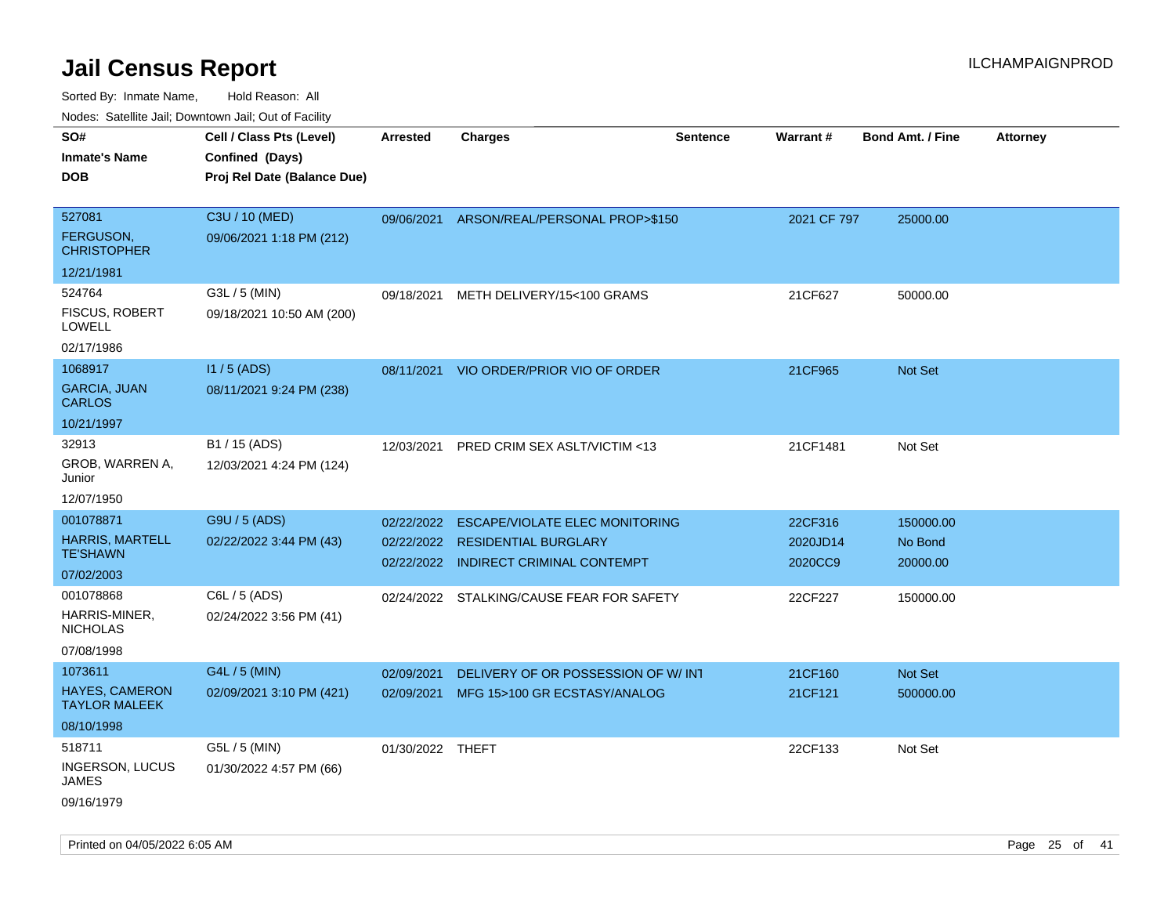| ivouss. Satellite Jali, Downtown Jali, Out of Facility                                                                |                                                                                      |                                        |                                                                                                                                                 |                 |                                           |                                               |                 |
|-----------------------------------------------------------------------------------------------------------------------|--------------------------------------------------------------------------------------|----------------------------------------|-------------------------------------------------------------------------------------------------------------------------------------------------|-----------------|-------------------------------------------|-----------------------------------------------|-----------------|
| SO#<br>Inmate's Name<br>DOB                                                                                           | Cell / Class Pts (Level)<br>Confined (Days)<br>Proj Rel Date (Balance Due)           | Arrested                               | <b>Charges</b>                                                                                                                                  | <b>Sentence</b> | <b>Warrant#</b>                           | <b>Bond Amt. / Fine</b>                       | <b>Attorney</b> |
| 527081<br>FERGUSON,<br><b>CHRISTOPHER</b><br>12/21/1981                                                               | C3U / 10 (MED)<br>09/06/2021 1:18 PM (212)                                           | 09/06/2021                             | ARSON/REAL/PERSONAL PROP>\$150                                                                                                                  |                 | 2021 CF 797                               | 25000.00                                      |                 |
| 524764<br>FISCUS, ROBERT<br>LOWELL<br>02/17/1986                                                                      | G3L / 5 (MIN)<br>09/18/2021 10:50 AM (200)                                           | 09/18/2021                             | METH DELIVERY/15<100 GRAMS                                                                                                                      |                 | 21CF627                                   | 50000.00                                      |                 |
| 1068917<br><b>GARCIA, JUAN</b><br><b>CARLOS</b><br>10/21/1997                                                         | $11/5$ (ADS)<br>08/11/2021 9:24 PM (238)                                             |                                        | 08/11/2021 VIO ORDER/PRIOR VIO OF ORDER                                                                                                         |                 | 21CF965                                   | <b>Not Set</b>                                |                 |
| 32913<br>GROB, WARREN A,<br>Junior<br>12/07/1950                                                                      | B1 / 15 (ADS)<br>12/03/2021 4:24 PM (124)                                            | 12/03/2021                             | <b>PRED CRIM SEX ASLT/VICTIM &lt;13</b>                                                                                                         |                 | 21CF1481                                  | Not Set                                       |                 |
| 001078871<br><b>HARRIS, MARTELL</b><br>TE'SHAWN<br>07/02/2003<br>001078868<br>HARRIS-MINER,<br>NICHOLAS<br>07/08/1998 | G9U / 5 (ADS)<br>02/22/2022 3:44 PM (43)<br>C6L / 5 (ADS)<br>02/24/2022 3:56 PM (41) | 02/22/2022<br>02/22/2022<br>02/22/2022 | <b>ESCAPE/VIOLATE ELEC MONITORING</b><br><b>RESIDENTIAL BURGLARY</b><br>INDIRECT CRIMINAL CONTEMPT<br>02/24/2022 STALKING/CAUSE FEAR FOR SAFETY |                 | 22CF316<br>2020JD14<br>2020CC9<br>22CF227 | 150000.00<br>No Bond<br>20000.00<br>150000.00 |                 |
| 1073611<br>HAYES, CAMERON<br>TAYLOR MALEEK<br>08/10/1998                                                              | G4L / 5 (MIN)<br>02/09/2021 3:10 PM (421)                                            | 02/09/2021<br>02/09/2021               | DELIVERY OF OR POSSESSION OF W/INT<br>MFG 15>100 GR ECSTASY/ANALOG                                                                              |                 | 21CF160<br>21CF121                        | Not Set<br>500000.00                          |                 |
| 518711<br>INGERSON, LUCUS<br>JAMES<br>09/16/1979                                                                      | G5L / 5 (MIN)<br>01/30/2022 4:57 PM (66)                                             | 01/30/2022 THEFT                       |                                                                                                                                                 |                 | 22CF133                                   | Not Set                                       |                 |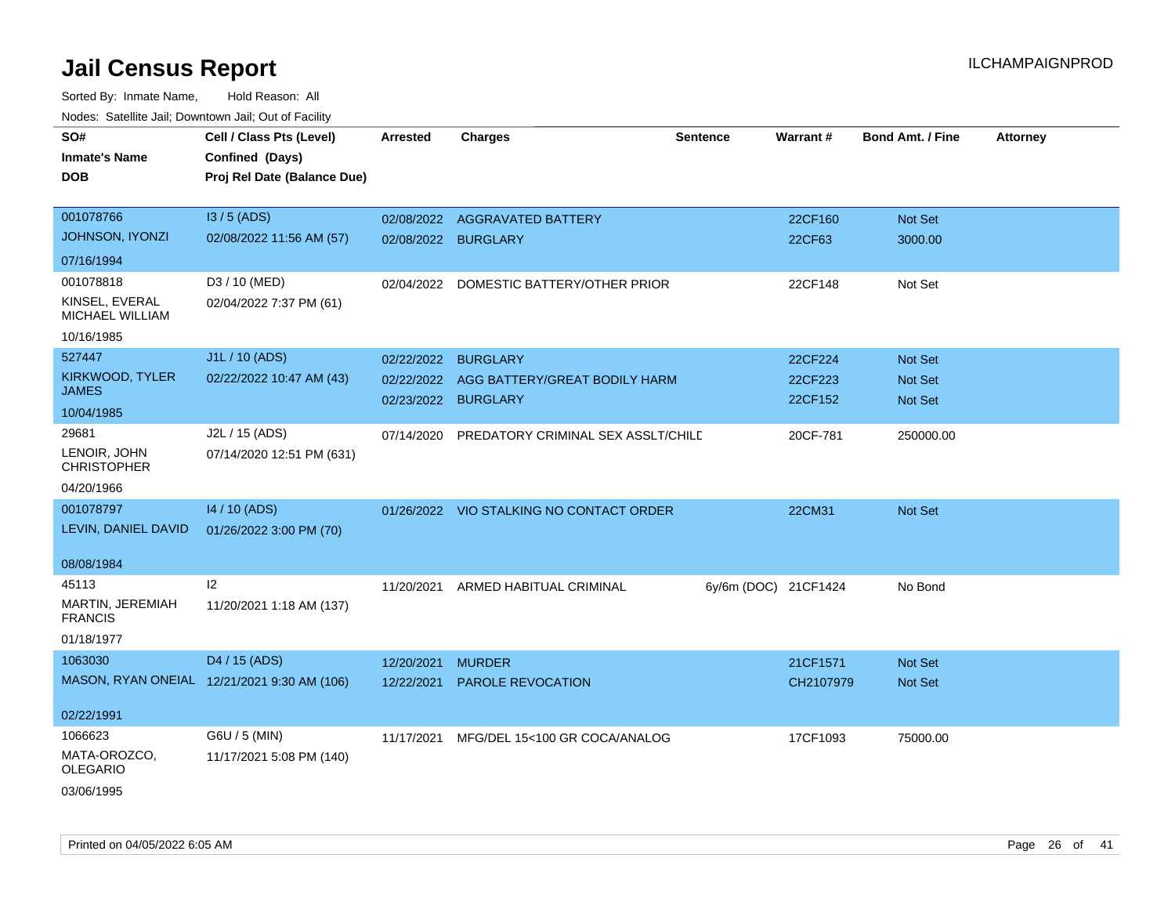| roaco. Catolino cali, Domntonn cali, Out of Facility |                                             |                     |                                               |                      |           |                         |                 |
|------------------------------------------------------|---------------------------------------------|---------------------|-----------------------------------------------|----------------------|-----------|-------------------------|-----------------|
| SO#                                                  | Cell / Class Pts (Level)                    | <b>Arrested</b>     | <b>Charges</b>                                | <b>Sentence</b>      | Warrant#  | <b>Bond Amt. / Fine</b> | <b>Attorney</b> |
| <b>Inmate's Name</b>                                 | Confined (Days)                             |                     |                                               |                      |           |                         |                 |
| <b>DOB</b>                                           | Proj Rel Date (Balance Due)                 |                     |                                               |                      |           |                         |                 |
|                                                      |                                             |                     |                                               |                      |           |                         |                 |
| 001078766                                            | I3 / 5 (ADS)                                |                     | 02/08/2022 AGGRAVATED BATTERY                 |                      | 22CF160   | Not Set                 |                 |
| JOHNSON, IYONZI                                      | 02/08/2022 11:56 AM (57)                    | 02/08/2022 BURGLARY |                                               |                      | 22CF63    | 3000.00                 |                 |
| 07/16/1994                                           |                                             |                     |                                               |                      |           |                         |                 |
| 001078818                                            | D3 / 10 (MED)                               | 02/04/2022          | DOMESTIC BATTERY/OTHER PRIOR                  |                      | 22CF148   | Not Set                 |                 |
| KINSEL, EVERAL<br>MICHAEL WILLIAM                    | 02/04/2022 7:37 PM (61)                     |                     |                                               |                      |           |                         |                 |
| 10/16/1985                                           |                                             |                     |                                               |                      |           |                         |                 |
| 527447                                               | J1L / 10 (ADS)                              | 02/22/2022          | <b>BURGLARY</b>                               |                      | 22CF224   | Not Set                 |                 |
| KIRKWOOD, TYLER                                      | 02/22/2022 10:47 AM (43)                    | 02/22/2022          | AGG BATTERY/GREAT BODILY HARM                 |                      | 22CF223   | Not Set                 |                 |
| <b>JAMES</b>                                         |                                             | 02/23/2022 BURGLARY |                                               |                      | 22CF152   | Not Set                 |                 |
| 10/04/1985                                           |                                             |                     |                                               |                      |           |                         |                 |
| 29681                                                | J2L / 15 (ADS)                              |                     | 07/14/2020 PREDATORY CRIMINAL SEX ASSLT/CHILD |                      | 20CF-781  | 250000.00               |                 |
| LENOIR, JOHN<br><b>CHRISTOPHER</b>                   | 07/14/2020 12:51 PM (631)                   |                     |                                               |                      |           |                         |                 |
| 04/20/1966                                           |                                             |                     |                                               |                      |           |                         |                 |
| 001078797                                            | 14 / 10 (ADS)                               |                     | 01/26/2022 VIO STALKING NO CONTACT ORDER      |                      | 22CM31    | Not Set                 |                 |
| LEVIN, DANIEL DAVID                                  | 01/26/2022 3:00 PM (70)                     |                     |                                               |                      |           |                         |                 |
|                                                      |                                             |                     |                                               |                      |           |                         |                 |
| 08/08/1984                                           |                                             |                     |                                               |                      |           |                         |                 |
| 45113                                                | 12                                          | 11/20/2021          | ARMED HABITUAL CRIMINAL                       | 6y/6m (DOC) 21CF1424 |           | No Bond                 |                 |
| MARTIN, JEREMIAH<br><b>FRANCIS</b>                   | 11/20/2021 1:18 AM (137)                    |                     |                                               |                      |           |                         |                 |
| 01/18/1977                                           |                                             |                     |                                               |                      |           |                         |                 |
| 1063030                                              | D4 / 15 (ADS)                               | 12/20/2021          | <b>MURDER</b>                                 |                      | 21CF1571  | Not Set                 |                 |
|                                                      | MASON, RYAN ONEIAL 12/21/2021 9:30 AM (106) | 12/22/2021          | <b>PAROLE REVOCATION</b>                      |                      | CH2107979 | Not Set                 |                 |
| 02/22/1991                                           |                                             |                     |                                               |                      |           |                         |                 |
|                                                      |                                             |                     |                                               |                      |           |                         |                 |
| 1066623                                              | G6U / 5 (MIN)                               | 11/17/2021          | MFG/DEL 15<100 GR COCA/ANALOG                 |                      | 17CF1093  | 75000.00                |                 |
| MATA-OROZCO,<br><b>OLEGARIO</b>                      | 11/17/2021 5:08 PM (140)                    |                     |                                               |                      |           |                         |                 |
| 03/06/1995                                           |                                             |                     |                                               |                      |           |                         |                 |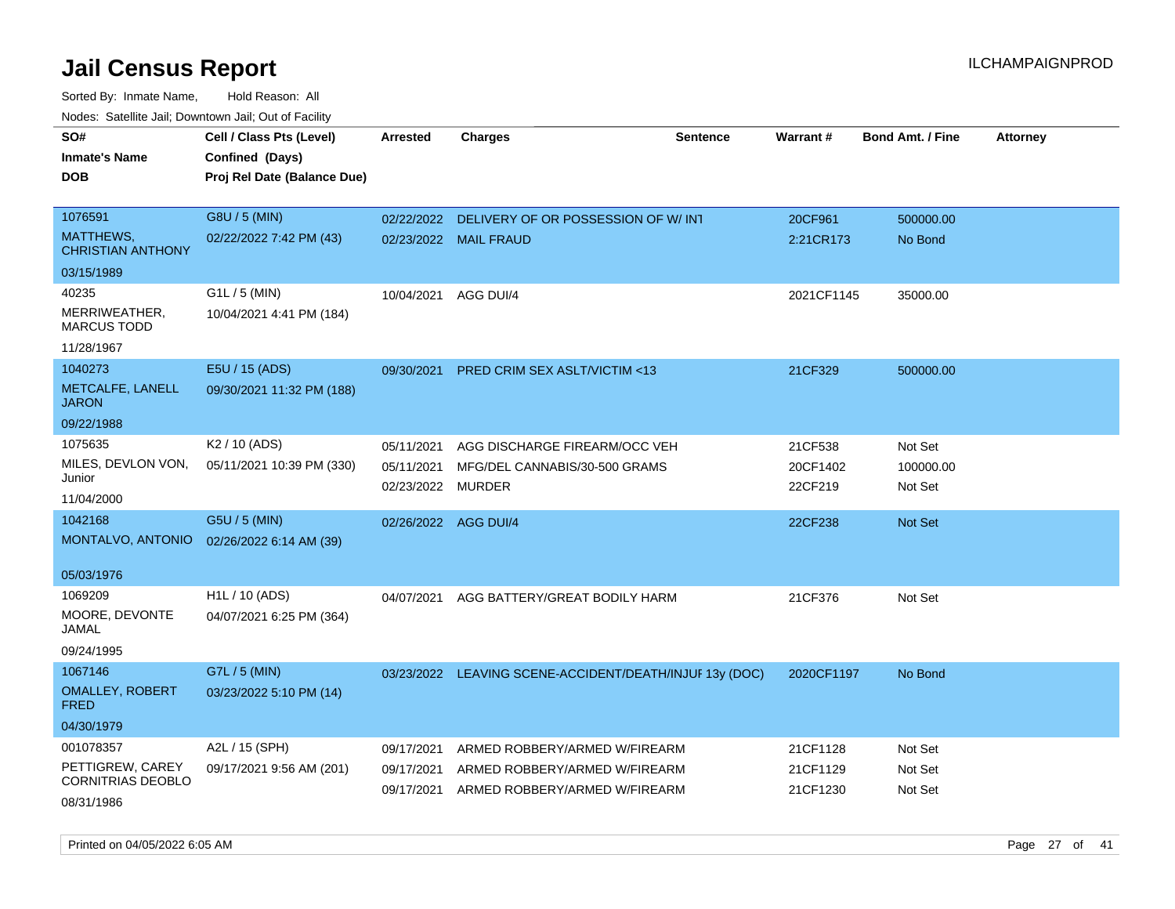| roaco. Calcinio dan, Downtown dan, Cal or Fability |                                           |                      |                                                         |                 |                 |                         |                 |
|----------------------------------------------------|-------------------------------------------|----------------------|---------------------------------------------------------|-----------------|-----------------|-------------------------|-----------------|
| SO#                                                | Cell / Class Pts (Level)                  | <b>Arrested</b>      | <b>Charges</b>                                          | <b>Sentence</b> | <b>Warrant#</b> | <b>Bond Amt. / Fine</b> | <b>Attorney</b> |
| Inmate's Name                                      | Confined (Days)                           |                      |                                                         |                 |                 |                         |                 |
| DOB                                                | Proj Rel Date (Balance Due)               |                      |                                                         |                 |                 |                         |                 |
|                                                    |                                           |                      |                                                         |                 |                 |                         |                 |
| 1076591                                            | G8U / 5 (MIN)                             | 02/22/2022           | DELIVERY OF OR POSSESSION OF W/INT                      |                 | 20CF961         | 500000.00               |                 |
| MATTHEWS,<br><b>CHRISTIAN ANTHONY</b>              | 02/22/2022 7:42 PM (43)                   |                      | 02/23/2022 MAIL FRAUD                                   |                 | 2:21CR173       | No Bond                 |                 |
| 03/15/1989                                         |                                           |                      |                                                         |                 |                 |                         |                 |
| 40235                                              | $G1L / 5$ (MIN)                           | 10/04/2021           | AGG DUI/4                                               |                 | 2021CF1145      | 35000.00                |                 |
| MERRIWEATHER,<br><b>MARCUS TODD</b>                | 10/04/2021 4:41 PM (184)                  |                      |                                                         |                 |                 |                         |                 |
| 11/28/1967                                         |                                           |                      |                                                         |                 |                 |                         |                 |
| 1040273                                            | E5U / 15 (ADS)                            | 09/30/2021           | PRED CRIM SEX ASLT/VICTIM <13                           |                 | 21CF329         | 500000.00               |                 |
| METCALFE, LANELL<br>JARON                          | 09/30/2021 11:32 PM (188)                 |                      |                                                         |                 |                 |                         |                 |
| 09/22/1988                                         |                                           |                      |                                                         |                 |                 |                         |                 |
| 1075635                                            | K <sub>2</sub> / 10 (ADS)                 | 05/11/2021           | AGG DISCHARGE FIREARM/OCC VEH                           |                 | 21CF538         | Not Set                 |                 |
| MILES, DEVLON VON,                                 | 05/11/2021 10:39 PM (330)                 | 05/11/2021           | MFG/DEL CANNABIS/30-500 GRAMS                           |                 | 20CF1402        | 100000.00               |                 |
| Junior                                             |                                           | 02/23/2022           | MURDER                                                  |                 | 22CF219         | Not Set                 |                 |
| 11/04/2000                                         |                                           |                      |                                                         |                 |                 |                         |                 |
| 1042168                                            | G5U / 5 (MIN)                             | 02/26/2022 AGG DUI/4 |                                                         |                 | 22CF238         | <b>Not Set</b>          |                 |
|                                                    | MONTALVO, ANTONIO 02/26/2022 6:14 AM (39) |                      |                                                         |                 |                 |                         |                 |
|                                                    |                                           |                      |                                                         |                 |                 |                         |                 |
| 05/03/1976                                         |                                           |                      |                                                         |                 |                 |                         |                 |
| 1069209                                            | H1L / 10 (ADS)                            | 04/07/2021           | AGG BATTERY/GREAT BODILY HARM                           |                 | 21CF376         | Not Set                 |                 |
| MOORE, DEVONTE<br>JAMAL                            | 04/07/2021 6:25 PM (364)                  |                      |                                                         |                 |                 |                         |                 |
| 09/24/1995                                         |                                           |                      |                                                         |                 |                 |                         |                 |
| 1067146                                            | G7L / 5 (MIN)                             |                      | 03/23/2022 LEAVING SCENE-ACCIDENT/DEATH/INJUF 13y (DOC) |                 | 2020CF1197      | No Bond                 |                 |
| <b>OMALLEY, ROBERT</b><br>FRED                     | 03/23/2022 5:10 PM (14)                   |                      |                                                         |                 |                 |                         |                 |
| 04/30/1979                                         |                                           |                      |                                                         |                 |                 |                         |                 |
| 001078357                                          | A2L / 15 (SPH)                            | 09/17/2021           | ARMED ROBBERY/ARMED W/FIREARM                           |                 | 21CF1128        | Not Set                 |                 |
| PETTIGREW, CAREY                                   | 09/17/2021 9:56 AM (201)                  | 09/17/2021           | ARMED ROBBERY/ARMED W/FIREARM                           |                 | 21CF1129        | Not Set                 |                 |
| CORNITRIAS DEOBLO                                  |                                           | 09/17/2021           | ARMED ROBBERY/ARMED W/FIREARM                           |                 | 21CF1230        | Not Set                 |                 |
| 08/31/1986                                         |                                           |                      |                                                         |                 |                 |                         |                 |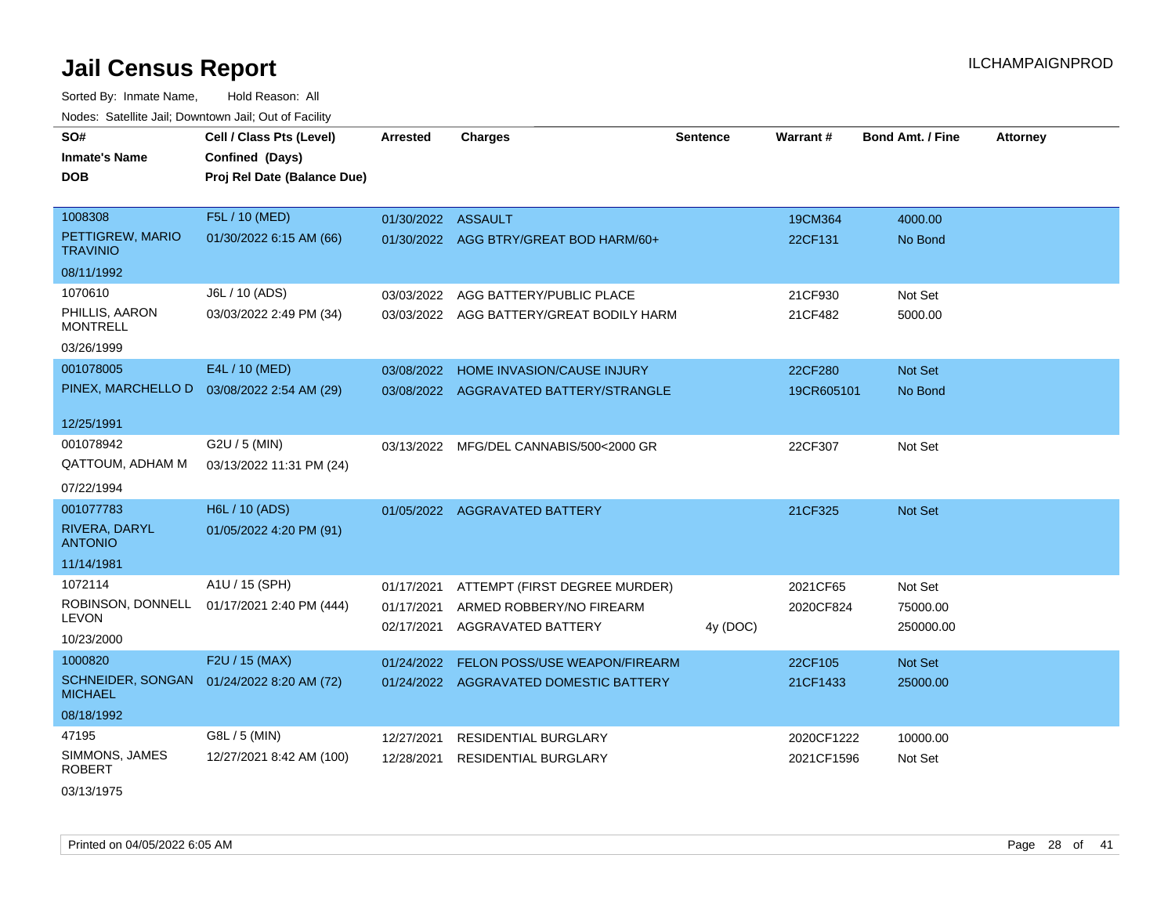Sorted By: Inmate Name, Hold Reason: All Nodes: Satellite Jail; Downtown Jail; Out of Facility

| SO#                                                         | Cell / Class Pts (Level)                   | <b>Arrested</b>          | <b>Charges</b>                                 | <b>Sentence</b> | Warrant#   | <b>Bond Amt. / Fine</b> | <b>Attorney</b> |
|-------------------------------------------------------------|--------------------------------------------|--------------------------|------------------------------------------------|-----------------|------------|-------------------------|-----------------|
| <b>Inmate's Name</b>                                        | Confined (Days)                            |                          |                                                |                 |            |                         |                 |
| DOB                                                         | Proj Rel Date (Balance Due)                |                          |                                                |                 |            |                         |                 |
|                                                             |                                            |                          |                                                |                 |            |                         |                 |
| 1008308                                                     | F5L / 10 (MED)                             | 01/30/2022 ASSAULT       |                                                |                 | 19CM364    | 4000.00                 |                 |
| PETTIGREW, MARIO<br><b>TRAVINIO</b>                         | 01/30/2022 6:15 AM (66)                    |                          | 01/30/2022 AGG BTRY/GREAT BOD HARM/60+         |                 | 22CF131    | No Bond                 |                 |
| 08/11/1992                                                  |                                            |                          |                                                |                 |            |                         |                 |
| 1070610                                                     | J6L / 10 (ADS)                             | 03/03/2022               | AGG BATTERY/PUBLIC PLACE                       |                 | 21CF930    | Not Set                 |                 |
| PHILLIS, AARON<br><b>MONTRELL</b>                           | 03/03/2022 2:49 PM (34)                    |                          | 03/03/2022 AGG BATTERY/GREAT BODILY HARM       |                 | 21CF482    | 5000.00                 |                 |
| 03/26/1999                                                  |                                            |                          |                                                |                 |            |                         |                 |
| 001078005                                                   | E4L / 10 (MED)                             | 03/08/2022               | HOME INVASION/CAUSE INJURY                     |                 | 22CF280    | Not Set                 |                 |
| PINEX, MARCHELLO D                                          | 03/08/2022 2:54 AM (29)                    |                          | 03/08/2022 AGGRAVATED BATTERY/STRANGLE         |                 | 19CR605101 | No Bond                 |                 |
|                                                             |                                            |                          |                                                |                 |            |                         |                 |
| 12/25/1991                                                  |                                            |                          |                                                |                 |            |                         |                 |
| 001078942                                                   | G2U / 5 (MIN)                              |                          | 03/13/2022 MFG/DEL CANNABIS/500<2000 GR        |                 | 22CF307    | Not Set                 |                 |
| QATTOUM, ADHAM M                                            | 03/13/2022 11:31 PM (24)                   |                          |                                                |                 |            |                         |                 |
| 07/22/1994                                                  |                                            |                          |                                                |                 |            |                         |                 |
| 001077783                                                   | H6L / 10 (ADS)                             |                          | 01/05/2022 AGGRAVATED BATTERY                  |                 | 21CF325    | Not Set                 |                 |
| RIVERA, DARYL<br><b>ANTONIO</b>                             | 01/05/2022 4:20 PM (91)                    |                          |                                                |                 |            |                         |                 |
| 11/14/1981                                                  |                                            |                          |                                                |                 |            |                         |                 |
| 1072114                                                     | A1U / 15 (SPH)                             | 01/17/2021               | ATTEMPT (FIRST DEGREE MURDER)                  |                 | 2021CF65   | Not Set                 |                 |
| <b>LEVON</b>                                                | ROBINSON, DONNELL 01/17/2021 2:40 PM (444) | 01/17/2021<br>02/17/2021 | ARMED ROBBERY/NO FIREARM<br>AGGRAVATED BATTERY | 4y (DOC)        | 2020CF824  | 75000.00<br>250000.00   |                 |
| 10/23/2000                                                  |                                            |                          |                                                |                 |            |                         |                 |
| 1000820                                                     | F2U / 15 (MAX)                             | 01/24/2022               | <b>FELON POSS/USE WEAPON/FIREARM</b>           |                 | 22CF105    | Not Set                 |                 |
| SCHNEIDER, SONGAN 01/24/2022 8:20 AM (72)<br><b>MICHAEL</b> |                                            | 01/24/2022               | AGGRAVATED DOMESTIC BATTERY                    |                 | 21CF1433   | 25000.00                |                 |
| 08/18/1992                                                  |                                            |                          |                                                |                 |            |                         |                 |
| 47195                                                       | G8L / 5 (MIN)                              | 12/27/2021               | <b>RESIDENTIAL BURGLARY</b>                    |                 | 2020CF1222 | 10000.00                |                 |
| SIMMONS, JAMES<br><b>ROBERT</b>                             | 12/27/2021 8:42 AM (100)                   | 12/28/2021               | <b>RESIDENTIAL BURGLARY</b>                    |                 | 2021CF1596 | Not Set                 |                 |

03/13/1975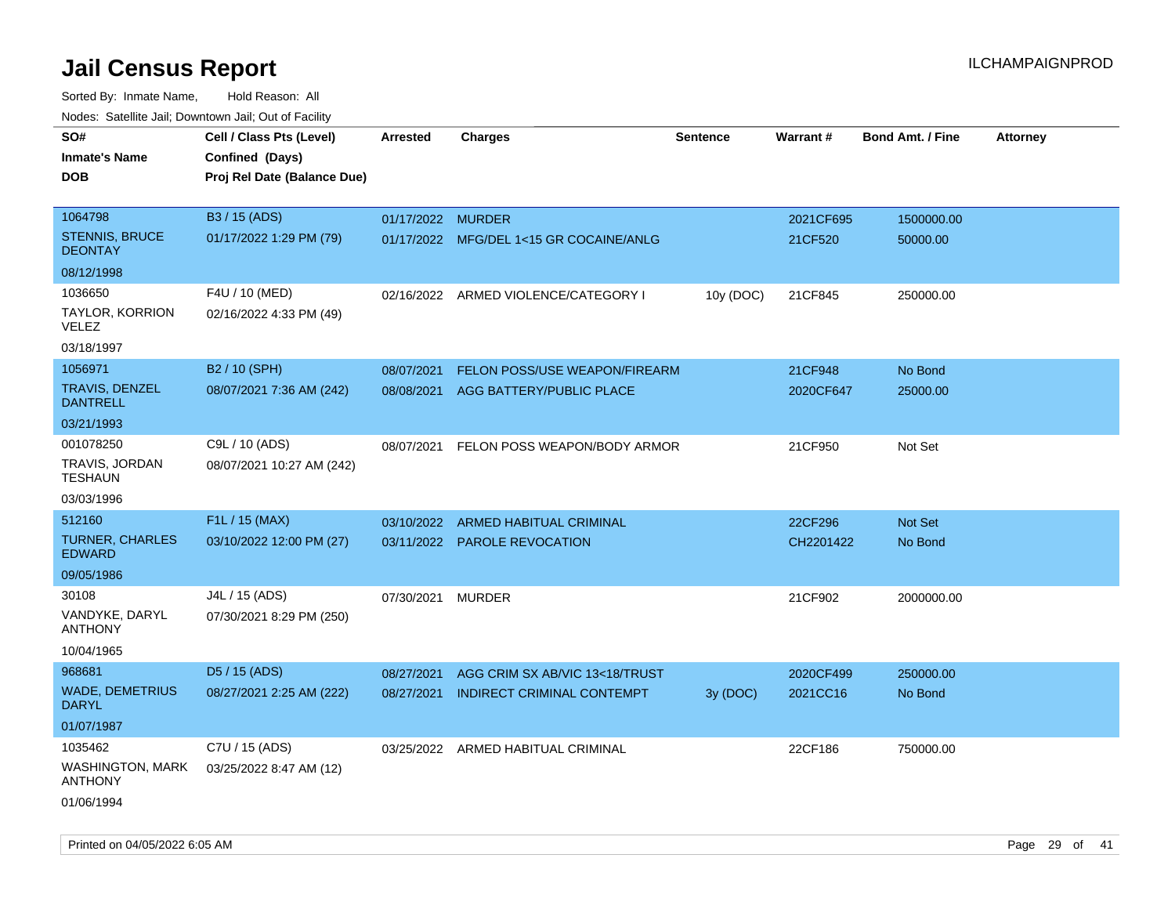| rougs. Calcinic Jan, Downtown Jan, Out of Facility |                             |                   |                                         |                 |           |                         |                 |
|----------------------------------------------------|-----------------------------|-------------------|-----------------------------------------|-----------------|-----------|-------------------------|-----------------|
| SO#                                                | Cell / Class Pts (Level)    | <b>Arrested</b>   | <b>Charges</b>                          | <b>Sentence</b> | Warrant#  | <b>Bond Amt. / Fine</b> | <b>Attorney</b> |
| <b>Inmate's Name</b>                               | Confined (Days)             |                   |                                         |                 |           |                         |                 |
| <b>DOB</b>                                         | Proj Rel Date (Balance Due) |                   |                                         |                 |           |                         |                 |
|                                                    |                             |                   |                                         |                 |           |                         |                 |
| 1064798                                            | B3 / 15 (ADS)               | 01/17/2022 MURDER |                                         |                 | 2021CF695 | 1500000.00              |                 |
| <b>STENNIS, BRUCE</b><br><b>DEONTAY</b>            | 01/17/2022 1:29 PM (79)     |                   | 01/17/2022 MFG/DEL 1<15 GR COCAINE/ANLG |                 | 21CF520   | 50000.00                |                 |
| 08/12/1998                                         |                             |                   |                                         |                 |           |                         |                 |
| 1036650                                            | F4U / 10 (MED)              |                   | 02/16/2022 ARMED VIOLENCE/CATEGORY I    | 10y (DOC)       | 21CF845   | 250000.00               |                 |
| TAYLOR, KORRION<br>VELEZ                           | 02/16/2022 4:33 PM (49)     |                   |                                         |                 |           |                         |                 |
| 03/18/1997                                         |                             |                   |                                         |                 |           |                         |                 |
| 1056971                                            | B2 / 10 (SPH)               | 08/07/2021        | FELON POSS/USE WEAPON/FIREARM           |                 | 21CF948   | No Bond                 |                 |
| <b>TRAVIS, DENZEL</b><br><b>DANTRELL</b>           | 08/07/2021 7:36 AM (242)    | 08/08/2021        | AGG BATTERY/PUBLIC PLACE                |                 | 2020CF647 | 25000.00                |                 |
| 03/21/1993                                         |                             |                   |                                         |                 |           |                         |                 |
| 001078250                                          | C9L / 10 (ADS)              | 08/07/2021        | FELON POSS WEAPON/BODY ARMOR            |                 | 21CF950   | Not Set                 |                 |
| TRAVIS, JORDAN<br><b>TESHAUN</b>                   | 08/07/2021 10:27 AM (242)   |                   |                                         |                 |           |                         |                 |
| 03/03/1996                                         |                             |                   |                                         |                 |           |                         |                 |
| 512160                                             | F1L / 15 (MAX)              | 03/10/2022        | ARMED HABITUAL CRIMINAL                 |                 | 22CF296   | Not Set                 |                 |
| <b>TURNER, CHARLES</b><br><b>EDWARD</b>            | 03/10/2022 12:00 PM (27)    |                   | 03/11/2022 PAROLE REVOCATION            |                 | CH2201422 | No Bond                 |                 |
| 09/05/1986                                         |                             |                   |                                         |                 |           |                         |                 |
| 30108                                              | J4L / 15 (ADS)              | 07/30/2021        | <b>MURDER</b>                           |                 | 21CF902   | 2000000.00              |                 |
| VANDYKE, DARYL<br><b>ANTHONY</b>                   | 07/30/2021 8:29 PM (250)    |                   |                                         |                 |           |                         |                 |
| 10/04/1965                                         |                             |                   |                                         |                 |           |                         |                 |
| 968681                                             | D5 / 15 (ADS)               | 08/27/2021        | AGG CRIM SX AB/VIC 13<18/TRUST          |                 | 2020CF499 | 250000.00               |                 |
| <b>WADE, DEMETRIUS</b><br><b>DARYL</b>             | 08/27/2021 2:25 AM (222)    | 08/27/2021        | <b>INDIRECT CRIMINAL CONTEMPT</b>       | 3y (DOC)        | 2021CC16  | No Bond                 |                 |
| 01/07/1987                                         |                             |                   |                                         |                 |           |                         |                 |
| 1035462                                            | C7U / 15 (ADS)              |                   | 03/25/2022 ARMED HABITUAL CRIMINAL      |                 | 22CF186   | 750000.00               |                 |
| <b>WASHINGTON, MARK</b><br><b>ANTHONY</b>          | 03/25/2022 8:47 AM (12)     |                   |                                         |                 |           |                         |                 |
| 01/06/1994                                         |                             |                   |                                         |                 |           |                         |                 |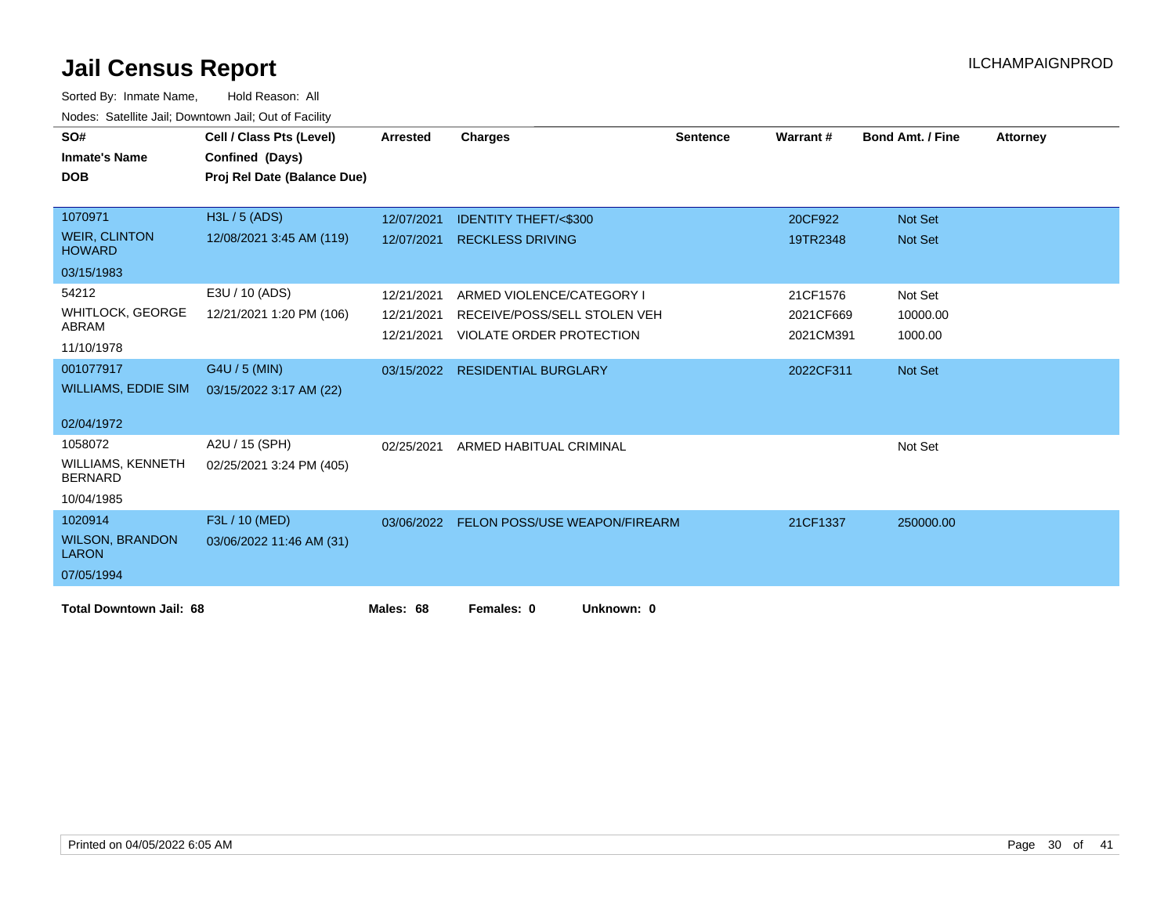| SO#                                        | Cell / Class Pts (Level)    | <b>Arrested</b> | <b>Charges</b>                       | <b>Sentence</b> | Warrant#  | <b>Bond Amt. / Fine</b> | <b>Attorney</b> |
|--------------------------------------------|-----------------------------|-----------------|--------------------------------------|-----------------|-----------|-------------------------|-----------------|
| <b>Inmate's Name</b>                       | Confined (Days)             |                 |                                      |                 |           |                         |                 |
| <b>DOB</b>                                 | Proj Rel Date (Balance Due) |                 |                                      |                 |           |                         |                 |
|                                            |                             |                 |                                      |                 |           |                         |                 |
| 1070971                                    | H3L / 5 (ADS)               | 12/07/2021      | <b>IDENTITY THEFT/&lt;\$300</b>      |                 | 20CF922   | <b>Not Set</b>          |                 |
| <b>WEIR, CLINTON</b><br><b>HOWARD</b>      | 12/08/2021 3:45 AM (119)    | 12/07/2021      | <b>RECKLESS DRIVING</b>              |                 | 19TR2348  | <b>Not Set</b>          |                 |
| 03/15/1983                                 |                             |                 |                                      |                 |           |                         |                 |
| 54212                                      | E3U / 10 (ADS)              | 12/21/2021      | ARMED VIOLENCE/CATEGORY I            |                 | 21CF1576  | Not Set                 |                 |
| <b>WHITLOCK, GEORGE</b>                    | 12/21/2021 1:20 PM (106)    | 12/21/2021      | RECEIVE/POSS/SELL STOLEN VEH         |                 | 2021CF669 | 10000.00                |                 |
| ABRAM                                      |                             | 12/21/2021      | VIOLATE ORDER PROTECTION             |                 | 2021CM391 | 1000.00                 |                 |
| 11/10/1978                                 |                             |                 |                                      |                 |           |                         |                 |
| 001077917                                  | G4U / 5 (MIN)               |                 | 03/15/2022 RESIDENTIAL BURGLARY      |                 | 2022CF311 | Not Set                 |                 |
| <b>WILLIAMS, EDDIE SIM</b>                 | 03/15/2022 3:17 AM (22)     |                 |                                      |                 |           |                         |                 |
|                                            |                             |                 |                                      |                 |           |                         |                 |
| 02/04/1972                                 |                             |                 |                                      |                 |           |                         |                 |
| 1058072                                    | A2U / 15 (SPH)              | 02/25/2021      | ARMED HABITUAL CRIMINAL              |                 |           | Not Set                 |                 |
| <b>WILLIAMS, KENNETH</b><br><b>BERNARD</b> | 02/25/2021 3:24 PM (405)    |                 |                                      |                 |           |                         |                 |
| 10/04/1985                                 |                             |                 |                                      |                 |           |                         |                 |
| 1020914                                    | F3L / 10 (MED)              | 03/06/2022      | <b>FELON POSS/USE WEAPON/FIREARM</b> |                 | 21CF1337  | 250000.00               |                 |
| <b>WILSON, BRANDON</b><br><b>LARON</b>     | 03/06/2022 11:46 AM (31)    |                 |                                      |                 |           |                         |                 |
| 07/05/1994                                 |                             |                 |                                      |                 |           |                         |                 |
| <b>Total Downtown Jail: 68</b>             |                             | Males: 68       | Females: 0<br>Unknown: 0             |                 |           |                         |                 |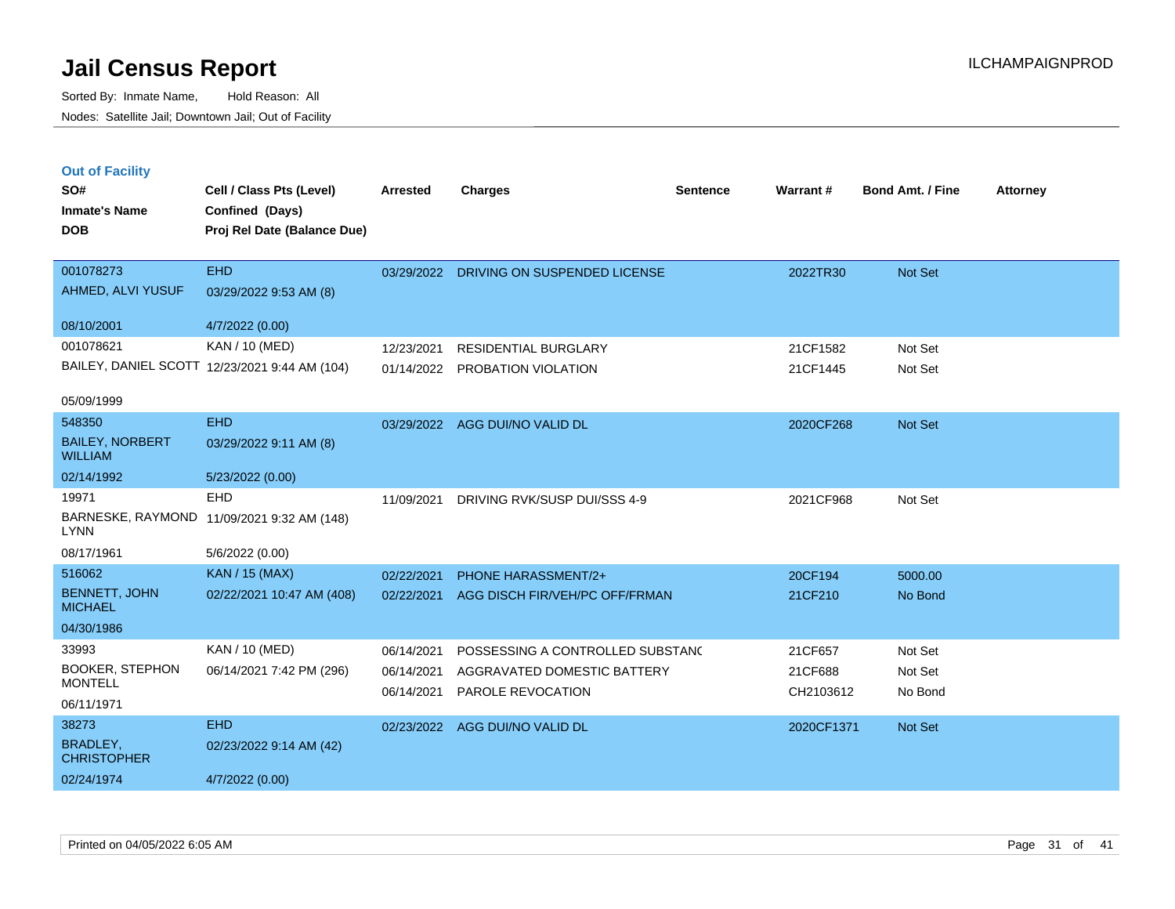| <b>Out of Facility</b><br>SO#<br><b>Inmate's Name</b><br><b>DOB</b> | Cell / Class Pts (Level)<br>Confined (Days)<br>Proj Rel Date (Balance Due) | Arrested   | <b>Charges</b>                   | Sentence | Warrant #  | <b>Bond Amt. / Fine</b> | <b>Attorney</b> |
|---------------------------------------------------------------------|----------------------------------------------------------------------------|------------|----------------------------------|----------|------------|-------------------------|-----------------|
| 001078273                                                           | <b>EHD</b>                                                                 | 03/29/2022 | DRIVING ON SUSPENDED LICENSE     |          | 2022TR30   | Not Set                 |                 |
| AHMED, ALVI YUSUF                                                   | 03/29/2022 9:53 AM (8)                                                     |            |                                  |          |            |                         |                 |
| 08/10/2001                                                          | 4/7/2022 (0.00)                                                            |            |                                  |          |            |                         |                 |
| 001078621                                                           | <b>KAN / 10 (MED)</b>                                                      | 12/23/2021 | <b>RESIDENTIAL BURGLARY</b>      |          | 21CF1582   | Not Set                 |                 |
|                                                                     | BAILEY, DANIEL SCOTT 12/23/2021 9:44 AM (104)                              | 01/14/2022 | PROBATION VIOLATION              |          | 21CF1445   | Not Set                 |                 |
| 05/09/1999                                                          |                                                                            |            |                                  |          |            |                         |                 |
| 548350                                                              | <b>EHD</b>                                                                 | 03/29/2022 | AGG DUI/NO VALID DL              |          | 2020CF268  | Not Set                 |                 |
| <b>BAILEY, NORBERT</b><br><b>WILLIAM</b>                            | 03/29/2022 9:11 AM (8)                                                     |            |                                  |          |            |                         |                 |
| 02/14/1992                                                          | 5/23/2022 (0.00)                                                           |            |                                  |          |            |                         |                 |
| 19971                                                               | <b>EHD</b>                                                                 | 11/09/2021 | DRIVING RVK/SUSP DUI/SSS 4-9     |          | 2021CF968  | Not Set                 |                 |
| <b>LYNN</b>                                                         | BARNESKE, RAYMOND 11/09/2021 9:32 AM (148)                                 |            |                                  |          |            |                         |                 |
| 08/17/1961                                                          | 5/6/2022 (0.00)                                                            |            |                                  |          |            |                         |                 |
| 516062                                                              | <b>KAN / 15 (MAX)</b>                                                      | 02/22/2021 | PHONE HARASSMENT/2+              |          | 20CF194    | 5000.00                 |                 |
| <b>BENNETT, JOHN</b><br><b>MICHAEL</b>                              | 02/22/2021 10:47 AM (408)                                                  | 02/22/2021 | AGG DISCH FIR/VEH/PC OFF/FRMAN   |          | 21CF210    | No Bond                 |                 |
| 04/30/1986                                                          |                                                                            |            |                                  |          |            |                         |                 |
| 33993                                                               | KAN / 10 (MED)                                                             | 06/14/2021 | POSSESSING A CONTROLLED SUBSTANC |          | 21CF657    | Not Set                 |                 |
| <b>BOOKER, STEPHON</b><br><b>MONTELL</b>                            | 06/14/2021 7:42 PM (296)                                                   | 06/14/2021 | AGGRAVATED DOMESTIC BATTERY      |          | 21CF688    | Not Set                 |                 |
| 06/11/1971                                                          |                                                                            | 06/14/2021 | PAROLE REVOCATION                |          | CH2103612  | No Bond                 |                 |
| 38273                                                               | <b>EHD</b>                                                                 | 02/23/2022 | AGG DUI/NO VALID DL              |          | 2020CF1371 | Not Set                 |                 |
| <b>BRADLEY,</b><br><b>CHRISTOPHER</b>                               | 02/23/2022 9:14 AM (42)                                                    |            |                                  |          |            |                         |                 |
| 02/24/1974                                                          | 4/7/2022 (0.00)                                                            |            |                                  |          |            |                         |                 |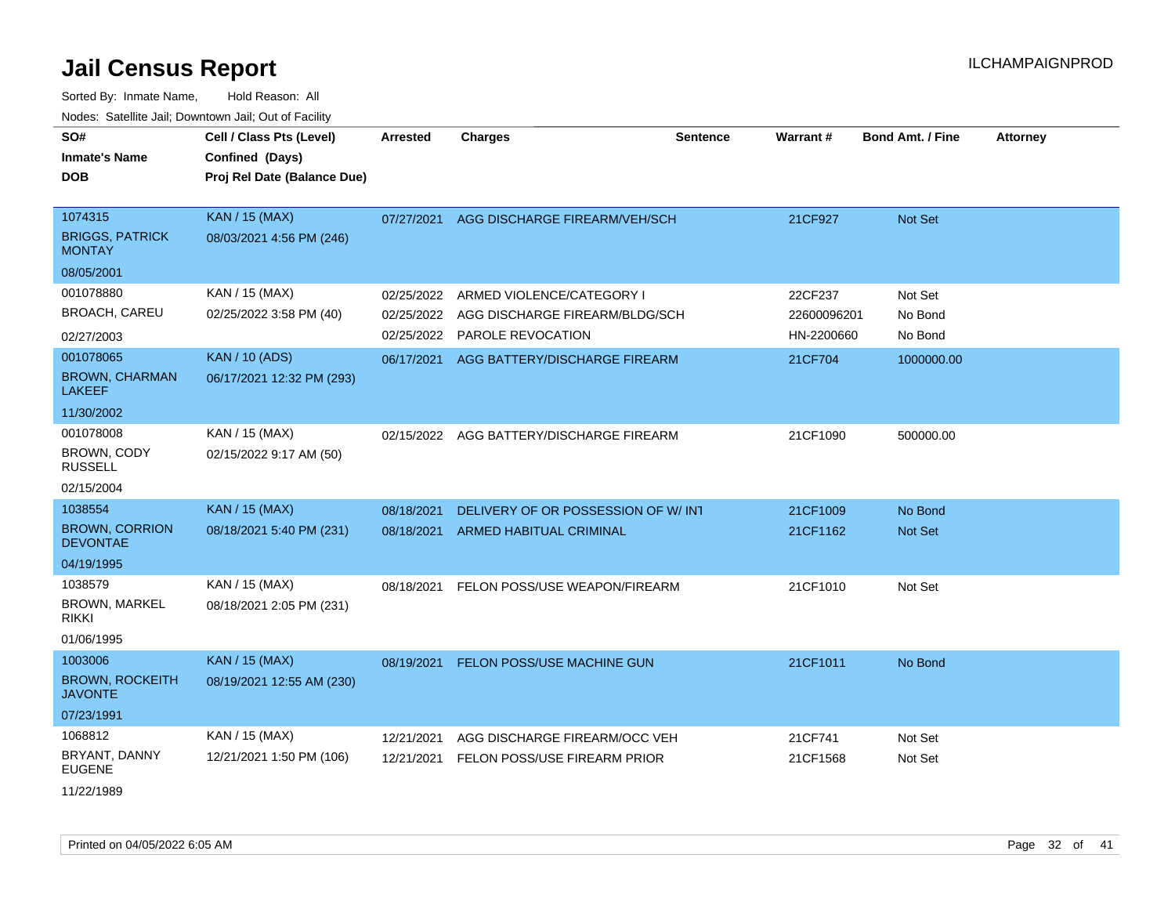| SO#<br><b>Inmate's Name</b><br>DOB                 | Cell / Class Pts (Level)<br>Confined (Days)<br>Proj Rel Date (Balance Due) | <b>Arrested</b> | <b>Charges</b>                     | <b>Sentence</b> | Warrant#    | Bond Amt. / Fine | <b>Attorney</b> |
|----------------------------------------------------|----------------------------------------------------------------------------|-----------------|------------------------------------|-----------------|-------------|------------------|-----------------|
| 1074315<br><b>BRIGGS, PATRICK</b><br><b>MONTAY</b> | <b>KAN / 15 (MAX)</b><br>08/03/2021 4:56 PM (246)                          | 07/27/2021      | AGG DISCHARGE FIREARM/VEH/SCH      |                 | 21CF927     | Not Set          |                 |
| 08/05/2001                                         |                                                                            |                 |                                    |                 |             |                  |                 |
| 001078880                                          | KAN / 15 (MAX)                                                             | 02/25/2022      | ARMED VIOLENCE/CATEGORY I          |                 | 22CF237     | Not Set          |                 |
| <b>BROACH, CAREU</b>                               | 02/25/2022 3:58 PM (40)                                                    | 02/25/2022      | AGG DISCHARGE FIREARM/BLDG/SCH     |                 | 22600096201 | No Bond          |                 |
| 02/27/2003                                         |                                                                            | 02/25/2022      | <b>PAROLE REVOCATION</b>           |                 | HN-2200660  | No Bond          |                 |
| 001078065                                          | <b>KAN / 10 (ADS)</b>                                                      | 06/17/2021      | AGG BATTERY/DISCHARGE FIREARM      |                 | 21CF704     | 1000000.00       |                 |
| <b>BROWN, CHARMAN</b><br><b>LAKEEF</b>             | 06/17/2021 12:32 PM (293)                                                  |                 |                                    |                 |             |                  |                 |
| 11/30/2002                                         |                                                                            |                 |                                    |                 |             |                  |                 |
| 001078008                                          | KAN / 15 (MAX)                                                             | 02/15/2022      | AGG BATTERY/DISCHARGE FIREARM      |                 | 21CF1090    | 500000.00        |                 |
| <b>BROWN, CODY</b><br><b>RUSSELL</b>               | 02/15/2022 9:17 AM (50)                                                    |                 |                                    |                 |             |                  |                 |
| 02/15/2004                                         |                                                                            |                 |                                    |                 |             |                  |                 |
| 1038554                                            | <b>KAN / 15 (MAX)</b>                                                      | 08/18/2021      | DELIVERY OF OR POSSESSION OF W/INT |                 | 21CF1009    | No Bond          |                 |
| <b>BROWN, CORRION</b><br><b>DEVONTAE</b>           | 08/18/2021 5:40 PM (231)                                                   | 08/18/2021      | ARMED HABITUAL CRIMINAL            |                 | 21CF1162    | <b>Not Set</b>   |                 |
| 04/19/1995                                         |                                                                            |                 |                                    |                 |             |                  |                 |
| 1038579                                            | KAN / 15 (MAX)                                                             | 08/18/2021      | FELON POSS/USE WEAPON/FIREARM      |                 | 21CF1010    | Not Set          |                 |
| BROWN, MARKEL<br>rikki                             | 08/18/2021 2:05 PM (231)                                                   |                 |                                    |                 |             |                  |                 |
| 01/06/1995                                         |                                                                            |                 |                                    |                 |             |                  |                 |
| 1003006                                            | <b>KAN / 15 (MAX)</b>                                                      | 08/19/2021      | FELON POSS/USE MACHINE GUN         |                 | 21CF1011    | No Bond          |                 |
| <b>BROWN, ROCKEITH</b><br><b>JAVONTE</b>           | 08/19/2021 12:55 AM (230)                                                  |                 |                                    |                 |             |                  |                 |
| 07/23/1991                                         |                                                                            |                 |                                    |                 |             |                  |                 |
| 1068812                                            | KAN / 15 (MAX)                                                             | 12/21/2021      | AGG DISCHARGE FIREARM/OCC VEH      |                 | 21CF741     | Not Set          |                 |
| BRYANT, DANNY<br><b>EUGENE</b>                     | 12/21/2021 1:50 PM (106)                                                   | 12/21/2021      | FELON POSS/USE FIREARM PRIOR       |                 | 21CF1568    | Not Set          |                 |
| 11/22/1989                                         |                                                                            |                 |                                    |                 |             |                  |                 |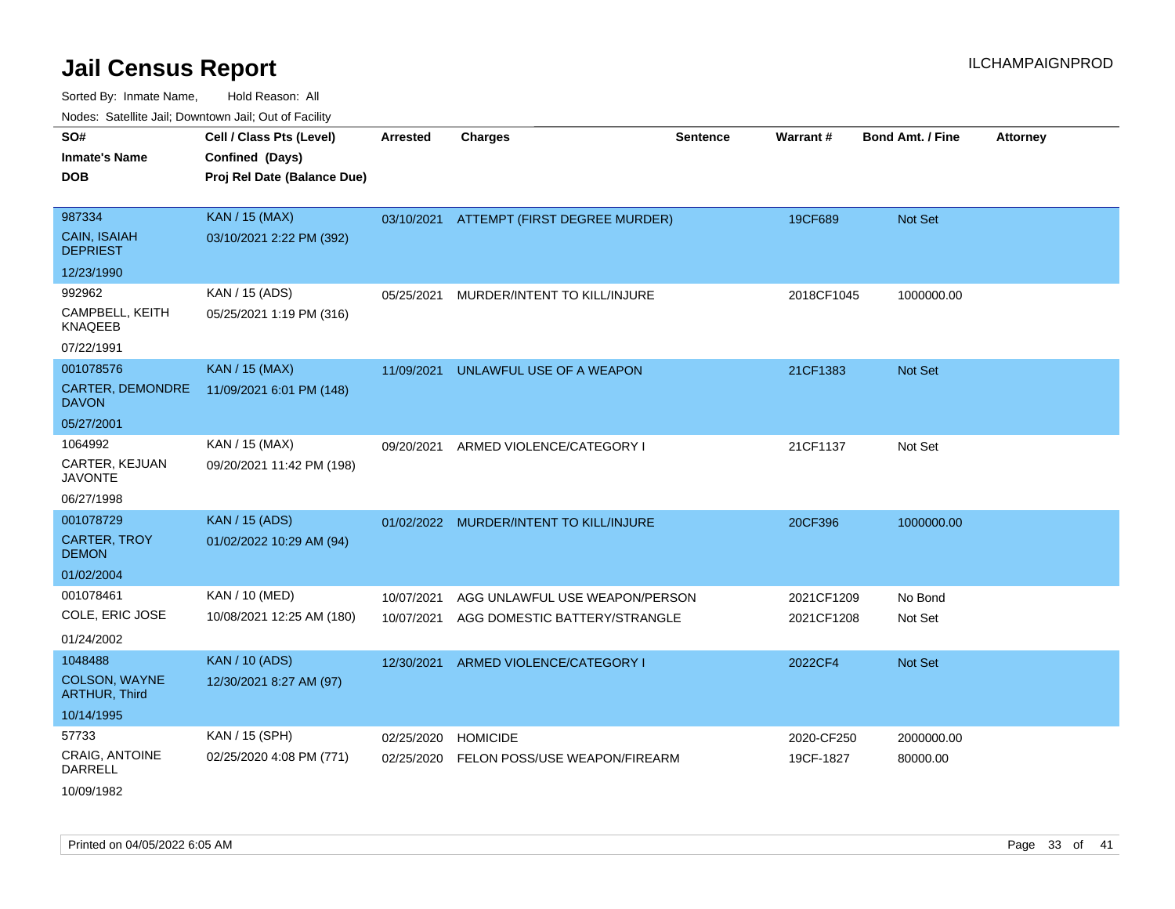Sorted By: Inmate Name, Hold Reason: All Nodes: Satellite Jail; Downtown Jail; Out of Facility

| <u>Houce.</u> Catoling bail, Downtown bail, Out of Fability |                                                   |                 |                                          |                 |            |                         |                 |
|-------------------------------------------------------------|---------------------------------------------------|-----------------|------------------------------------------|-----------------|------------|-------------------------|-----------------|
| SO#<br><b>Inmate's Name</b>                                 | Cell / Class Pts (Level)<br>Confined (Days)       | <b>Arrested</b> | <b>Charges</b>                           | <b>Sentence</b> | Warrant#   | <b>Bond Amt. / Fine</b> | <b>Attorney</b> |
| <b>DOB</b>                                                  | Proj Rel Date (Balance Due)                       |                 |                                          |                 |            |                         |                 |
| 987334<br><b>CAIN, ISAIAH</b>                               | <b>KAN / 15 (MAX)</b><br>03/10/2021 2:22 PM (392) |                 | 03/10/2021 ATTEMPT (FIRST DEGREE MURDER) |                 | 19CF689    | Not Set                 |                 |
| <b>DEPRIEST</b>                                             |                                                   |                 |                                          |                 |            |                         |                 |
| 12/23/1990                                                  |                                                   |                 |                                          |                 |            |                         |                 |
| 992962                                                      | KAN / 15 (ADS)                                    | 05/25/2021      | MURDER/INTENT TO KILL/INJURE             |                 | 2018CF1045 | 1000000.00              |                 |
| CAMPBELL, KEITH<br><b>KNAQEEB</b>                           | 05/25/2021 1:19 PM (316)                          |                 |                                          |                 |            |                         |                 |
| 07/22/1991                                                  |                                                   |                 |                                          |                 |            |                         |                 |
| 001078576                                                   | <b>KAN / 15 (MAX)</b>                             | 11/09/2021      | UNLAWFUL USE OF A WEAPON                 |                 | 21CF1383   | <b>Not Set</b>          |                 |
| <b>CARTER, DEMONDRE</b><br><b>DAVON</b>                     | 11/09/2021 6:01 PM (148)                          |                 |                                          |                 |            |                         |                 |
| 05/27/2001                                                  |                                                   |                 |                                          |                 |            |                         |                 |
| 1064992                                                     | KAN / 15 (MAX)                                    | 09/20/2021      | ARMED VIOLENCE/CATEGORY I                |                 | 21CF1137   | Not Set                 |                 |
| CARTER, KEJUAN<br><b>JAVONTE</b>                            | 09/20/2021 11:42 PM (198)                         |                 |                                          |                 |            |                         |                 |
| 06/27/1998                                                  |                                                   |                 |                                          |                 |            |                         |                 |
| 001078729                                                   | <b>KAN / 15 (ADS)</b>                             |                 | 01/02/2022 MURDER/INTENT TO KILL/INJURE  |                 | 20CF396    | 1000000.00              |                 |
| <b>CARTER, TROY</b><br><b>DEMON</b>                         | 01/02/2022 10:29 AM (94)                          |                 |                                          |                 |            |                         |                 |
| 01/02/2004                                                  |                                                   |                 |                                          |                 |            |                         |                 |
| 001078461                                                   | KAN / 10 (MED)                                    | 10/07/2021      | AGG UNLAWFUL USE WEAPON/PERSON           |                 | 2021CF1209 | No Bond                 |                 |
| COLE, ERIC JOSE                                             | 10/08/2021 12:25 AM (180)                         | 10/07/2021      | AGG DOMESTIC BATTERY/STRANGLE            |                 | 2021CF1208 | Not Set                 |                 |
| 01/24/2002                                                  |                                                   |                 |                                          |                 |            |                         |                 |
| 1048488                                                     | <b>KAN / 10 (ADS)</b>                             | 12/30/2021      | ARMED VIOLENCE/CATEGORY I                |                 | 2022CF4    | <b>Not Set</b>          |                 |
| <b>COLSON, WAYNE</b><br><b>ARTHUR, Third</b>                | 12/30/2021 8:27 AM (97)                           |                 |                                          |                 |            |                         |                 |
| 10/14/1995                                                  |                                                   |                 |                                          |                 |            |                         |                 |
| 57733                                                       | KAN / 15 (SPH)                                    | 02/25/2020      | <b>HOMICIDE</b>                          |                 | 2020-CF250 | 2000000.00              |                 |
| <b>CRAIG, ANTOINE</b><br>DARRELL                            | 02/25/2020 4:08 PM (771)                          | 02/25/2020      | FELON POSS/USE WEAPON/FIREARM            |                 | 19CF-1827  | 80000.00                |                 |

10/09/1982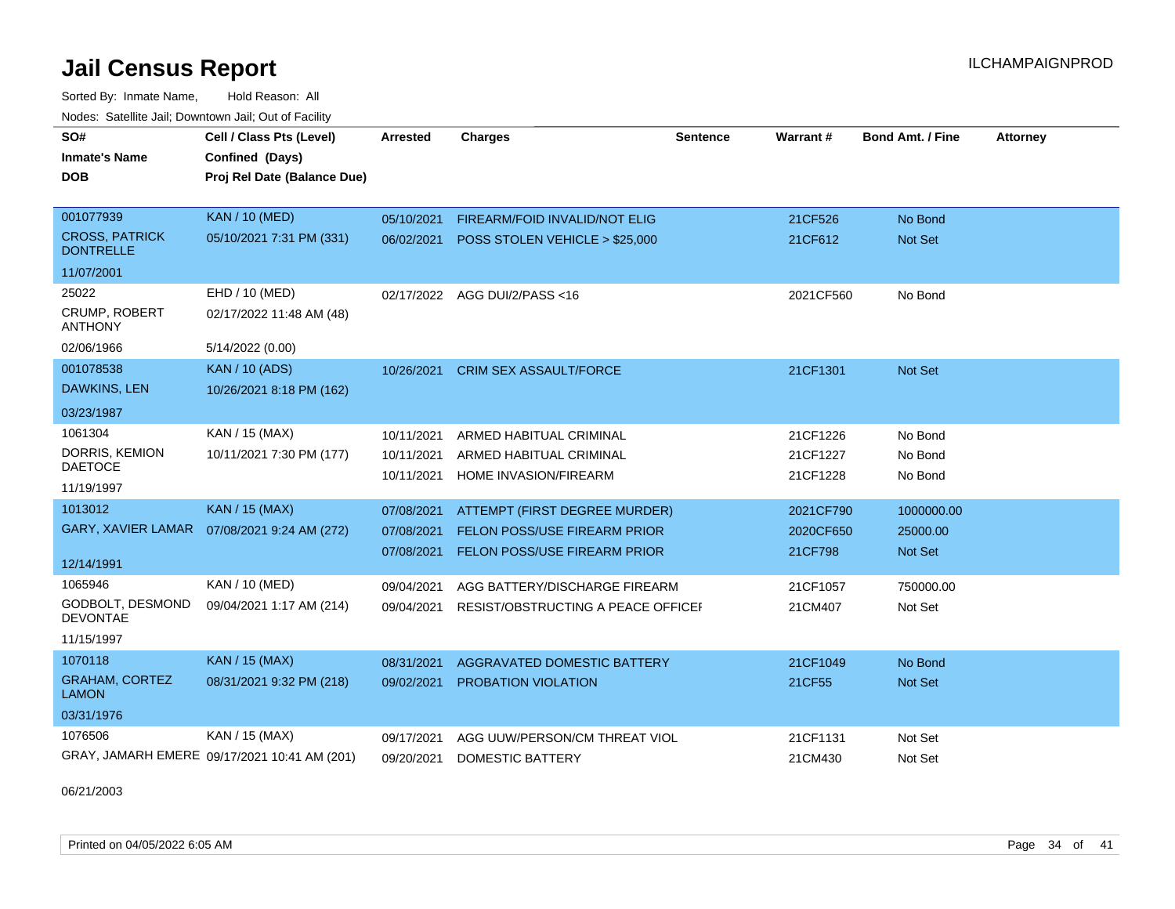Sorted By: Inmate Name, Hold Reason: All Nodes: Satellite Jail; Downtown Jail; Out of Facility

| SO#<br><b>Inmate's Name</b><br><b>DOB</b> | Cell / Class Pts (Level)<br>Confined (Days)<br>Proj Rel Date (Balance Due) | Arrested   | <b>Charges</b>                     | <b>Sentence</b> | <b>Warrant#</b> | <b>Bond Amt. / Fine</b> | <b>Attorney</b> |
|-------------------------------------------|----------------------------------------------------------------------------|------------|------------------------------------|-----------------|-----------------|-------------------------|-----------------|
|                                           |                                                                            |            |                                    |                 |                 |                         |                 |
| 001077939                                 | KAN / 10 (MED)                                                             | 05/10/2021 | FIREARM/FOID INVALID/NOT ELIG      |                 | 21CF526         | No Bond                 |                 |
| <b>CROSS, PATRICK</b><br><b>DONTRELLE</b> | 05/10/2021 7:31 PM (331)                                                   | 06/02/2021 | POSS STOLEN VEHICLE > \$25,000     |                 | 21CF612         | Not Set                 |                 |
| 11/07/2001                                |                                                                            |            |                                    |                 |                 |                         |                 |
| 25022                                     | EHD / 10 (MED)                                                             | 02/17/2022 | AGG DUI/2/PASS <16                 |                 | 2021CF560       | No Bond                 |                 |
| <b>CRUMP, ROBERT</b><br><b>ANTHONY</b>    | 02/17/2022 11:48 AM (48)                                                   |            |                                    |                 |                 |                         |                 |
| 02/06/1966                                | 5/14/2022 (0.00)                                                           |            |                                    |                 |                 |                         |                 |
| 001078538                                 | <b>KAN / 10 (ADS)</b>                                                      | 10/26/2021 | <b>CRIM SEX ASSAULT/FORCE</b>      |                 | 21CF1301        | <b>Not Set</b>          |                 |
| DAWKINS, LEN                              | 10/26/2021 8:18 PM (162)                                                   |            |                                    |                 |                 |                         |                 |
| 03/23/1987                                |                                                                            |            |                                    |                 |                 |                         |                 |
| 1061304                                   | KAN / 15 (MAX)                                                             | 10/11/2021 | ARMED HABITUAL CRIMINAL            |                 | 21CF1226        | No Bond                 |                 |
| DORRIS, KEMION                            | 10/11/2021 7:30 PM (177)                                                   | 10/11/2021 | ARMED HABITUAL CRIMINAL            |                 | 21CF1227        | No Bond                 |                 |
| <b>DAETOCE</b>                            |                                                                            | 10/11/2021 | HOME INVASION/FIREARM              |                 | 21CF1228        | No Bond                 |                 |
| 11/19/1997                                |                                                                            |            |                                    |                 |                 |                         |                 |
| 1013012                                   | <b>KAN / 15 (MAX)</b>                                                      | 07/08/2021 | ATTEMPT (FIRST DEGREE MURDER)      |                 | 2021CF790       | 1000000.00              |                 |
|                                           | GARY, XAVIER LAMAR  07/08/2021 9:24 AM (272)                               | 07/08/2021 | FELON POSS/USE FIREARM PRIOR       |                 | 2020CF650       | 25000.00                |                 |
| 12/14/1991                                |                                                                            | 07/08/2021 | FELON POSS/USE FIREARM PRIOR       |                 | 21CF798         | Not Set                 |                 |
| 1065946                                   | KAN / 10 (MED)                                                             | 09/04/2021 | AGG BATTERY/DISCHARGE FIREARM      |                 | 21CF1057        | 750000.00               |                 |
| GODBOLT, DESMOND<br><b>DEVONTAE</b>       | 09/04/2021 1:17 AM (214)                                                   | 09/04/2021 | RESIST/OBSTRUCTING A PEACE OFFICEF |                 | 21CM407         | Not Set                 |                 |
| 11/15/1997                                |                                                                            |            |                                    |                 |                 |                         |                 |
| 1070118                                   | <b>KAN / 15 (MAX)</b>                                                      | 08/31/2021 | AGGRAVATED DOMESTIC BATTERY        |                 | 21CF1049        | No Bond                 |                 |
| <b>GRAHAM, CORTEZ</b><br><b>LAMON</b>     | 08/31/2021 9:32 PM (218)                                                   | 09/02/2021 | <b>PROBATION VIOLATION</b>         |                 | 21CF55          | Not Set                 |                 |
| 03/31/1976                                |                                                                            |            |                                    |                 |                 |                         |                 |
| 1076506                                   | KAN / 15 (MAX)                                                             | 09/17/2021 | AGG UUW/PERSON/CM THREAT VIOL      |                 | 21CF1131        | Not Set                 |                 |
|                                           | GRAY, JAMARH EMERE 09/17/2021 10:41 AM (201)                               | 09/20/2021 | <b>DOMESTIC BATTERY</b>            |                 | 21CM430         | Not Set                 |                 |

06/21/2003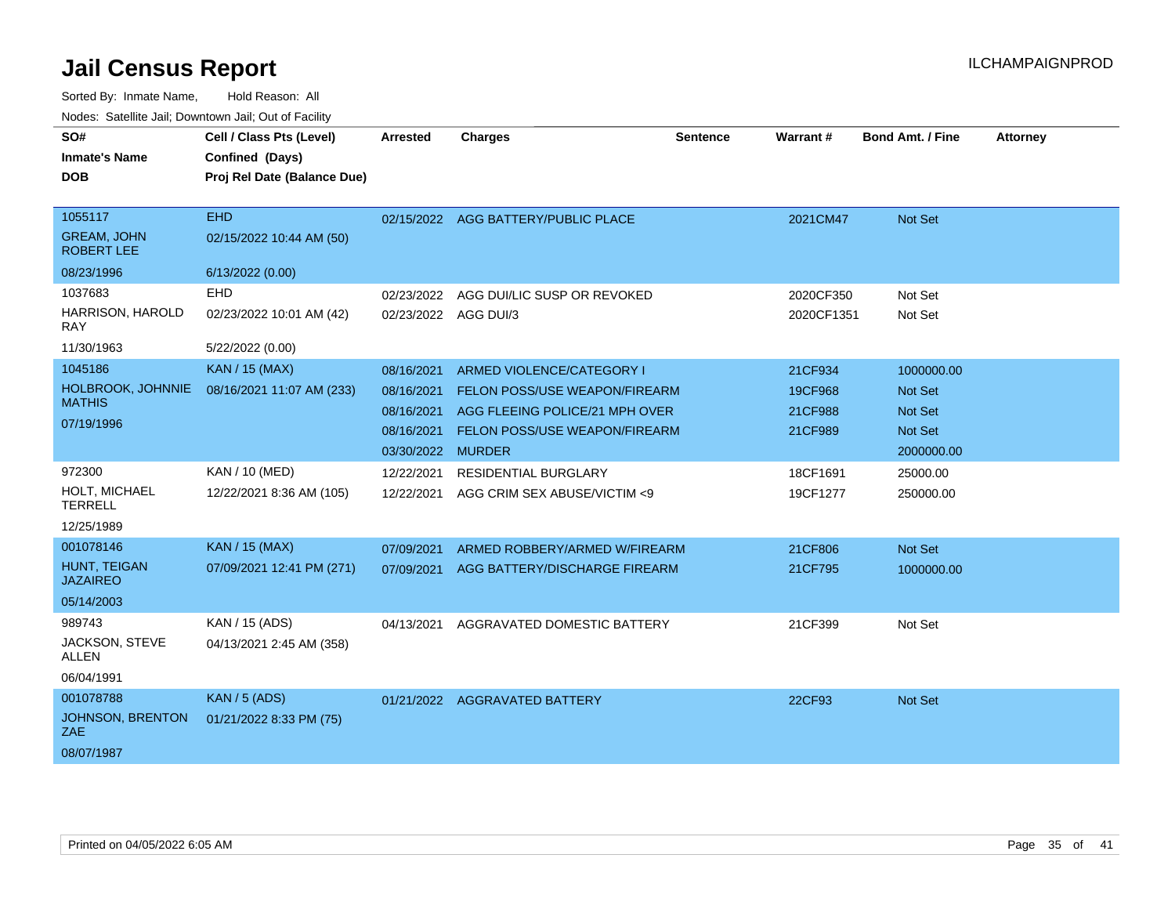| SO#                                     | Cell / Class Pts (Level)                       | <b>Arrested</b>   | <b>Charges</b>                       | <b>Sentence</b> | Warrant#   | <b>Bond Amt. / Fine</b> | <b>Attorney</b> |
|-----------------------------------------|------------------------------------------------|-------------------|--------------------------------------|-----------------|------------|-------------------------|-----------------|
| <b>Inmate's Name</b><br><b>DOB</b>      | Confined (Days)<br>Proj Rel Date (Balance Due) |                   |                                      |                 |            |                         |                 |
|                                         |                                                |                   |                                      |                 |            |                         |                 |
| 1055117                                 | <b>EHD</b>                                     |                   | 02/15/2022 AGG BATTERY/PUBLIC PLACE  |                 | 2021CM47   | Not Set                 |                 |
| <b>GREAM, JOHN</b><br><b>ROBERT LEE</b> | 02/15/2022 10:44 AM (50)                       |                   |                                      |                 |            |                         |                 |
| 08/23/1996                              | 6/13/2022 (0.00)                               |                   |                                      |                 |            |                         |                 |
| 1037683                                 | EHD                                            | 02/23/2022        | AGG DUI/LIC SUSP OR REVOKED          |                 | 2020CF350  | Not Set                 |                 |
| HARRISON, HAROLD<br><b>RAY</b>          | 02/23/2022 10:01 AM (42)                       | 02/23/2022        | AGG DUI/3                            |                 | 2020CF1351 | Not Set                 |                 |
| 11/30/1963                              | 5/22/2022 (0.00)                               |                   |                                      |                 |            |                         |                 |
| 1045186                                 | KAN / 15 (MAX)                                 | 08/16/2021        | ARMED VIOLENCE/CATEGORY I            |                 | 21CF934    | 1000000.00              |                 |
| HOLBROOK, JOHNNIE                       | 08/16/2021 11:07 AM (233)                      | 08/16/2021        | <b>FELON POSS/USE WEAPON/FIREARM</b> |                 | 19CF968    | Not Set                 |                 |
| <b>MATHIS</b>                           |                                                | 08/16/2021        | AGG FLEEING POLICE/21 MPH OVER       |                 | 21CF988    | <b>Not Set</b>          |                 |
| 07/19/1996                              |                                                | 08/16/2021        | <b>FELON POSS/USE WEAPON/FIREARM</b> |                 | 21CF989    | <b>Not Set</b>          |                 |
|                                         |                                                | 03/30/2022 MURDER |                                      |                 |            | 2000000.00              |                 |
| 972300                                  | KAN / 10 (MED)                                 | 12/22/2021        | <b>RESIDENTIAL BURGLARY</b>          |                 | 18CF1691   | 25000.00                |                 |
| HOLT, MICHAEL<br><b>TERRELL</b>         | 12/22/2021 8:36 AM (105)                       | 12/22/2021        | AGG CRIM SEX ABUSE/VICTIM <9         |                 | 19CF1277   | 250000.00               |                 |
| 12/25/1989                              |                                                |                   |                                      |                 |            |                         |                 |
| 001078146                               | <b>KAN / 15 (MAX)</b>                          | 07/09/2021        | ARMED ROBBERY/ARMED W/FIREARM        |                 | 21CF806    | Not Set                 |                 |
| <b>HUNT. TEIGAN</b><br><b>JAZAIREO</b>  | 07/09/2021 12:41 PM (271)                      | 07/09/2021        | AGG BATTERY/DISCHARGE FIREARM        |                 | 21CF795    | 1000000.00              |                 |
| 05/14/2003                              |                                                |                   |                                      |                 |            |                         |                 |
| 989743                                  | KAN / 15 (ADS)                                 | 04/13/2021        | AGGRAVATED DOMESTIC BATTERY          |                 | 21CF399    | Not Set                 |                 |
| JACKSON, STEVE<br><b>ALLEN</b>          | 04/13/2021 2:45 AM (358)                       |                   |                                      |                 |            |                         |                 |
| 06/04/1991                              |                                                |                   |                                      |                 |            |                         |                 |
| 001078788                               | <b>KAN / 5 (ADS)</b>                           |                   | 01/21/2022 AGGRAVATED BATTERY        |                 | 22CF93     | Not Set                 |                 |
| JOHNSON, BRENTON<br>ZAE.                | 01/21/2022 8:33 PM (75)                        |                   |                                      |                 |            |                         |                 |
| 08/07/1987                              |                                                |                   |                                      |                 |            |                         |                 |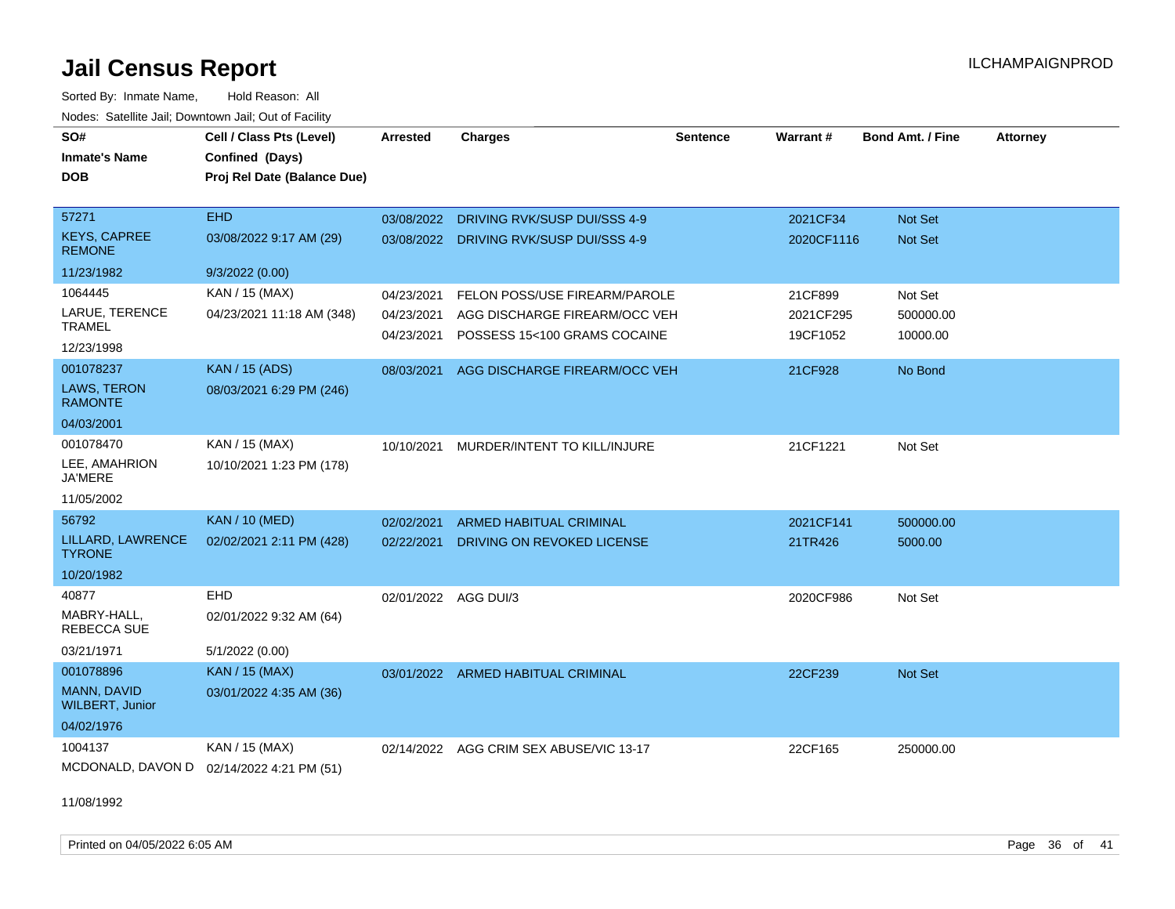Sorted By: Inmate Name, Hold Reason: All Nodes: Satellite Jail; Downtown Jail; Out of Facility

| SO#<br><b>Inmate's Name</b>           | Cell / Class Pts (Level)<br>Confined (Days) | <b>Arrested</b>          | <b>Charges</b>                                                | <b>Sentence</b> | Warrant#              | <b>Bond Amt. / Fine</b> | <b>Attorney</b> |
|---------------------------------------|---------------------------------------------|--------------------------|---------------------------------------------------------------|-----------------|-----------------------|-------------------------|-----------------|
| <b>DOB</b>                            | Proj Rel Date (Balance Due)                 |                          |                                                               |                 |                       |                         |                 |
| 57271                                 | <b>EHD</b>                                  | 03/08/2022               | DRIVING RVK/SUSP DUI/SSS 4-9                                  |                 | 2021CF34              | Not Set                 |                 |
| <b>KEYS, CAPREE</b><br><b>REMONE</b>  | 03/08/2022 9:17 AM (29)                     |                          | 03/08/2022 DRIVING RVK/SUSP DUI/SSS 4-9                       |                 | 2020CF1116            | <b>Not Set</b>          |                 |
| 11/23/1982                            | 9/3/2022(0.00)                              |                          |                                                               |                 |                       |                         |                 |
| 1064445                               | KAN / 15 (MAX)                              | 04/23/2021               | FELON POSS/USE FIREARM/PAROLE                                 |                 | 21CF899               | Not Set                 |                 |
| LARUE, TERENCE<br><b>TRAMEL</b>       | 04/23/2021 11:18 AM (348)                   | 04/23/2021<br>04/23/2021 | AGG DISCHARGE FIREARM/OCC VEH<br>POSSESS 15<100 GRAMS COCAINE |                 | 2021CF295<br>19CF1052 | 500000.00<br>10000.00   |                 |
| 12/23/1998                            |                                             |                          |                                                               |                 |                       |                         |                 |
| 001078237                             | <b>KAN / 15 (ADS)</b>                       | 08/03/2021               | AGG DISCHARGE FIREARM/OCC VEH                                 |                 | 21CF928               | No Bond                 |                 |
| LAWS, TERON<br><b>RAMONTE</b>         | 08/03/2021 6:29 PM (246)                    |                          |                                                               |                 |                       |                         |                 |
| 04/03/2001                            |                                             |                          |                                                               |                 |                       |                         |                 |
| 001078470                             | KAN / 15 (MAX)                              | 10/10/2021               | MURDER/INTENT TO KILL/INJURE                                  |                 | 21CF1221              | Not Set                 |                 |
| LEE, AMAHRION<br>JA'MERE              | 10/10/2021 1:23 PM (178)                    |                          |                                                               |                 |                       |                         |                 |
| 11/05/2002                            |                                             |                          |                                                               |                 |                       |                         |                 |
| 56792                                 | <b>KAN / 10 (MED)</b>                       | 02/02/2021               | ARMED HABITUAL CRIMINAL                                       |                 | 2021CF141             | 500000.00               |                 |
| LILLARD, LAWRENCE<br><b>TYRONE</b>    | 02/02/2021 2:11 PM (428)                    | 02/22/2021               | DRIVING ON REVOKED LICENSE                                    |                 | 21TR426               | 5000.00                 |                 |
| 10/20/1982                            |                                             |                          |                                                               |                 |                       |                         |                 |
| 40877                                 | EHD                                         | 02/01/2022 AGG DUI/3     |                                                               |                 | 2020CF986             | Not Set                 |                 |
| MABRY-HALL,<br><b>REBECCA SUE</b>     | 02/01/2022 9:32 AM (64)                     |                          |                                                               |                 |                       |                         |                 |
| 03/21/1971                            | 5/1/2022 (0.00)                             |                          |                                                               |                 |                       |                         |                 |
| 001078896                             | <b>KAN / 15 (MAX)</b>                       |                          | 03/01/2022 ARMED HABITUAL CRIMINAL                            |                 | 22CF239               | Not Set                 |                 |
| MANN, DAVID<br><b>WILBERT, Junior</b> | 03/01/2022 4:35 AM (36)                     |                          |                                                               |                 |                       |                         |                 |
| 04/02/1976                            |                                             |                          |                                                               |                 |                       |                         |                 |
| 1004137                               | KAN / 15 (MAX)                              |                          | 02/14/2022 AGG CRIM SEX ABUSE/VIC 13-17                       |                 | 22CF165               | 250000.00               |                 |
|                                       | MCDONALD, DAVON D 02/14/2022 4:21 PM (51)   |                          |                                                               |                 |                       |                         |                 |

11/08/1992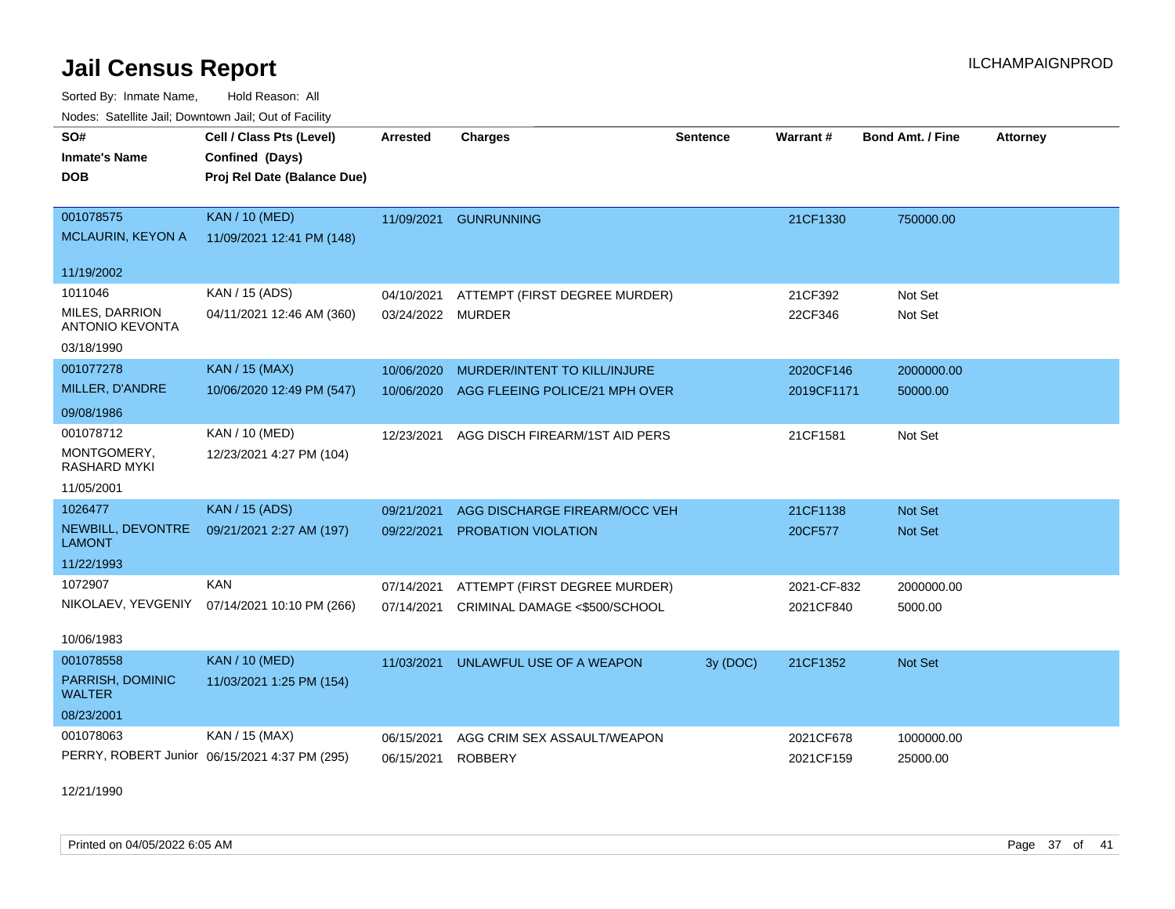Sorted By: Inmate Name, Hold Reason: All Nodes: Satellite Jail; Downtown Jail; Out of Facility

|                                    | vouco. Odichite dall, Downtown dall, Out of Facility |                 |                                |                 |             |                         |                 |  |
|------------------------------------|------------------------------------------------------|-----------------|--------------------------------|-----------------|-------------|-------------------------|-----------------|--|
| SO#                                | Cell / Class Pts (Level)                             | <b>Arrested</b> | <b>Charges</b>                 | <b>Sentence</b> | Warrant#    | <b>Bond Amt. / Fine</b> | <b>Attorney</b> |  |
| <b>Inmate's Name</b>               | Confined (Days)                                      |                 |                                |                 |             |                         |                 |  |
| DOB.                               | Proj Rel Date (Balance Due)                          |                 |                                |                 |             |                         |                 |  |
|                                    |                                                      |                 |                                |                 |             |                         |                 |  |
| 001078575                          | <b>KAN / 10 (MED)</b>                                | 11/09/2021      | <b>GUNRUNNING</b>              |                 | 21CF1330    | 750000.00               |                 |  |
| <b>MCLAURIN, KEYON A</b>           | 11/09/2021 12:41 PM (148)                            |                 |                                |                 |             |                         |                 |  |
| 11/19/2002                         |                                                      |                 |                                |                 |             |                         |                 |  |
| 1011046                            | KAN / 15 (ADS)                                       | 04/10/2021      | ATTEMPT (FIRST DEGREE MURDER)  |                 | 21CF392     | Not Set                 |                 |  |
| MILES, DARRION                     | 04/11/2021 12:46 AM (360)                            | 03/24/2022      | <b>MURDER</b>                  |                 | 22CF346     | Not Set                 |                 |  |
| <b>ANTONIO KEVONTA</b>             |                                                      |                 |                                |                 |             |                         |                 |  |
| 03/18/1990                         |                                                      |                 |                                |                 |             |                         |                 |  |
| 001077278                          | <b>KAN / 15 (MAX)</b>                                | 10/06/2020      | MURDER/INTENT TO KILL/INJURE   |                 | 2020CF146   | 2000000.00              |                 |  |
| MILLER, D'ANDRE                    | 10/06/2020 12:49 PM (547)                            | 10/06/2020      | AGG FLEEING POLICE/21 MPH OVER |                 | 2019CF1171  | 50000.00                |                 |  |
| 09/08/1986                         |                                                      |                 |                                |                 |             |                         |                 |  |
| 001078712                          | <b>KAN / 10 (MED)</b>                                | 12/23/2021      | AGG DISCH FIREARM/1ST AID PERS |                 | 21CF1581    | Not Set                 |                 |  |
| MONTGOMERY,<br>RASHARD MYKI        | 12/23/2021 4:27 PM (104)                             |                 |                                |                 |             |                         |                 |  |
| 11/05/2001                         |                                                      |                 |                                |                 |             |                         |                 |  |
| 1026477                            | <b>KAN / 15 (ADS)</b>                                | 09/21/2021      | AGG DISCHARGE FIREARM/OCC VEH  |                 | 21CF1138    | <b>Not Set</b>          |                 |  |
| NEWBILL, DEVONTRE<br><b>LAMONT</b> | 09/21/2021 2:27 AM (197)                             | 09/22/2021      | PROBATION VIOLATION            |                 | 20CF577     | Not Set                 |                 |  |
| 11/22/1993                         |                                                      |                 |                                |                 |             |                         |                 |  |
| 1072907                            | <b>KAN</b>                                           | 07/14/2021      | ATTEMPT (FIRST DEGREE MURDER)  |                 | 2021-CF-832 | 2000000.00              |                 |  |
| NIKOLAEV, YEVGENIY                 | 07/14/2021 10:10 PM (266)                            | 07/14/2021      | CRIMINAL DAMAGE <\$500/SCHOOL  |                 | 2021CF840   | 5000.00                 |                 |  |
| 10/06/1983                         |                                                      |                 |                                |                 |             |                         |                 |  |
| 001078558                          | <b>KAN / 10 (MED)</b>                                | 11/03/2021      | UNLAWFUL USE OF A WEAPON       | 3y (DOC)        | 21CF1352    | Not Set                 |                 |  |
| PARRISH, DOMINIC<br><b>WALTER</b>  | 11/03/2021 1:25 PM (154)                             |                 |                                |                 |             |                         |                 |  |
| 08/23/2001                         |                                                      |                 |                                |                 |             |                         |                 |  |
| 001078063                          | KAN / 15 (MAX)                                       | 06/15/2021      | AGG CRIM SEX ASSAULT/WEAPON    |                 | 2021CF678   | 1000000.00              |                 |  |
|                                    | PERRY, ROBERT Junior 06/15/2021 4:37 PM (295)        | 06/15/2021      | <b>ROBBERY</b>                 |                 | 2021CF159   | 25000.00                |                 |  |

12/21/1990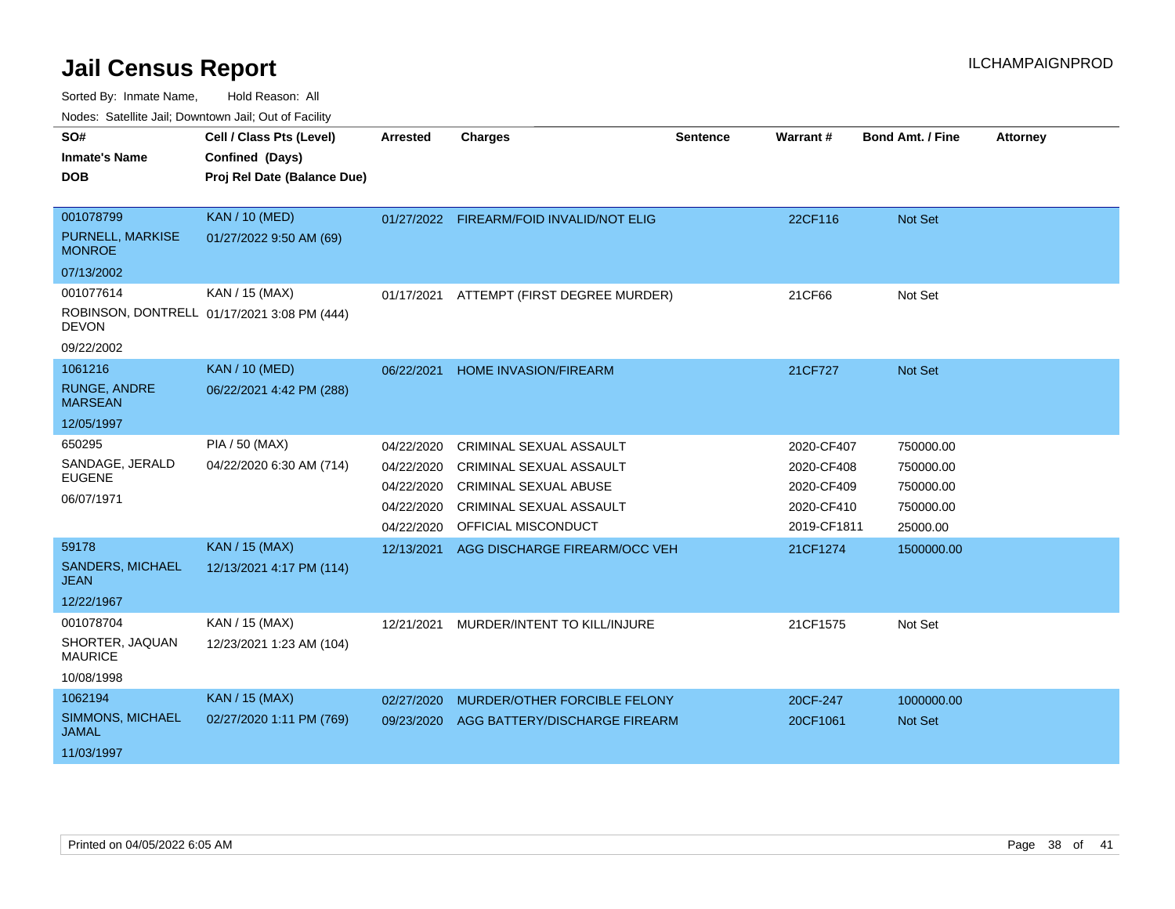Sorted By: Inmate Name, Hold Reason: All

Nodes: Satellite Jail; Downtown Jail; Out of Facility

| SO#                                     | Cell / Class Pts (Level)                    | <b>Arrested</b> | <b>Charges</b>                           | <b>Sentence</b> | Warrant#    | <b>Bond Amt. / Fine</b> | <b>Attorney</b> |
|-----------------------------------------|---------------------------------------------|-----------------|------------------------------------------|-----------------|-------------|-------------------------|-----------------|
| <b>Inmate's Name</b>                    | Confined (Days)                             |                 |                                          |                 |             |                         |                 |
| <b>DOB</b>                              | Proj Rel Date (Balance Due)                 |                 |                                          |                 |             |                         |                 |
|                                         |                                             |                 |                                          |                 |             |                         |                 |
| 001078799                               | <b>KAN / 10 (MED)</b>                       |                 | 01/27/2022 FIREARM/FOID INVALID/NOT ELIG |                 | 22CF116     | Not Set                 |                 |
| PURNELL, MARKISE<br><b>MONROE</b>       | 01/27/2022 9:50 AM (69)                     |                 |                                          |                 |             |                         |                 |
| 07/13/2002                              |                                             |                 |                                          |                 |             |                         |                 |
| 001077614                               | KAN / 15 (MAX)                              | 01/17/2021      | ATTEMPT (FIRST DEGREE MURDER)            |                 | 21CF66      | Not Set                 |                 |
| <b>DEVON</b>                            | ROBINSON, DONTRELL 01/17/2021 3:08 PM (444) |                 |                                          |                 |             |                         |                 |
| 09/22/2002                              |                                             |                 |                                          |                 |             |                         |                 |
| 1061216                                 | <b>KAN / 10 (MED)</b>                       | 06/22/2021      | <b>HOME INVASION/FIREARM</b>             |                 | 21CF727     | <b>Not Set</b>          |                 |
| <b>RUNGE, ANDRE</b><br><b>MARSEAN</b>   | 06/22/2021 4:42 PM (288)                    |                 |                                          |                 |             |                         |                 |
| 12/05/1997                              |                                             |                 |                                          |                 |             |                         |                 |
| 650295                                  | PIA / 50 (MAX)                              | 04/22/2020      | CRIMINAL SEXUAL ASSAULT                  |                 | 2020-CF407  | 750000.00               |                 |
| SANDAGE, JERALD                         | 04/22/2020 6:30 AM (714)                    | 04/22/2020      | <b>CRIMINAL SEXUAL ASSAULT</b>           |                 | 2020-CF408  | 750000.00               |                 |
| <b>EUGENE</b>                           |                                             | 04/22/2020      | <b>CRIMINAL SEXUAL ABUSE</b>             |                 | 2020-CF409  | 750000.00               |                 |
| 06/07/1971                              |                                             | 04/22/2020      | <b>CRIMINAL SEXUAL ASSAULT</b>           |                 | 2020-CF410  | 750000.00               |                 |
|                                         |                                             | 04/22/2020      | OFFICIAL MISCONDUCT                      |                 | 2019-CF1811 | 25000.00                |                 |
| 59178                                   | <b>KAN / 15 (MAX)</b>                       | 12/13/2021      | AGG DISCHARGE FIREARM/OCC VEH            |                 | 21CF1274    | 1500000.00              |                 |
| SANDERS, MICHAEL<br><b>JEAN</b>         | 12/13/2021 4:17 PM (114)                    |                 |                                          |                 |             |                         |                 |
| 12/22/1967                              |                                             |                 |                                          |                 |             |                         |                 |
| 001078704                               | KAN / 15 (MAX)                              | 12/21/2021      | MURDER/INTENT TO KILL/INJURE             |                 | 21CF1575    | Not Set                 |                 |
| SHORTER, JAQUAN<br><b>MAURICE</b>       | 12/23/2021 1:23 AM (104)                    |                 |                                          |                 |             |                         |                 |
| 10/08/1998                              |                                             |                 |                                          |                 |             |                         |                 |
| 1062194                                 | <b>KAN / 15 (MAX)</b>                       | 02/27/2020      | MURDER/OTHER FORCIBLE FELONY             |                 | 20CF-247    | 1000000.00              |                 |
| <b>SIMMONS, MICHAEL</b><br><b>JAMAL</b> | 02/27/2020 1:11 PM (769)                    | 09/23/2020      | AGG BATTERY/DISCHARGE FIREARM            |                 | 20CF1061    | <b>Not Set</b>          |                 |
| 11/03/1997                              |                                             |                 |                                          |                 |             |                         |                 |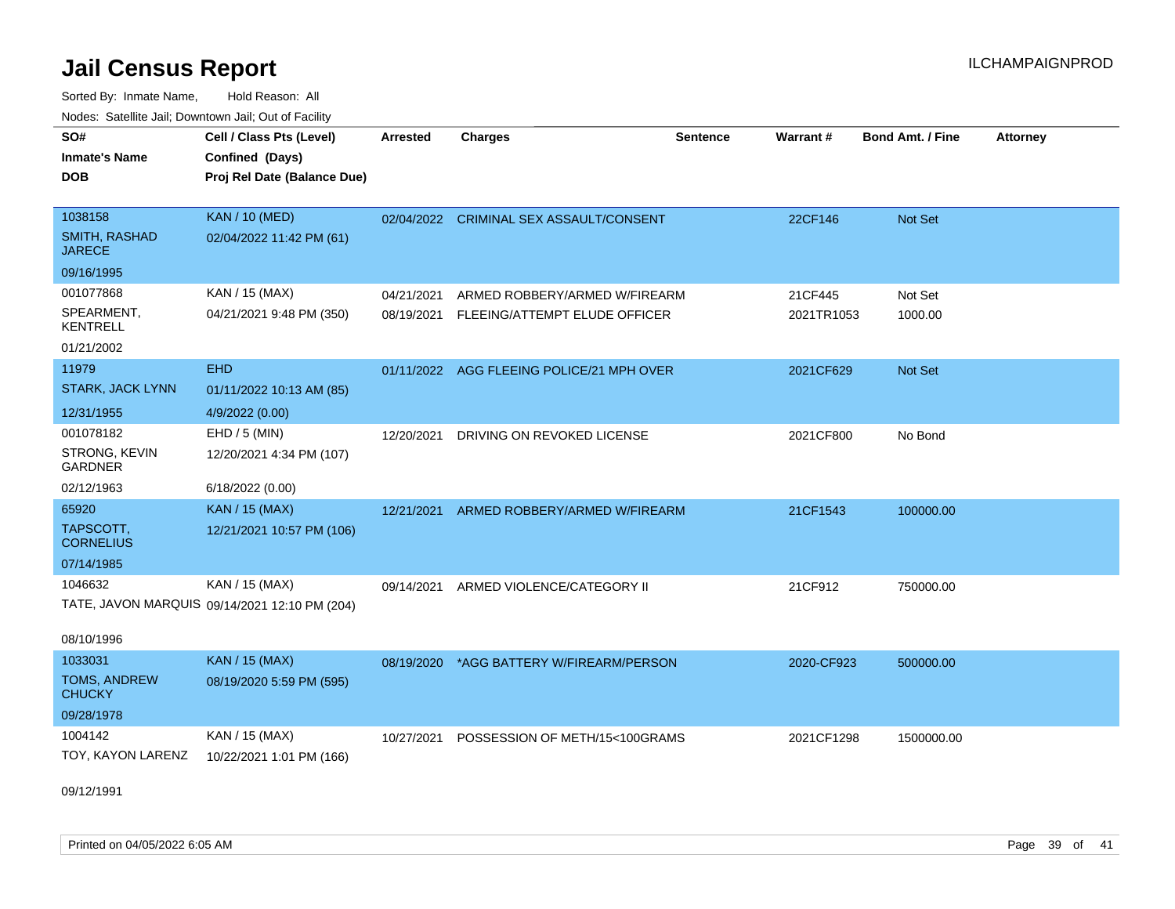Sorted By: Inmate Name, Hold Reason: All Nodes: Satellite Jail; Downtown Jail; Out of Facility

| <b>Houce.</b> Catellite ball, Downtown ball, Out of Fability<br>SO#<br><b>Inmate's Name</b><br><b>DOB</b> | Cell / Class Pts (Level)<br>Confined (Days)<br>Proj Rel Date (Balance Due) | <b>Arrested</b>          | <b>Charges</b>                                                 | <b>Sentence</b> | Warrant#              | <b>Bond Amt. / Fine</b> | <b>Attorney</b> |
|-----------------------------------------------------------------------------------------------------------|----------------------------------------------------------------------------|--------------------------|----------------------------------------------------------------|-----------------|-----------------------|-------------------------|-----------------|
| 1038158<br><b>SMITH, RASHAD</b><br><b>JARECE</b>                                                          | <b>KAN / 10 (MED)</b><br>02/04/2022 11:42 PM (61)                          |                          | 02/04/2022 CRIMINAL SEX ASSAULT/CONSENT                        |                 | 22CF146               | <b>Not Set</b>          |                 |
| 09/16/1995                                                                                                |                                                                            |                          |                                                                |                 |                       |                         |                 |
| 001077868<br>SPEARMENT,<br><b>KENTRELL</b>                                                                | KAN / 15 (MAX)<br>04/21/2021 9:48 PM (350)                                 | 04/21/2021<br>08/19/2021 | ARMED ROBBERY/ARMED W/FIREARM<br>FLEEING/ATTEMPT ELUDE OFFICER |                 | 21CF445<br>2021TR1053 | Not Set<br>1000.00      |                 |
| 01/21/2002                                                                                                |                                                                            |                          |                                                                |                 |                       |                         |                 |
| 11979<br><b>STARK, JACK LYNN</b>                                                                          | <b>EHD</b><br>01/11/2022 10:13 AM (85)                                     |                          | 01/11/2022 AGG FLEEING POLICE/21 MPH OVER                      |                 | 2021CF629             | <b>Not Set</b>          |                 |
| 12/31/1955                                                                                                | 4/9/2022 (0.00)                                                            |                          |                                                                |                 |                       |                         |                 |
| 001078182<br>STRONG, KEVIN<br><b>GARDNER</b>                                                              | $EHD / 5$ (MIN)<br>12/20/2021 4:34 PM (107)                                | 12/20/2021               | DRIVING ON REVOKED LICENSE                                     |                 | 2021CF800             | No Bond                 |                 |
| 02/12/1963                                                                                                | 6/18/2022 (0.00)                                                           |                          |                                                                |                 |                       |                         |                 |
| 65920<br>TAPSCOTT,<br><b>CORNELIUS</b>                                                                    | <b>KAN / 15 (MAX)</b><br>12/21/2021 10:57 PM (106)                         | 12/21/2021               | ARMED ROBBERY/ARMED W/FIREARM                                  |                 | 21CF1543              | 100000.00               |                 |
| 07/14/1985                                                                                                |                                                                            |                          |                                                                |                 |                       |                         |                 |
| 1046632                                                                                                   | KAN / 15 (MAX)<br>TATE, JAVON MARQUIS 09/14/2021 12:10 PM (204)            | 09/14/2021               | ARMED VIOLENCE/CATEGORY II                                     |                 | 21CF912               | 750000.00               |                 |
| 08/10/1996<br>1033031                                                                                     | <b>KAN / 15 (MAX)</b>                                                      |                          |                                                                |                 |                       |                         |                 |
| <b>TOMS, ANDREW</b><br><b>CHUCKY</b>                                                                      | 08/19/2020 5:59 PM (595)                                                   | 08/19/2020               | *AGG BATTERY W/FIREARM/PERSON                                  |                 | 2020-CF923            | 500000.00               |                 |
| 09/28/1978                                                                                                |                                                                            |                          |                                                                |                 |                       |                         |                 |
| 1004142<br>TOY, KAYON LARENZ                                                                              | KAN / 15 (MAX)<br>10/22/2021 1:01 PM (166)                                 | 10/27/2021               | POSSESSION OF METH/15<100GRAMS                                 |                 | 2021CF1298            | 1500000.00              |                 |

09/12/1991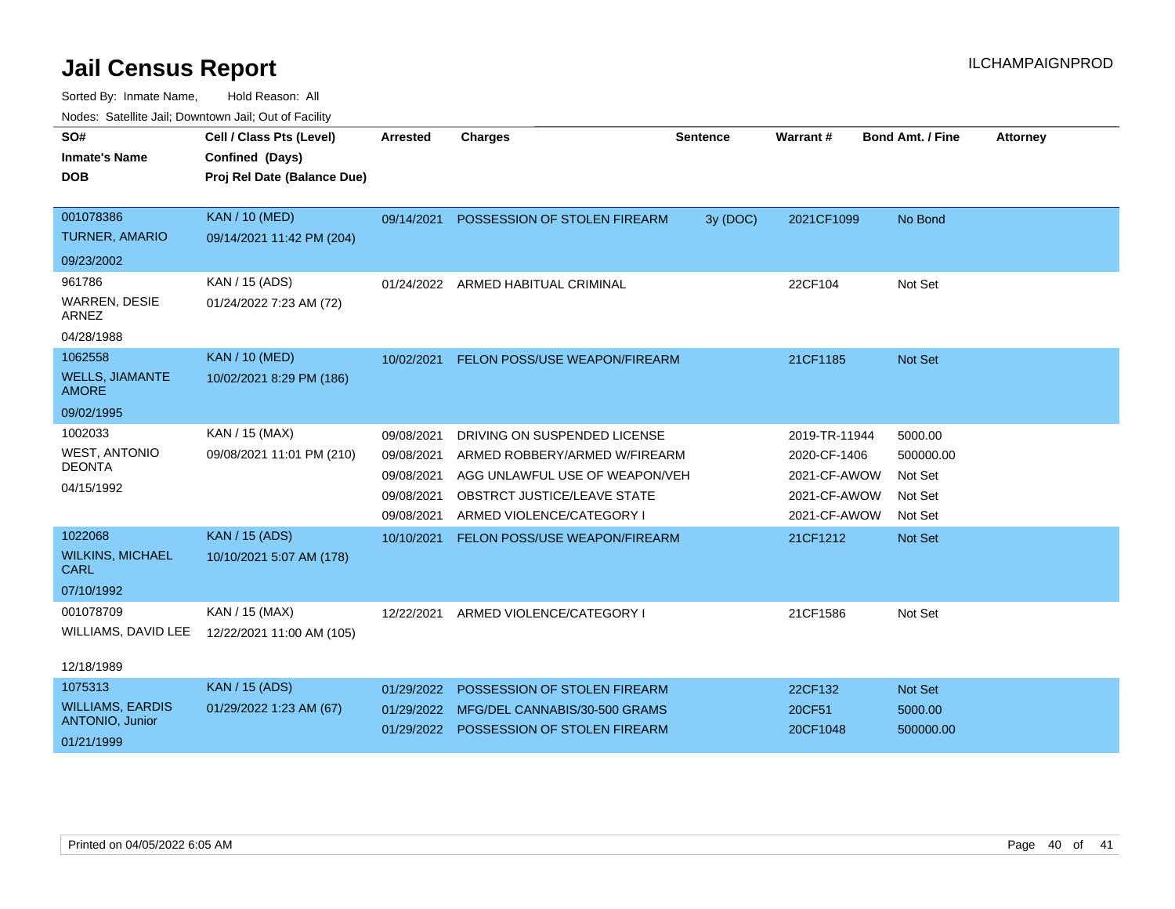| SO#<br><b>Inmate's Name</b><br><b>DOB</b> | Cell / Class Pts (Level)<br>Confined (Days)<br>Proj Rel Date (Balance Due) | <b>Arrested</b> | <b>Charges</b>                          | <b>Sentence</b> | Warrant #     | <b>Bond Amt. / Fine</b> | <b>Attorney</b> |
|-------------------------------------------|----------------------------------------------------------------------------|-----------------|-----------------------------------------|-----------------|---------------|-------------------------|-----------------|
| 001078386                                 | <b>KAN / 10 (MED)</b>                                                      | 09/14/2021      | POSSESSION OF STOLEN FIREARM            | 3y (DOC)        | 2021CF1099    | No Bond                 |                 |
| <b>TURNER, AMARIO</b>                     | 09/14/2021 11:42 PM (204)                                                  |                 |                                         |                 |               |                         |                 |
| 09/23/2002                                |                                                                            |                 |                                         |                 |               |                         |                 |
| 961786                                    | KAN / 15 (ADS)                                                             | 01/24/2022      | ARMED HABITUAL CRIMINAL                 |                 | 22CF104       | Not Set                 |                 |
| WARREN, DESIE<br><b>ARNEZ</b>             | 01/24/2022 7:23 AM (72)                                                    |                 |                                         |                 |               |                         |                 |
| 04/28/1988                                |                                                                            |                 |                                         |                 |               |                         |                 |
| 1062558                                   | <b>KAN / 10 (MED)</b>                                                      | 10/02/2021      | FELON POSS/USE WEAPON/FIREARM           |                 | 21CF1185      | Not Set                 |                 |
| <b>WELLS, JIAMANTE</b><br><b>AMORE</b>    | 10/02/2021 8:29 PM (186)                                                   |                 |                                         |                 |               |                         |                 |
| 09/02/1995                                |                                                                            |                 |                                         |                 |               |                         |                 |
| 1002033                                   | KAN / 15 (MAX)                                                             | 09/08/2021      | DRIVING ON SUSPENDED LICENSE            |                 | 2019-TR-11944 | 5000.00                 |                 |
| <b>WEST, ANTONIO</b>                      | 09/08/2021 11:01 PM (210)                                                  | 09/08/2021      | ARMED ROBBERY/ARMED W/FIREARM           |                 | 2020-CF-1406  | 500000.00               |                 |
| <b>DEONTA</b>                             |                                                                            | 09/08/2021      | AGG UNLAWFUL USE OF WEAPON/VEH          |                 | 2021-CF-AWOW  | Not Set                 |                 |
| 04/15/1992                                |                                                                            | 09/08/2021      | OBSTRCT JUSTICE/LEAVE STATE             |                 | 2021-CF-AWOW  | Not Set                 |                 |
|                                           |                                                                            | 09/08/2021      | ARMED VIOLENCE/CATEGORY I               |                 | 2021-CF-AWOW  | Not Set                 |                 |
| 1022068                                   | <b>KAN / 15 (ADS)</b>                                                      | 10/10/2021      | FELON POSS/USE WEAPON/FIREARM           |                 | 21CF1212      | Not Set                 |                 |
| <b>WILKINS, MICHAEL</b><br><b>CARL</b>    | 10/10/2021 5:07 AM (178)                                                   |                 |                                         |                 |               |                         |                 |
| 07/10/1992                                |                                                                            |                 |                                         |                 |               |                         |                 |
| 001078709                                 | KAN / 15 (MAX)                                                             | 12/22/2021      | ARMED VIOLENCE/CATEGORY I               |                 | 21CF1586      | Not Set                 |                 |
| WILLIAMS, DAVID LEE                       | 12/22/2021 11:00 AM (105)                                                  |                 |                                         |                 |               |                         |                 |
| 12/18/1989                                |                                                                            |                 |                                         |                 |               |                         |                 |
| 1075313                                   | <b>KAN / 15 (ADS)</b>                                                      | 01/29/2022      | POSSESSION OF STOLEN FIREARM            |                 | 22CF132       | Not Set                 |                 |
| <b>WILLIAMS, EARDIS</b>                   | 01/29/2022 1:23 AM (67)                                                    | 01/29/2022      | MFG/DEL CANNABIS/30-500 GRAMS           |                 | 20CF51        | 5000.00                 |                 |
| ANTONIO, Junior<br>01/21/1999             |                                                                            |                 | 01/29/2022 POSSESSION OF STOLEN FIREARM |                 | 20CF1048      | 500000.00               |                 |